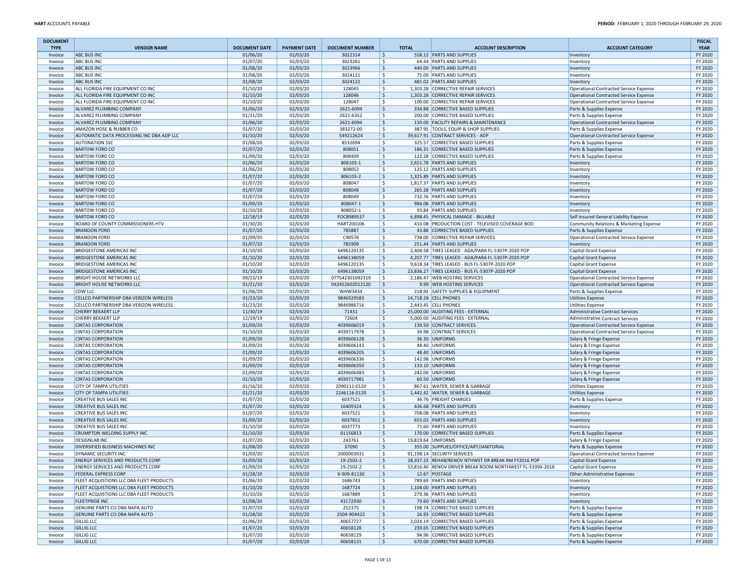| <b>DOCUMENT</b><br><b>TYPE</b> | <b>VENDOR NAME</b>                                        | <b>DOCUMENT DATE</b> | <b>PAYMENT DATE</b>  | <b>DOCUMENT NUMBER</b>       | <b>TOTAL</b>        | <b>ACCOUNT DESCRIPTION</b>                                                         | <b>ACCOUNT CATEGORY</b>                                            | <b>FISCAL</b><br><b>YEAR</b> |
|--------------------------------|-----------------------------------------------------------|----------------------|----------------------|------------------------------|---------------------|------------------------------------------------------------------------------------|--------------------------------------------------------------------|------------------------------|
| Invoice                        | <b>ABC BUS INC</b>                                        | 01/06/20             | 02/03/20             | 3022314                      | \$                  | 558.22 PARTS AND SUPPLIES                                                          | Inventory                                                          | FY 2020                      |
| Invoice                        | <b>ABC BUS INC</b>                                        | 01/07/20             | 02/03/20             | 3023261                      | \$                  | 64.44 PARTS AND SUPPLIES                                                           | Inventory                                                          | FY 2020                      |
| Invoice                        | <b>ABC BUS INC</b>                                        | 01/08/20             | 02/03/20             | 3023966                      | \$                  | 440.00 PARTS AND SUPPLIES                                                          | Inventory                                                          | FY 2020                      |
| Invoice                        | <b>ABC BUS INC</b><br><b>ABC BUS INC</b>                  | 01/08/20             | 02/03/20             | 3024121<br>3024122           | \$<br>\$            | 75.00 PARTS AND SUPPLIES<br>481.02 PARTS AND SUPPLIES                              | Inventory                                                          | FY 2020<br>FY 2020           |
| Invoice<br>Invoice             | ALL FLORIDA FIRE EQUIPMENT CO INC                         | 01/08/20<br>01/10/20 | 02/03/20<br>02/03/20 | 128045                       | \$                  | 1,303.28 CORRECTIVE REPAIR SERVICES                                                | Inventory<br>Operational Contracted Service Expense                | FY 2020                      |
| Invoice                        | ALL FLORIDA FIRE EQUIPMENT CO INC                         | 01/10/20             | 02/03/20             | 128046                       | $\ddot{\mathsf{S}}$ | 1,303.28 CORRECTIVE REPAIR SERVICES                                                | Operational Contracted Service Expense                             | FY 2020                      |
| Invoice                        | ALL FLORIDA FIRE EQUIPMENT CO INC                         | 01/10/20             | 02/03/20             | 128047                       | \$                  | 100.00 CORRECTIVE REPAIR SERVICES                                                  | Operational Contracted Service Expense                             | FY 2020                      |
| Invoice                        | ALVAREZ PLUMBING COMPANY                                  | 01/06/20             | 02/03/20             | 2621-6094                    | \$                  | 334.88 CORRECTIVE BASED SUPPLIES                                                   | Parts & Supplies Expense                                           | FY 2020                      |
| Invoice                        | ALVAREZ PLUMBING COMPANY                                  | 01/11/20             | 02/03/20             | 2621-6352                    | \$                  | 200.00 CORRECTIVE BASED SUPPLIES                                                   | Parts & Supplies Expense                                           | FY 2020                      |
| Invoice                        | ALVAREZ PLUMBING COMPANY                                  | 01/06/20             | 02/03/20             | 2621-6094                    | \$                  | 150.00 FACILITY REPAIRS & MAINTENANCE                                              | Operational Contracted Service Expense                             | FY 2020                      |
| Invoice                        | AMAZON HOSE & RUBBER CO                                   | 01/07/20             | 02/03/20             | 383272-00                    | \$                  | 387.95 TOOLS, EQUIP & SHOP SUPPLIES                                                | Parts & Supplies Expense                                           | FY 2020                      |
| Invoice                        | AUTOMATIC DATA PROCESSING INC DBA ADP LLC                 | 01/10/20             | 02/03/20             | 549212624                    | S,                  | 39,617.91 CONTRACT SERVICES - ADP                                                  | Operational Contracted Service Expense                             | FY 2020                      |
| Invoice                        | <b>AUTONATION SSC</b>                                     | 01/08/20             | 02/03/20             | 8532694                      | \$                  | 325.57 CORRECTIVE BASED SUPPLIES                                                   | Parts & Supplies Expense                                           | FY 2020                      |
| Invoice                        | <b>BARTOW FORD CO</b><br><b>BARTOW FORD CO</b>            | 01/07/20             | 02/03/20             | 808051<br>808409             | \$<br>\$            | 186.31 CORRECTIVE BASED SUPPLIES<br>122.28 CORRECTIVE BASED SUPPLIES               | Parts & Supplies Expense                                           | FY 2020<br>FY 2020           |
| Invoice<br>Invoice             | <b>BARTOW FORD CO</b>                                     | 01/09/20<br>01/06/20 | 02/03/20<br>02/03/20 | 806103-1                     | $\ddot{\mathsf{S}}$ | 2.651.78 PARTS AND SUPPLIES                                                        | Parts & Supplies Expense<br>Inventory                              | FY 2020                      |
| Invoice                        | <b>BARTOW FORD CO</b>                                     | 01/06/20             | 02/03/20             | 808052                       | \$                  | 125.12 PARTS AND SUPPLIES                                                          | Inventory                                                          | FY 2020                      |
| Invoice                        | <b>BARTOW FORD CO</b>                                     | 01/07/20             | 02/03/20             | 806103-2                     | \$                  | 1,325.89 PARTS AND SUPPLIES                                                        | Inventory                                                          | FY 2020                      |
| Invoice                        | <b>BARTOW FORD CO</b>                                     | 01/07/20             | 02/03/20             | 808047                       | \$                  | 1,817.37 PARTS AND SUPPLIES                                                        | Inventory                                                          | FY 2020                      |
| Invoice                        | <b>BARTOW FORD CO</b>                                     | 01/07/20             | 02/03/20             | 808048                       | $\ddot{\mathsf{S}}$ | 265.28 PARTS AND SUPPLIES                                                          | Inventory                                                          | FY 2020                      |
| Invoice                        | <b>BARTOW FORD CO</b>                                     | 01/07/20             | 02/03/20             | 808049                       | \$                  | 732.76 PARTS AND SUPPLIES                                                          | Inventory                                                          | FY 2020                      |
| Invoice                        | <b>BARTOW FORD CO</b>                                     | 01/09/20             | 02/03/20             | 808047-1                     | \$                  | 984.08 PARTS AND SUPPLIES                                                          | Inventory                                                          | FY 2020                      |
| Invoice                        | <b>BARTOW FORD CO</b>                                     | 01/10/20             | 02/03/20             | 808052-1                     | \$                  | 93.84 PARTS AND SUPPLIES                                                           | Inventory                                                          | FY 2020                      |
| Invoice                        | <b>BARTOW FORD CO</b>                                     | 12/18/19             | 02/03/20             | FOCB989537                   | \$                  | 6,898.45 PHYSICAL DAMAGE - BILLABLE                                                | Self Insured General Liability Expense                             | FY 2020                      |
| Invoice                        | BOARD OF COUNTY COMMISSIONERS HTV<br><b>BRANDON FORD</b>  | 01/30/20<br>01/07/20 | 02/03/20<br>02/03/20 | HART200106<br>785887         | \$<br>\$            | 410.08 PRODUCTION COST - TELEVISED COVERAGE BOD<br>43.88 CORRECTIVE BASED SUPPLIES | Community Relations & Marketing Expense                            | FY 2020<br>FY 2020           |
| Invoice<br>Invoice             | <b>BRANDON FORD</b>                                       | 01/09/20             | 02/03/20             | C90576                       | \$<br>738.00        | <b>CORRECTIVE REPAIR SERVICES</b>                                                  | Parts & Supplies Expense<br>Operational Contracted Service Expense | FY 2020                      |
| Invoice                        | <b>BRANDON FORD</b>                                       | 01/07/20             | 02/03/20             | 785909                       | $\ddot{\mathsf{S}}$ | 251.44 PARTS AND SUPPLIES                                                          | Inventory                                                          | FY 2020                      |
| Invoice                        | <b>BRIDGESTONE AMERICAS INC</b>                           | 01/10/20             | 02/03/20             | 6496120135                   | \$                  | 2,404.58 TIRES LEASED - ADA/PARA FL-5307P-2020 POP                                 | Capital Grant Expense                                              | FY 2020                      |
| Invoice                        | <b>BRIDGESTONE AMERICAS INC</b>                           | 01/10/20             | 02/03/20             | 6496138059                   | \$                  | 4,207.77 TIRES LEASED - ADA/PARA FL-5307P-2020 POP                                 | Capital Grant Expense                                              | FY 2020                      |
| Invoice                        | <b>BRIDGESTONE AMERICAS INC</b>                           | 01/10/20             | 02/03/20             | 6496120135                   | \$                  | 9,618.34 TIRES LEASED - BUS FL-5307P-2020 POP                                      | Capital Grant Expense                                              | FY 2020                      |
| Invoice                        | <b>BRIDGESTONE AMERICAS INC</b>                           | 01/10/20             | 02/03/20             | 6496138059                   | \$                  | 23,836.27 TIRES LEASED - BUS FL-5307P-2020 POP                                     | Capital Grant Expense                                              | FY 2020                      |
| Invoice                        | <b>BRIGHT HOUSE NETWORKS LLC</b>                          | 09/23/19             | 02/03/20             | 077542301092319              | l \$                | 2,186.47 WEB HOSTING SERVICES                                                      | Operational Contracted Service Expense                             | FY 2020                      |
| Invoice                        | <b>BRIGHT HOUSE NETWORKS LLC</b>                          | 01/21/20             | 02/03/20             | 042452602012120              | $\ddot{\mathsf{S}}$ | 9.99 WEB HOSTING SERVICES                                                          | Operational Contracted Service Expense                             | FY 2020                      |
| Invoice                        | <b>CDW LLC</b><br>CELLCO PARTNERSHIP DBA VERIZON WIRELESS | 01/06/20             | 02/03/20             | <b>WHW3434</b><br>9846929583 | \$                  | 218.92 SAFETY SUPPLIES & EQUIPMENT<br>14,718.28 CELL PHONES                        | Parts & Supplies Expense                                           | FY 2020<br>FY 2020           |
| Invoice<br>Invoice             | CELLCO PARTNERSHIP DBA VERIZON WIRELESS                   | 01/23/20<br>01/23/20 | 02/03/20<br>02/03/20 | 9846986716                   | \$<br>\$            | 2,443.45 CELL PHONES                                                               | Utilities Expense<br><b>Utilities Expense</b>                      | FY 2020                      |
| Invoice                        | <b>CHERRY BEKAERT LLP</b>                                 | 11/30/19             | 02/03/20             | 71431                        | \$                  | 25,000.00 AUDITING FEES - EXTERNAL                                                 | Administrative Contract Services                                   | FY 2020                      |
| Invoice                        | <b>CHERRY BEKAERT LLP</b>                                 | 12/19/19             | 02/03/20             | 72604                        | \$                  | 5,000.00 AUDITING FEES - EXTERNAL                                                  | Administrative Contract Services                                   | FY 2020                      |
| Invoice                        | <b>CINTAS CORPORATION</b>                                 | 01/09/20             | 02/03/20             | 4039606019                   | \$                  | 139.50 CONTRACT SERVICES                                                           | Operational Contracted Service Expense                             | FY 2020                      |
| Invoice                        | <b>CINTAS CORPORATION</b>                                 | 01/10/20             | 02/03/20             | 4039717978                   | \$                  | 34.98 CONTRACT SERVICES                                                            | Operational Contracted Service Expense                             | FY 2020                      |
| Invoice                        | <b>CINTAS CORPORATION</b>                                 | 01/09/20             | 02/03/20             | 4039606128                   | \$                  | 36.30 UNIFORMS                                                                     | Salary & Fringe Expense                                            | FY 2020                      |
| Invoice                        | <b>CINTAS CORPORATION</b>                                 | 01/09/20             | 02/03/20             | 4039606143                   | \$                  | 48.40 UNIFORMS                                                                     | Salary & Fringe Expense                                            | FY 2020                      |
| Invoice                        | <b>CINTAS CORPORATION</b>                                 | 01/09/20             | 02/03/20             | 4039606205                   | $\ddot{\mathsf{S}}$ | 48.40 UNIFORMS                                                                     | Salary & Fringe Expense                                            | FY 2020                      |
| Invoice                        | <b>CINTAS CORPORATION</b>                                 | 01/09/20             | 02/03/20             | 4039606336                   | \$.                 | 142.98 UNIFORMS                                                                    | Salary & Fringe Expense                                            | FY 2020                      |
| Invoice<br>Invoice             | <b>CINTAS CORPORATION</b><br><b>CINTAS CORPORATION</b>    | 01/09/20<br>01/09/20 | 02/03/20<br>02/03/20 | 4039606350<br>4039606483     | \$<br>\$            | 133.10 UNIFORMS<br>242.00 UNIFORMS                                                 | Salary & Fringe Expense                                            | FY 2020<br>FY 2020           |
| Invoice                        | <b>CINTAS CORPORATION</b>                                 | 01/10/20             | 02/03/20             | 4039717981                   | $\ddot{\mathsf{S}}$ | 60.50 UNIFORMS                                                                     | Salary & Fringe Expense<br>Salary & Fringe Expense                 | FY 2020                      |
| Invoice                        | <b>CITY OF TAMPA UTILITIES</b>                            | 01/16/20             | 02/03/20             | 2090111-0120                 | \$                  | 867.61 WATER, SEWER & GARBAGE                                                      | <b>Utilities Expense</b>                                           | FY 2020                      |
| Invoice                        | <b>CITY OF TAMPA UTILITIES</b>                            | 01/21/20             | 02/03/20             | 2246116-0120                 | $\zeta$             | 1,442.42 WATER, SEWER & GARBAGE                                                    | <b>Utilities Expense</b>                                           | FY 2020                      |
| Invoice                        | <b>CREATIVE BUS SALES INC</b>                             | 01/07/20             | 02/03/20             | 6037521                      | \$                  | 36.76 FREIGHT CHARGES                                                              | Parts & Supplies Expense                                           | FY 2020                      |
| Invoice                        | <b>CREATIVE BUS SALES INC</b>                             | 01/07/20             | 02/03/20             | 16409324                     | \$                  | 436.68 PARTS AND SUPPLIES                                                          | Inventory                                                          | FY 2020                      |
| Invoice                        | <b>CREATIVE BUS SALES INC</b>                             | 01/07/20             | 02/03/20             | 6037521                      | \$                  | 708.08 PARTS AND SUPPLIES                                                          | Inventory                                                          | FY 2020                      |
| Invoice                        | <b>CREATIVE BUS SALES INC</b>                             | 01/09/20             | 02/03/20             | 6037651                      | \$                  | 655.02 PARTS AND SUPPLIES                                                          | Inventory                                                          | FY 2020                      |
| Invoice                        | <b>CREATIVE BUS SALES INC</b>                             | 01/10/20             | 02/03/20             | 6037773                      | \$                  | 71.60 PARTS AND SUPPLIES                                                           | Inventory                                                          | FY 2020                      |
| Invoice                        | CRUMPTON WELDING SUPPLY INC                               | 01/10/20             | 02/03/20             | 01156813                     | \$                  | 170.00 CORRECTIVE BASED SUPPLIES                                                   | Parts & Supplies Expense                                           | FY 2020                      |
| Invoice<br>Invoice             | <b>DESIGNLAB INC</b><br>DIVERSIFIED BUSINESS MACHINES INC | 01/07/20<br>01/08/20 | 02/03/20<br>02/03/20 | 243761<br>37090              | \$<br>\$            | 19,819.64 UNIFORMS<br>355.00 SUPPLIES/OFFICE/ART/JANITORIAL                        | Salary & Fringe Expense                                            | FY 2020<br>FY 2020           |
| Invoice                        | DYNAMIC SECURITY INC                                      | 01/03/20             | 02/03/20             | 2000003931                   | S.                  | 91,198.14 SECURITY SERVICES                                                        | Parts & Supplies Expense<br>Operational Contracted Service Expense | FY 2020                      |
| Invoice                        | <b>ENERGY SERVICES AND PRODUCTS CORP</b>                  | 01/09/20             | 02/03/20             | 19-2502-2                    | \$                  | 28,937.23 REHAB/RENOV NTHWST DR BREAK RM FY2016 POP                                | Capital Grant Expense                                              | FY 2020                      |
| Invoice                        | <b>ENERGY SERVICES AND PRODUCTS CORF</b>                  | 01/09/20             | 02/03/20             | 19-2502-2                    |                     | 53,816.40 RENOV DRIVER BREAK ROOM NORTHWEST FL-5339X-2018                          | Capital Grant Expense                                              | FY 2020                      |
| Invoice                        | <b>FEDERAL EXPRESS CORP</b>                               | 01/28/20             | 02/03/20             | 6-909-81130                  | S,                  | 12.67 POSTAGE                                                                      | Other Administrative Expenses                                      | FY 2020                      |
| Invoice                        | FLEET ACQUISTIONS LLC DBA FLEET PRODUCTS                  | 01/06/20             | 02/03/20             | 1686743                      | \$                  | 789.69 PARTS AND SUPPLIES                                                          | Inventory                                                          | FY 2020                      |
| Invoice                        | FLEET ACQUISTIONS LLC DBA FLEET PRODUCTS                  | 01/10/20             | 02/03/20             | 1687724                      | \$                  | 1,104.00 PARTS AND SUPPLIES                                                        | Inventory                                                          | FY 2020                      |
| Invoice                        | FLEET ACQUISTIONS LLC DBA FLEET PRODUCTS                  | 01/10/20             | 02/03/20             | 1687889                      | \$                  | 279.36 PARTS AND SUPPLIES                                                          | Inventory                                                          | FY 2020                      |
| Invoice                        | <b>FLEETPRIDE INC</b>                                     | 01/08/20             | 02/03/20             | 43172930                     | $\ddot{\mathsf{S}}$ | 79.60 PARTS AND SUPPLIES                                                           | Inventory                                                          | FY 2020                      |
| Invoice                        | GENUINE PARTS CO DBA NAPA AUTO                            | 01/07/20             | 02/03/20             | 252375                       | \$                  | 198.74 CORRECTIVE BASED SUPPLIES                                                   | Parts & Supplies Expense                                           | FY 2020                      |
| Invoice<br>Invoice             | GENUINE PARTS CO DBA NAPA AUTO<br><b>GILLIG LLC</b>       | 01/28/20<br>01/06/20 | 02/03/20<br>02/03/20 | 2504-904422<br>40657727      | \$<br>\$            | 26.93 CORRECTIVE BASED SUPPLIES<br>2,024.19 CORRECTIVE BASED SUPPLIES              | Parts & Supplies Expense<br>Parts & Supplies Expense               | FY 2020<br>FY 2020           |
| Invoice                        | <b>GILLIG LLC</b>                                         | 01/07/20             | 02/03/20             | 40658128                     | $\ddot{\mathsf{S}}$ | 239.65 CORRECTIVE BASED SUPPLIES                                                   | Parts & Supplies Expense                                           | FY 2020                      |
| Invoice                        | <b>GILLIG LLC</b>                                         | 01/07/20             | 02/03/20             | 40658129                     | \$                  | 94.96 CORRECTIVE BASED SUPPLIES                                                    | Parts & Supplies Expense                                           | FY 2020                      |
| Invoice                        | <b>GILLIG LLC</b>                                         | 01/07/20             | 02/03/20             | 40658131                     | ۱\$                 | 670.00 CORRECTIVE BASED SUPPLIES                                                   | Parts & Supplies Expense                                           | FY 2020                      |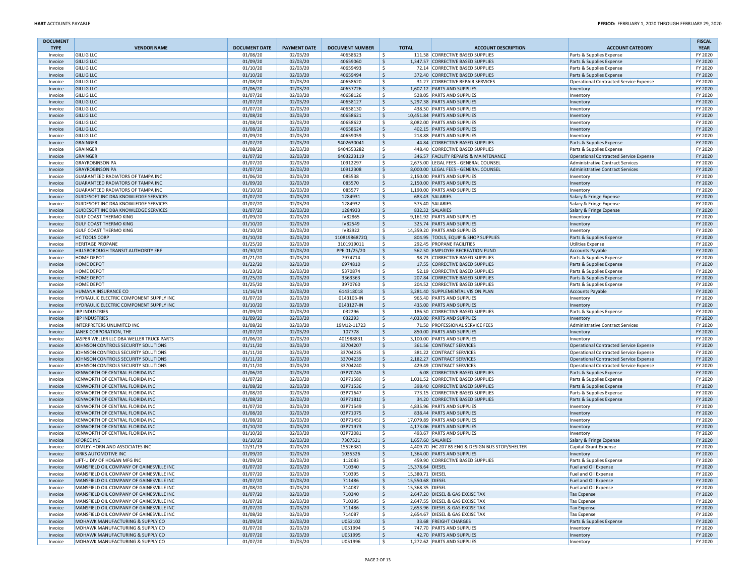| <b>DOCUMENT</b><br><b>TYPE</b> | <b>VENDOR NAME</b>                                                                   | <b>DOCUMENT DATE</b> | <b>PAYMENT DATE</b>  | <b>DOCUMENT NUMBER</b>   | <b>TOTAL</b>           | <b>ACCOUNT DESCRIPTION</b>                                           | <b>ACCOUNT CATEGORY</b>                                            | <b>FISCAL</b><br><b>YEAR</b> |
|--------------------------------|--------------------------------------------------------------------------------------|----------------------|----------------------|--------------------------|------------------------|----------------------------------------------------------------------|--------------------------------------------------------------------|------------------------------|
| Invoice                        | <b>GILLIG LLC</b>                                                                    | 01/08/20             | 02/03/20             | 40658623                 | -Ś                     | 111.58 CORRECTIVE BASED SUPPLIES                                     | Parts & Supplies Expense                                           | FY 2020                      |
| Invoice                        | <b>GILLIG LLC</b>                                                                    | 01/09/20             | 02/03/20             | 40659060                 | \$                     | 1,347.57 CORRECTIVE BASED SUPPLIES                                   | Parts & Supplies Expense                                           | FY 2020                      |
| Invoice                        | <b>GILLIG LLC</b>                                                                    | 01/10/20             | 02/03/20             | 40659493                 | S.                     | 72.14 CORRECTIVE BASED SUPPLIES                                      | Parts & Supplies Expense                                           | FY 2020                      |
| Invoice                        | <b>GILLIG LLC</b>                                                                    | 01/10/20             | 02/03/20             | 40659494                 | \$                     | 372.40 CORRECTIVE BASED SUPPLIES                                     | Parts & Supplies Expense                                           | FY 2020                      |
| Invoice                        | <b>GILLIG LLC</b>                                                                    | 01/08/20             | 02/03/20             | 40658620                 | -\$                    | 31.27 CORRECTIVE REPAIR SERVICES                                     | Operational Contracted Service Expense                             | FY 2020                      |
| Invoice                        | <b>GILLIG LLC</b>                                                                    | 01/06/20             | 02/03/20             | 40657726                 | \$                     | 1,607.12 PARTS AND SUPPLIES                                          | Inventory                                                          | FY 2020                      |
| Invoice                        | <b>GILLIG LLC</b>                                                                    | 01/07/20             | 02/03/20             | 40658126                 | S.                     | 528.05 PARTS AND SUPPLIES                                            | Inventory                                                          | FY 2020                      |
| Invoice                        | <b>GILLIG LLC</b>                                                                    | 01/07/20             | 02/03/20             | 40658127                 | \$                     | 5.297.38 PARTS AND SUPPLIES                                          | Inventory                                                          | FY 2020                      |
| Invoice                        | <b>GILLIG LLC</b>                                                                    | 01/07/20             | 02/03/20             | 40658130                 | \$                     | 438.50 PARTS AND SUPPLIES                                            | Inventory                                                          | FY 2020                      |
| Invoice                        | <b>GILLIG LLC</b>                                                                    | 01/08/20             | 02/03/20             | 40658621                 | \$                     | 10,451.84 PARTS AND SUPPLIES                                         | Inventory                                                          | FY 2020                      |
| Invoice                        | <b>GILLIG LLC</b>                                                                    | 01/08/20             | 02/03/20             | 40658622                 | S.                     | 8,082.00 PARTS AND SUPPLIES                                          | <b>Inventory</b>                                                   | FY 2020                      |
| Invoice                        | <b>GILLIG LLC</b>                                                                    | 01/08/20             | 02/03/20             | 40658624                 | \$                     | 402.15 PARTS AND SUPPLIES                                            | Inventory                                                          | FY 2020                      |
| Invoice                        | <b>GILLIG LLC</b>                                                                    | 01/09/20             | 02/03/20             | 40659059                 | -\$                    | 218.88 PARTS AND SUPPLIES<br>44.84 CORRECTIVE BASED SUPPLIES         | Inventory                                                          | FY 2020                      |
| Invoice<br>Invoice             | GRAINGER<br>GRAINGER                                                                 | 01/07/20<br>01/08/20 | 02/03/20<br>02/03/20 | 9402630041<br>9404553282 | \$<br>\$               | 448.40 CORRECTIVE BASED SUPPLIES                                     | Parts & Supplies Expense                                           | FY 2020<br>FY 2020           |
| Invoice                        | GRAINGER                                                                             | 01/07/20             | 02/03/20             | 9403223119               | \$                     | 346.57 FACILITY REPAIRS & MAINTENANCE                                | Parts & Supplies Expense<br>Operational Contracted Service Expense | FY 2020                      |
| Invoice                        | <b>GRAYROBINSON PA</b>                                                               | 01/07/20             | 02/03/20             | 10912297                 | \$                     | 2,675.00 LEGAL FEES - GENERAL COUNSEL                                | Administrative Contract Services                                   | FY 2020                      |
| Invoice                        | <b>GRAYROBINSON PA</b>                                                               | 01/07/20             | 02/03/20             | 10912308                 | \$                     | 8,000.00 LEGAL FEES - GENERAL COUNSEL                                | Administrative Contract Services                                   | FY 2020                      |
| Invoice                        | <b>GUARANTEED RADIATORS OF TAMPA INC</b>                                             | 01/06/20             | 02/03/20             | 085538                   | S.                     | 2,150.00 PARTS AND SUPPLIES                                          | Inventory                                                          | FY 2020                      |
| Invoice                        | <b>GUARANTEED RADIATORS OF TAMPA INC</b>                                             | 01/09/20             | 02/03/20             | 085570                   | \$                     | 2,150.00 PARTS AND SUPPLIES                                          | Inventory                                                          | FY 2020                      |
| Invoice                        | GUARANTEED RADIATORS OF TAMPA INC                                                    | 01/10/20             | 02/03/20             | 085577                   | \$                     | 1,190.00 PARTS AND SUPPLIES                                          | Inventory                                                          | FY 2020                      |
| Invoice                        | GUIDESOFT INC DBA KNOWLEDGE SERVICES                                                 | 01/07/20             | 02/03/20             | 1284931                  | \$                     | 683.43 SALARIES                                                      | Salary & Fringe Expense                                            | FY 2020                      |
| Invoice                        | GUIDESOFT INC DBA KNOWLEDGE SERVICES                                                 | 01/07/20             | 02/03/20             | 1284932                  | -\$                    | 575.40 SALARIES                                                      | Salary & Fringe Expense                                            | FY 2020                      |
| Invoice                        | GUIDESOFT INC DBA KNOWLEDGE SERVICES                                                 | 01/07/20             | 02/03/20             | 1284933                  | \$                     | 832.32 SALARIES                                                      | Salary & Fringe Expense                                            | FY 2020                      |
| Invoice                        | <b>GULF COAST THERMO KING</b>                                                        | 01/09/20             | 02/03/20             | <b>IV82865</b>           | S.                     | 9,161.92 PARTS AND SUPPLIES                                          | Inventory                                                          | FY 2020                      |
| Invoice                        | <b>GULF COAST THERMO KING</b>                                                        | 01/10/20             | 02/03/20             | IV82549                  | \$                     | 325.74 PARTS AND SUPPLIES                                            | Inventory                                                          | FY 2020                      |
| Invoice                        | <b>GULF COAST THERMO KING</b>                                                        | 01/10/20             | 02/03/20             | IV82922                  | \$                     | 14,359.20 PARTS AND SUPPLIES                                         | Inventory                                                          | FY 2020                      |
| Invoice                        | <b>HC TOOLS CORP</b>                                                                 | 01/10/20             | 02/03/20             | 11081986872Q             | \$                     | 804.95 TOOLS, EQUIP & SHOP SUPPLIES                                  | Parts & Supplies Expense                                           | FY 2020                      |
| Invoice                        | <b>HERITAGE PROPANE</b>                                                              | 01/25/20             | 02/03/20             | 3101919011               | S.                     | 292.45 PROPANE FACILITIES                                            | <b>Utilities Expense</b>                                           | FY 2020                      |
| Invoice                        | <b>HILLSBOROUGH TRANSIT AUTHORITY ERF</b>                                            | 01/30/20             | 02/03/20             | PPE 01/25/20             | \$                     | 562.50 EMPLOYEE RECREATION FUND                                      | Accounts Payable                                                   | FY 2020                      |
| Invoice                        | <b>HOME DEPOT</b>                                                                    | 01/21/20             | 02/03/20             | 7974714                  | \$                     | 98.73 CORRECTIVE BASED SUPPLIES                                      | Parts & Supplies Expense                                           | FY 2020                      |
| Invoice                        | <b>HOME DEPOT</b>                                                                    | 01/22/20             | 02/03/20             | 6974810                  | \$                     | 17.55 CORRECTIVE BASED SUPPLIES                                      | Parts & Supplies Expense                                           | FY 2020                      |
| Invoice                        | <b>HOME DEPOT</b>                                                                    | 01/23/20             | 02/03/20             | 5370874                  | -\$                    | 52.19 CORRECTIVE BASED SUPPLIES                                      | Parts & Supplies Expense                                           | FY 2020                      |
| Invoice                        | <b>HOME DEPOT</b>                                                                    | 01/25/20             | 02/03/20             | 3363363                  | \$                     | 207.84 CORRECTIVE BASED SUPPLIES                                     | Parts & Supplies Expense                                           | FY 2020                      |
| Invoice                        | <b>HOME DEPOT</b>                                                                    | 01/25/20             | 02/03/20             | 3970760                  | -\$                    | 204.52 CORRECTIVE BASED SUPPLIES                                     | Parts & Supplies Expense                                           | FY 2020                      |
| Invoice                        | HUMANA INSURANCE CO                                                                  | 11/16/19             | 02/03/20             | 614318018                | \$                     | 3,281.40 SUPPLEMENTAL VISION PLAN                                    | <b>Accounts Pavable</b>                                            | FY 2020                      |
| Invoice                        | HYDRAULIC ELECTRIC COMPONENT SUPPLY INC                                              | 01/07/20             | 02/03/20             | 0143103-IN               | \$                     | 965.40 PARTS AND SUPPLIES                                            | Inventory                                                          | FY 2020                      |
| Invoice                        | HYDRAULIC ELECTRIC COMPONENT SUPPLY INC                                              | 01/10/20             | 02/03/20             | 0143127-IN               | \$                     | 435.00 PARTS AND SUPPLIES                                            | Inventory                                                          | FY 2020                      |
| Invoice                        | <b>IBP INDUSTRIES</b>                                                                | 01/09/20             | 02/03/20             | 032296                   | S.                     | 186.50 CORRECTIVE BASED SUPPLIES                                     | Parts & Supplies Expense                                           | FY 2020                      |
| Invoice                        | <b>IBP INDUSTRIES</b>                                                                | 01/09/20             | 02/03/20<br>02/03/20 | 032293<br>19M12-11723    | \$                     | 4,033.00 PARTS AND SUPPLIES                                          | Inventory                                                          | FY 2020<br>FY 2020           |
| Invoice                        | INTERPRETERS UNLIMITED INC<br>JANEK CORPORATION, THE                                 | 01/08/20             |                      | 107778                   | \$<br>\$               | 71.50 PROFESSIONAL SERVICE FEES<br>850.00 PARTS AND SUPPLIES         | Administrative Contract Services                                   | FY 2020                      |
| Invoice<br>Invoice             | JASPER WELLER LLC DBA WELLER TRUCK PARTS                                             | 01/07/20<br>01/06/20 | 02/03/20<br>02/03/20 | 401988831                | S.                     | 3,100.00 PARTS AND SUPPLIES                                          | Inventory<br>Inventory                                             | FY 2020                      |
| Invoice                        | JOHNSON CONTROLS SECURITY SOLUTIONS                                                  | 01/11/20             | 02/03/20             | 33704207                 | \$                     | 361.56 CONTRACT SERVICES                                             | Operational Contracted Service Expense                             | FY 2020                      |
| Invoice                        | JOHNSON CONTROLS SECURITY SOLUTIONS                                                  | 01/11/20             | 02/03/20             | 33704235                 | \$                     | 381.22 CONTRACT SERVICES                                             | Operational Contracted Service Expense                             | FY 2020                      |
| Invoice                        | JOHNSON CONTROLS SECURITY SOLUTIONS                                                  | 01/11/20             | 02/03/20             | 33704239                 | \$                     | 2,182.27 CONTRACT SERVICES                                           | Operational Contracted Service Expense                             | FY 2020                      |
| Invoice                        | JOHNSON CONTROLS SECURITY SOLUTIONS                                                  | 01/11/20             | 02/03/20             | 33704240                 | -\$                    | 429.49 CONTRACT SERVICES                                             | Operational Contracted Service Expense                             | FY 2020                      |
| Invoice                        | KENWORTH OF CENTRAL FLORIDA INC                                                      | 01/06/20             | 02/03/20             | 03P70745                 | \$                     | 6.08 CORRECTIVE BASED SUPPLIES                                       | Parts & Supplies Expense                                           | FY 2020                      |
| Invoice                        | KENWORTH OF CENTRAL FLORIDA INC                                                      | 01/07/20             | 02/03/20             | 03P71580                 | \$                     | 1,031.52 CORRECTIVE BASED SUPPLIES                                   | Parts & Supplies Expense                                           | FY 2020                      |
| Invoice                        | KENWORTH OF CENTRAL FLORIDA INC                                                      | 01/08/20             | 02/03/20             | 03P71536                 | \$                     | 398.40 CORRECTIVE BASED SUPPLIES                                     | Parts & Supplies Expense                                           | FY 2020                      |
| Invoice                        | KENWORTH OF CENTRAL FLORIDA INC                                                      | 01/08/20             | 02/03/20             | 03P71647                 | S.                     | 773.15 CORRECTIVE BASED SUPPLIES                                     | Parts & Supplies Expense                                           | FY 2020                      |
| Invoice                        | KENWORTH OF CENTRAL FLORIDA INC                                                      | 01/08/20             | 02/03/20             | 03P71810                 | \$                     | 34.20 CORRECTIVE BASED SUPPLIES                                      | Parts & Supplies Expense                                           | FY 2020                      |
| Invoice                        | KENWORTH OF CENTRAL FLORIDA INC                                                      | 01/07/20             | 02/03/20             | 03P71549                 | S.                     | 4,835.96 PARTS AND SUPPLIES                                          | Inventory                                                          | FY 2020                      |
| Invoice                        | KENWORTH OF CENTRAL FLORIDA INC                                                      | 01/08/20             | 02/03/20             | 03P71075                 | \$                     | 838.44 PARTS AND SUPPLIES                                            | Inventory                                                          | FY 2020                      |
| Invoice                        | KENWORTH OF CENTRAL FLORIDA INC                                                      | 01/08/20             | 02/03/20             | 03P71450                 | \$                     | 17,079.89 PARTS AND SUPPLIES                                         | Inventory                                                          | FY 2020                      |
| Invoice                        | KENWORTH OF CENTRAL FLORIDA INC                                                      | 01/10/20             | 02/03/20             | 03P71973                 | \$                     | 4,173.06 PARTS AND SUPPLIES                                          | Inventory                                                          | FY 2020                      |
| Invoice                        | KENWORTH OF CENTRAL FLORIDA INC                                                      | 01/10/20             | 02/03/20             | 03P72081                 | -Ś                     | 493.67 PARTS AND SUPPLIES                                            | Inventory                                                          | FY 2020                      |
| Invoice                        | <b>KFORCE INC</b>                                                                    | 01/10/20             | 02/03/20             | 7307521                  | \$                     | 1,657.60 SALARIES                                                    | Salary & Fringe Expense                                            | FY 2020                      |
| Invoice                        | KIMLEY-HORN AND ASSOCIATES INC                                                       | 12/31/19             | 02/03/20             | 15526381                 | -\$                    | 4,409.70 HC Z07 BS ENG & DESIGN BUS STOP/SHELTER                     | Capital Grant Expense                                              | FY 2020                      |
| Invoice                        | KIRKS AUTOMOTIVE INC                                                                 | 01/09/20             | 02/03/20             | 1035326                  | \$                     | 1,364.00 PARTS AND SUPPLIES                                          | Inventory                                                          | FY 2020                      |
| Invoice                        | LIFT-U DIV OF HOGAN MFG INC                                                          | 01/09/20             | 02/03/20             | 112083                   | S.                     | 459.90 CORRECTIVE BASED SUPPLIES                                     | Parts & Supplies Expense                                           | FY 2020                      |
| nvoice                         | MANSFIELD OIL COMPANY OF GAINESVILLE INC                                             | 01/07/20             | 02/03/20             | 710340                   | \$<br>15,378.64 DIESEL |                                                                      | <b>Fuel and Oil Expense</b>                                        | FY 2020                      |
| Invoice                        | MANSFIELD OIL COMPANY OF GAINESVILLE INC                                             | 01/07/20             | 02/03/20             | 710395                   | \$<br>15,380.71 DIESEL |                                                                      | Fuel and Oil Expense                                               | FY 2020                      |
| Invoice                        | MANSFIELD OIL COMPANY OF GAINESVILLE INC                                             | 01/07/20             | 02/03/20             | 711486                   | \$<br>15,550.68 DIESEL |                                                                      | Fuel and Oil Expense                                               | FY 2020                      |
| Invoice                        | MANSFIELD OIL COMPANY OF GAINESVILLE INC                                             | 01/08/20             | 02/03/20             | 714087                   | \$<br>15,368.35 DIESEL |                                                                      | Fuel and Oil Expense                                               | FY 2020                      |
| Invoice                        | MANSFIELD OIL COMPANY OF GAINESVILLE INC                                             | 01/07/20             | 02/03/20             | 710340                   | \$                     | 2,647.20 DIESEL & GAS EXCISE TAX                                     | Tax Expense                                                        | FY 2020                      |
| Invoice                        | MANSFIELD OIL COMPANY OF GAINESVILLE INC<br>MANSFIELD OIL COMPANY OF GAINESVILLE INC | 01/07/20             | 02/03/20             | 710395<br>711486         | \$                     | 2,647.55 DIESEL & GAS EXCISE TAX<br>2,653.96 DIESEL & GAS EXCISE TAX | <b>Tax Expense</b>                                                 | FY 2020                      |
| Invoice                        | MANSFIELD OIL COMPANY OF GAINESVILLE INC                                             | 01/07/20<br>01/08/20 | 02/03/20<br>02/03/20 | 714087                   | \$<br>S.               | 2.654.67 DIESEL & GAS EXCISE TAX                                     | Tax Expense<br><b>Tax Expense</b>                                  | FY 2020<br>FY 2020           |
| Invoice<br>Invoice             | MOHAWK MANUFACTURING & SUPPLY CO                                                     | 01/09/20             | 02/03/20             | U052102                  | \$                     | 33.68 FREIGHT CHARGES                                                | Parts & Supplies Expense                                           | FY 2020                      |
| Invoice                        | MOHAWK MANUFACTURING & SUPPLY CO                                                     | 01/07/20             | 02/03/20             | U051994                  | \$                     | 747.70 PARTS AND SUPPLIES                                            | Inventory                                                          | FY 2020                      |
| Invoice                        | MOHAWK MANUFACTURING & SUPPLY CO                                                     | 01/07/20             | 02/03/20             | U051995                  | \$                     | 42.70 PARTS AND SUPPLIES                                             | Inventory                                                          | FY 2020                      |
| Invoice                        | MOHAWK MANUFACTURING & SUPPLY CO                                                     | 01/07/20             | 02/03/20             | U051996                  | \$                     | 1,272.62 PARTS AND SUPPLIES                                          | Inventory                                                          | FY 2020                      |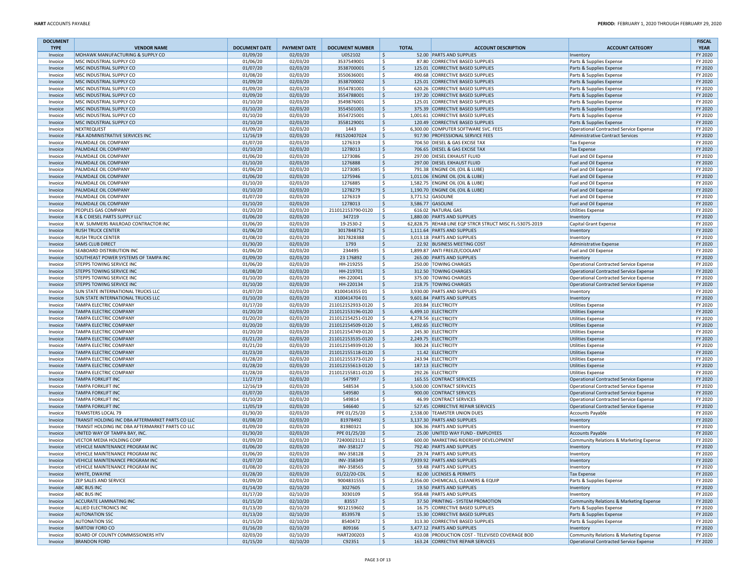| <b>DOCUMENT</b><br><b>TYPE</b> | <b>VENDOR NAME</b>                               | <b>DOCUMENT DATE</b> | <b>PAYMENT DATE</b>  | <b>DOCUMENT NUMBER</b> |                    | <b>TOTAL</b> | <b>ACCOUNT DESCRIPTION</b>                                         | <b>ACCOUNT CATEGORY</b>                                           | <b>FISCAL</b><br><b>YEAR</b> |
|--------------------------------|--------------------------------------------------|----------------------|----------------------|------------------------|--------------------|--------------|--------------------------------------------------------------------|-------------------------------------------------------------------|------------------------------|
| Invoice                        | MOHAWK MANUFACTURING & SUPPLY CO                 | 01/09/20             | 02/03/20             | U052102                | \$                 |              | 52.00 PARTS AND SUPPLIES                                           | Inventory                                                         | FY 2020                      |
| Invoice                        | MSC INDUSTRIAL SUPPLY CO                         | 01/06/20             | 02/03/20             | 3537549001             | Ŝ.                 |              | 87.80 CORRECTIVE BASED SUPPLIES                                    | Parts & Supplies Expense                                          | FY 2020                      |
| Invoice                        | MSC INDUSTRIAL SUPPLY CO                         | 01/07/20             | 02/03/20             | 3538700001             | Ŝ.                 |              | 125.01 CORRECTIVE BASED SUPPLIES                                   | Parts & Supplies Expense                                          | FY 2020                      |
| Invoice                        | MSC INDUSTRIAL SUPPLY CO                         | 01/08/20             | 02/03/20             | 3550636001             | \$                 |              | 490.68 CORRECTIVE BASED SUPPLIES                                   | Parts & Supplies Expense                                          | FY 2020                      |
| Invoice                        | MSC INDUSTRIAL SUPPLY CO                         | 01/09/20             | 02/03/20             | 3538700002             | \$                 |              | 125.01 CORRECTIVE BASED SUPPLIES                                   | Parts & Supplies Expense                                          | FY 2020                      |
| Invoice                        | MSC INDUSTRIAL SUPPLY CO                         | 01/09/20             | 02/03/20             | 3554781001             | Ŝ.                 |              | 620.26 CORRECTIVE BASED SUPPLIES                                   | Parts & Supplies Expense                                          | FY 2020                      |
| Invoice                        | MSC INDUSTRIAL SUPPLY CO                         | 01/09/20             | 02/03/20             | 3554788001             | \$.                |              | 197.20 CORRECTIVE BASED SUPPLIES                                   | Parts & Supplies Expense                                          | FY 2020                      |
| Invoice                        | MSC INDUSTRIAL SUPPLY CO                         | 01/10/20             | 02/03/20             | 3549876001             | \$.                |              | 125.01 CORRECTIVE BASED SUPPLIES                                   | Parts & Supplies Expense                                          | FY 2020                      |
| Invoice                        | MSC INDUSTRIAL SUPPLY CO                         | 01/10/20             | 02/03/20             | 3554501001             | \$                 |              | 375.39 CORRECTIVE BASED SUPPLIES                                   | Parts & Supplies Expense                                          | FY 2020                      |
| Invoice                        | MSC INDUSTRIAL SUPPLY CO                         | 01/10/20             | 02/03/20             | 3554725001             | \$                 |              | 1,001.61 CORRECTIVE BASED SUPPLIES                                 | Parts & Supplies Expense                                          | FY 2020                      |
| Invoice                        | MSC INDUSTRIAL SUPPLY CO                         | 01/10/20             | 02/03/20             | 3558129001             | Ŝ.                 |              | 120.49 CORRECTIVE BASED SUPPLIES                                   | Parts & Supplies Expense                                          | FY 2020                      |
| Invoice                        | NEXTREQUEST                                      | 01/09/20             | 02/03/20             | 1443                   | \$.                |              | 6,300.00 COMPUTER SOFTWARE SVC. FEES                               | Operational Contracted Service Expense                            | FY 2020                      |
| Invoice                        | P&A ADMINISTRATIVE SERVICES INC                  | 11/16/19             | 02/03/20             | F81520407024           | S.                 |              | 917.90 PROFESSIONAL SERVICE FEES                                   | Administrative Contract Services                                  | FY 2020                      |
| Invoice                        | PALMDALE OIL COMPANY                             | 01/07/20             | 02/03/20             | 1276319                | \$.                |              | 704.50 DIESEL & GAS EXCISE TAX                                     | <b>Tax Expense</b>                                                | FY 2020                      |
| Invoice                        | PALMDALE OIL COMPANY                             | 01/10/20             | 02/03/20             | 1278013                | \$                 |              | 706.65 DIESEL & GAS EXCISE TAX                                     | <b>Tax Expense</b>                                                | FY 2020                      |
| Invoice                        | PALMDALE OIL COMPANY                             | 01/06/20             | 02/03/20             | 1273086                | \$.                |              | 297.00 DIESEL EXHAUST FLUID                                        | Fuel and Oil Expense                                              | FY 2020                      |
| Invoice                        | PALMDALE OIL COMPANY                             | 01/10/20             | 02/03/20             | 1276888                | \$                 |              | 297.00 DIESEL EXHAUST FLUID                                        | Fuel and Oil Expense                                              | FY 2020                      |
| Invoice                        | PALMDALE OIL COMPANY<br>PALMDALE OIL COMPANY     | 01/06/20             | 02/03/20             | 1273085                | \$.<br>\$          |              | 791.38 ENGINE OIL (OIL & LUBE)<br>1,011.06 ENGINE OIL (OIL & LUBE) | Fuel and Oil Expense                                              | FY 2020<br>FY 2020           |
| Invoice<br>Invoice             | PALMDALE OIL COMPANY                             | 01/06/20<br>01/10/20 | 02/03/20<br>02/03/20 | 1275946<br>1276885     | \$                 |              | 1,582.75 ENGINE OIL (OIL & LUBE)                                   | Fuel and Oil Expense<br>Fuel and Oil Expense                      | FY 2020                      |
| Invoice                        | PALMDALE OIL COMPANY                             | 01/10/20             | 02/03/20             | 1278279                | \$                 |              | 1,190.70 ENGINE OIL (OIL & LUBE)                                   | Fuel and Oil Expense                                              | FY 2020                      |
| Invoice                        | PALMDALE OIL COMPANY                             | 01/07/20             | 02/03/20             | 1276319                | \$.                |              | 3,771.52 GASOLINE                                                  | Fuel and Oil Expense                                              | FY 2020                      |
| Invoice                        | PALMDALE OIL COMPANY                             | 01/10/20             | 02/03/20             | 1278013                | \$                 |              | 3,586.77 GASOLINE                                                  | Fuel and Oil Expense                                              | FY 2020                      |
| Invoice                        | PEOPLES GAS COMPANY                              | 01/20/20             | 02/03/20             | 211012153790-0120      | S.                 |              | 616.02 NATURAL GAS                                                 | <b>Utilities Expense</b>                                          | FY 2020                      |
| Invoice                        | R & C DIESEL PARTS SUPPLY LLC                    | 01/06/20             | 02/03/20             | 347219                 | \$.                |              | 1,880.00 PARTS AND SUPPLIES                                        | Inventory                                                         | FY 2020                      |
| Invoice                        | R.W. SUMMERS RAILROAD CONTRACTOR INC             | 01/06/20             | 02/03/20             | 19-2530-2              | \$.                |              | 62,828.75 REHAB LINE EQP STRCR STRUCT MISC FL-5307S-2019           | Capital Grant Expense                                             | FY 2020                      |
| Invoice                        | <b>RUSH TRUCK CENTER</b>                         | 01/06/20             | 02/03/20             | 3017848752             | \$                 |              | 1,111.64 PARTS AND SUPPLIES                                        | Inventory                                                         | FY 2020                      |
| Invoice                        | <b>RUSH TRUCK CENTER</b>                         | 01/08/20             | 02/03/20             | 3017828388             | Ŝ.                 |              | 3,013.18 PARTS AND SUPPLIES                                        | Inventory                                                         | FY 2020                      |
| Invoice                        | <b>SAMS CLUB DIRECT</b>                          | 01/30/20             | 02/03/20             | 1793                   | \$                 |              | 22.92 BUSINESS MEETING COST                                        | Administrative Expense                                            | FY 2020                      |
| Invoice                        | SEABOARD DISTRIBUTION INC                        | 01/06/20             | 02/03/20             | 234495                 | \$.                |              | 1.899.87 ANTI FREEZE/COOLANT                                       | Fuel and Oil Expense                                              | FY 2020                      |
| Invoice                        | SOUTHEAST POWER SYSTEMS OF TAMPA INC             | 01/09/20             | 02/03/20             | 23 17 68 92            | \$                 |              | 265.00 PARTS AND SUPPLIES                                          | Inventory                                                         | FY 2020                      |
| Invoice                        | STEPPS TOWING SERVICE INC                        | 01/06/20             | 02/03/20             | HH-219255              | \$.                |              | 250.00 TOWING CHARGES                                              | Operational Contracted Service Expense                            | FY 2020                      |
| Invoice                        | <b>STEPPS TOWING SERVICE INC</b>                 | 01/08/20             | 02/03/20             | HH-219701              | \$                 |              | 312.50 TOWING CHARGES                                              | Operational Contracted Service Expense                            | FY 2020                      |
| Invoice                        | STEPPS TOWING SERVICE INC                        | 01/10/20             | 02/03/20             | HH-220041              | \$.                |              | 375.00 TOWING CHARGES                                              | Operational Contracted Service Expense                            | FY 2020                      |
| Invoice                        | STEPPS TOWING SERVICE INC                        | 01/10/20             | 02/03/20             | HH-220134              | \$                 |              | 218.75 TOWING CHARGES                                              | Operational Contracted Service Expense                            | FY 2020                      |
| Invoice                        | SUN STATE INTERNATIONAL TRUCKS LLC               | 01/07/20             | 02/03/20             | X10041435501           | Ŝ.                 |              | 3.930.00 PARTS AND SUPPLIES                                        | Inventory                                                         | FY 2020                      |
| Invoice                        | SUN STATE INTERNATIONAL TRUCKS LLC               | 01/10/20             | 02/03/20             | X10041470401           | $\ddot{\varsigma}$ |              | 9,601.84 PARTS AND SUPPLIES                                        | Inventory                                                         | FY 2020                      |
| Invoice                        | <b>TAMPA ELECTRIC COMPANY</b>                    | 01/17/20             | 02/03/20             | 211012152933-0120      | -\$                |              | 203.84 ELECTRICITY                                                 | <b>Utilities Expense</b>                                          | FY 2020                      |
| Invoice                        | TAMPA ELECTRIC COMPANY                           | 01/20/20             | 02/03/20             | 211012153196-0120      | Ŝ.                 |              | 6,499.10 ELECTRICITY                                               | <b>Utilities Expense</b>                                          | FY 2020                      |
| Invoice                        | TAMPA ELECTRIC COMPANY                           | 01/20/20             | 02/03/20             | 211012154251-0120      | \$.                |              | 4,278.56 ELECTRICITY                                               | <b>Utilities Expense</b>                                          | FY 2020                      |
| Invoice                        | TAMPA ELECTRIC COMPANY                           | 01/20/20             | 02/03/20             | 211012154509-0120      | \$                 |              | 1,492.65 ELECTRICITY                                               | <b>Utilities Expense</b>                                          | FY 2020                      |
| Invoice                        | TAMPA ELECTRIC COMPANY                           | 01/20/20             | 02/03/20             | 211012154749-0120      | -\$                |              | 245.30 ELECTRICITY                                                 | <b>Utilities Expense</b>                                          | FY 2020                      |
| Invoice                        | TAMPA ELECTRIC COMPANY                           | 01/21/20             | 02/03/20             | 211012153535-0120      | \$.                |              | 2,249.75 ELECTRICITY                                               | <b>Utilities Expense</b>                                          | FY 2020                      |
| Invoice                        | TAMPA ELECTRIC COMPANY                           | 01/21/20             | 02/03/20             | 211012154939-0120      | Ŝ.                 |              | 300.24 ELECTRICITY                                                 | <b>Utilities Expense</b>                                          | FY 2020                      |
| Invoice                        | TAMPA ELECTRIC COMPANY                           | 01/23/20             | 02/03/20             | 211012155118-0120      | Ŝ.                 |              | 11.42 ELECTRICITY                                                  | <b>Utilities Expense</b>                                          | FY 2020                      |
| Invoice                        | TAMPA ELECTRIC COMPANY                           | 01/28/20             | 02/03/20             | 211012155373-0120      | Ŝ.                 |              | 243.94 ELECTRICITY                                                 | <b>Utilities Expense</b>                                          | FY 2020                      |
| Invoice                        | TAMPA ELECTRIC COMPANY                           | 01/28/20             | 02/03/20             | 211012155613-0120      | \$                 |              | 187.13 ELECTRICITY                                                 | <b>Utilities Expense</b>                                          | FY 2020                      |
| Invoice                        | TAMPA ELECTRIC COMPANY                           | 01/28/20             | 02/03/20             | 211012155811-0120      | S.                 |              | 292.26 ELECTRICITY                                                 | <b>Utilities Expense</b>                                          | FY 2020                      |
| Invoice                        | <b>TAMPA FORKLIFT INC</b>                        | 11/27/19             | 02/03/20             | 547997                 | \$                 |              | 165.55 CONTRACT SERVICES                                           | Operational Contracted Service Expense                            | FY 2020                      |
| Invoice                        | <b>TAMPA FORKLIFT INC</b>                        | 12/16/19             | 02/03/20             | 548534                 | \$.                |              | 3,500.00 CONTRACT SERVICES                                         | Operational Contracted Service Expense                            | FY 2020                      |
| Invoice                        | <b>TAMPA FORKLIFT INC</b>                        | 01/07/20             | 02/03/20             | 549580                 | \$<br>Ŝ.           |              | 900.00 CONTRACT SERVICES                                           | Operational Contracted Service Expense                            | FY 2020                      |
| Invoice                        | <b>TAMPA FORKLIFT INC</b>                        | 01/10/20             | 02/03/20             | 549814                 |                    |              | 46.99 CONTRACT SERVICES<br>527.45 CORRECTIVE REPAIR SERVICES       | Operational Contracted Service Expense                            | FY 2020                      |
| Invoice                        | TAMPA FORKLIFT INC<br><b>TEAMSTERS LOCAL 79</b>  | 11/05/19<br>01/30/20 | 02/03/20<br>02/03/20 | 546640<br>PPE 01/25/20 | \$<br>\$.          |              | 2,538.00 TEAMSTER UNION DUES                                       | Operational Contracted Service Expense<br><b>Accounts Payable</b> | FY 2020<br>FY 2020           |
| Invoice<br>Invoice             | TRANSIT HOLDING INC DBA AFTERMARKET PARTS CO LLC | 01/08/20             | 02/03/20             | 81978492               | \$                 |              | 3,137.30 PARTS AND SUPPLIES                                        | Inventory                                                         | FY 2020                      |
| Invoice                        | TRANSIT HOLDING INC DBA AFTERMARKET PARTS CO LLC | 01/09/20             | 02/03/20             | 81980321               | Ŝ.                 |              | 306.36 PARTS AND SUPPLIES                                          | Inventory                                                         | FY 2020                      |
| Invoice                        | UNITED WAY OF TAMPA BAY, INC.                    | 01/30/20             | 02/03/20             | PPE 01/25/20           | \$.                |              | 25.00 UNITED WAY FUND - EMPLOYEES                                  | <b>Accounts Payable</b>                                           | FY 2020                      |
| Invoice                        | VECTOR MEDIA HOLDING CORP                        | 01/09/20             | 02/03/20             | 72400023112            | \$.                |              | 600.00 MARKETING RIDERSHIP DEVELOPMENT                             | Community Relations & Marketing Expense                           | FY 2020                      |
| Invoice                        | VEHICLE MAINTENANCE PROGRAM INC                  | 01/06/20             | 02/03/20             | INV-358127             | \$                 |              | 792.40 PARTS AND SUPPLIES                                          | Inventory                                                         | FY 2020                      |
| Invoice                        | VEHICLE MAINTENANCE PROGRAM INC                  | 01/06/20             | 02/03/20             | INV-358128             | \$                 |              | 29.74 PARTS AND SUPPLIES                                           | <b>Inventory</b>                                                  | FY 2020                      |
| Invoice                        | VEHICLE MAINTENANCE PROGRAM INC                  | 01/07/20             | 02/03/20             | INV-358349             | Ŝ.                 |              | 7.939.92 PARTS AND SUPPLIES                                        | Inventory                                                         | FY 2020                      |
| Invoice                        | VEHICLE MAINTENANCE PROGRAM INC                  | 01/08/20             | 02/03/20             | INV-358565             |                    |              | 59.48 PARTS AND SUPPLIES                                           | Inventory                                                         | FY 2020                      |
| Invoice                        | WHITE, DWAYNE                                    | 01/28/20             | 02/03/20             | 01/22/20-CDL           | \$                 |              | 82.00 LICENSES & PERMITS                                           | <b>Tax Expense</b>                                                | FY 2020                      |
| Invoice                        | <b>ZEP SALES AND SERVICE</b>                     | 01/09/20             | 02/03/20             | 9004831555             | \$                 |              | 2,356.00 CHEMICALS, CLEANERS & EQUIP                               | Parts & Supplies Expense                                          | FY 2020                      |
| Invoice                        | <b>ABC BUS INC</b>                               | 01/14/20             | 02/10/20             | 3027605                | \$                 |              | 19.50 PARTS AND SUPPLIES                                           | Inventory                                                         | FY 2020                      |
| Invoice                        | <b>ABC BUS INC</b>                               | 01/17/20             | 02/10/20             | 3030109                | \$                 |              | 958.48 PARTS AND SUPPLIES                                          | Inventory                                                         | FY 2020                      |
| Invoice                        | <b>ACCURATE LAMINATING INC</b>                   | 01/15/20             | 02/10/20             | 83557                  | \$                 |              | 37.50 PRINTING - SYSTEM PROMOTION                                  | Community Relations & Marketing Expense                           | FY 2020                      |
| Invoice                        | ALLIED ELECTRONICS INC                           | 01/13/20             | 02/10/20             | 9012159602             | \$.                |              | 16.75 CORRECTIVE BASED SUPPLIES                                    | Parts & Supplies Expense                                          | FY 2020                      |
| Invoice                        | <b>AUTONATION SSC</b>                            | 01/13/20             | 02/10/20             | 8539578                | \$                 |              | 15.30 CORRECTIVE BASED SUPPLIES                                    | Parts & Supplies Expense                                          | FY 2020                      |
| Invoice                        | <b>AUTONATION SSC</b>                            | 01/15/20             | 02/10/20             | 8540472                | \$                 |              | 313.30 CORRECTIVE BASED SUPPLIES                                   | Parts & Supplies Expense                                          | FY 2020                      |
| Invoice                        | <b>BARTOW FORD CO</b>                            | 01/16/20             | 02/10/20             | 809166                 | $\mathsf{S}$       |              | 3,477.12 PARTS AND SUPPLIES                                        | Inventory                                                         | FY 2020                      |
| Invoice                        | BOARD OF COUNTY COMMISSIONERS HTV                | 02/03/20             | 02/10/20             | HART200203             | \$                 |              | 410.08 PRODUCTION COST - TELEVISED COVERAGE BOD                    | Community Relations & Marketing Expense                           | FY 2020                      |
| Invoice                        | <b>BRANDON FORD</b>                              | 01/15/20             | 02/10/20             | C92351                 | \$                 |              | 163.24 CORRECTIVE REPAIR SERVICES                                  | Operational Contracted Service Expense                            | FY 2020                      |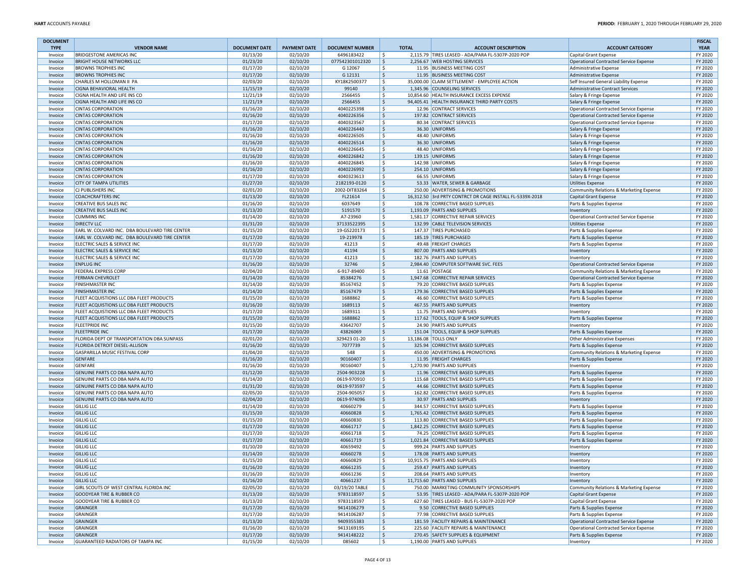| <b>DOCUMENT</b>    | <b>VENDOR NAME</b>                                               |                                  |                                 |                                      | <b>TOTAL</b> |                                                                                  |                                                                     | <b>FISCAL</b>          |
|--------------------|------------------------------------------------------------------|----------------------------------|---------------------------------|--------------------------------------|--------------|----------------------------------------------------------------------------------|---------------------------------------------------------------------|------------------------|
| <b>TYPE</b>        | <b>BRIDGESTONE AMERICAS INC</b>                                  | <b>DOCUMENT DATE</b><br>01/13/20 | <b>PAYMENT DATE</b><br>02/10/20 | <b>DOCUMENT NUMBER</b><br>6496183422 | ١\$          | <b>ACCOUNT DESCRIPTION</b><br>2,115.79 TIRES LEASED - ADA/PARA FL-5307P-2020 POP | <b>ACCOUNT CATEGORY</b><br>Capital Grant Expense                    | <b>YEAR</b><br>FY 2020 |
| Invoice<br>Invoice | <b>BRIGHT HOUSE NETWORKS LLC</b>                                 | 01/23/20                         | 02/10/20                        | 077542301012320                      | \$ ا         | 2,256.67 WEB HOSTING SERVICES                                                    | Operational Contracted Service Expense                              | FY 2020                |
| Invoice            | <b>BROWNS TROPHIES INC</b>                                       | 01/17/20                         | 02/10/20                        | G 12067                              | l\$          | 11.95 BUSINESS MEETING COST                                                      | Administrative Expense                                              | FY 2020                |
| Invoice            | <b>BROWNS TROPHIES INC</b>                                       | 01/17/20                         | 02/10/20                        | G 12131                              | S,           | 11.95 BUSINESS MEETING COST                                                      | Administrative Expense                                              | FY 2020                |
| Invoice            | CHARLES M HOLLOMAN II PA                                         | 02/03/20                         | 02/10/20                        | KY18K2500377                         | l\$          | 35,000.00 CLAIM SETTLEMENT - EMPLOYEE ACTION                                     | Self Insured General Liability Expense                              | FY 2020                |
| Invoice            | <b>CIGNA BEHAVIORAL HEALTH</b>                                   | 11/15/19                         | 02/10/20                        | 99140                                | S,           | 1,345.96 COUNSELING SERVICES                                                     | <b>Administrative Contract Services</b>                             | FY 2020                |
| Invoice            | CIGNA HEALTH AND LIFE INS CO                                     | 11/21/19                         | 02/10/20                        | 2566455                              | l \$         | 10,854.60 HEALTH INSURANCE EXCESS EXPENSE                                        | Salary & Fringe Expense                                             | FY 2020                |
| Invoice            | CIGNA HEALTH AND LIFE INS CO                                     | 11/21/19                         | 02/10/20                        | 2566455                              | S,           | 94,405.41 HEALTH INSURANCE THIRD PARTY COSTS                                     | Salary & Fringe Expense                                             | FY 2020                |
| Invoice            | <b>CINTAS CORPORATION</b>                                        | 01/16/20                         | 02/10/20                        | 4040225398                           | s.           | 12.96 CONTRACT SERVICES                                                          | Operational Contracted Service Expense                              | FY 2020                |
| Invoice            | <b>CINTAS CORPORATION</b>                                        | 01/16/20                         | 02/10/20                        | 4040226356                           | S,           | 197.82 CONTRACT SERVICES                                                         | <b>Operational Contracted Service Expense</b>                       | FY 2020                |
| Invoice            | <b>CINTAS CORPORATION</b>                                        | 01/17/20                         | 02/10/20                        | 4040323567                           | l\$          | 80.34 CONTRACT SERVICES                                                          | Operational Contracted Service Expense                              | FY 2020                |
| Invoice            | <b>CINTAS CORPORATION</b>                                        | 01/16/20                         | 02/10/20                        | 4040226440                           | S,           | 36.30 UNIFORMS                                                                   | Salary & Fringe Expense                                             | FY 2020                |
| Invoice            | <b>CINTAS CORPORATION</b>                                        | 01/16/20                         | 02/10/20                        | 4040226505                           | ١\$          | 48.40 UNIFORMS                                                                   | Salary & Fringe Expense                                             | FY 2020                |
| Invoice            | <b>CINTAS CORPORATION</b>                                        | 01/16/20                         | 02/10/20                        | 4040226514                           | l \$<br>l\$  | 36.30 UNIFORMS                                                                   | Salary & Fringe Expense                                             | FY 2020                |
| Invoice            | <b>CINTAS CORPORATION</b><br><b>CINTAS CORPORATION</b>           | 01/16/20<br>01/16/20             | 02/10/20<br>02/10/20            | 4040226645<br>4040226842             | S,           | 48.40 UNIFORMS<br>139.15 UNIFORMS                                                | Salary & Fringe Expense                                             | FY 2020<br>FY 2020     |
| Invoice<br>Invoice | <b>CINTAS CORPORATION</b>                                        | 01/16/20                         | 02/10/20                        | 4040226845                           | l\$          | 142.98 UNIFORMS                                                                  | Salary & Fringe Expense<br>Salary & Fringe Expense                  | FY 2020                |
| Invoice            | <b>CINTAS CORPORATION</b>                                        | 01/16/20                         | 02/10/20                        | 4040226992                           | l\$          | 254.10 UNIFORMS                                                                  | Salary & Fringe Expense                                             | FY 2020                |
| Invoice            | <b>CINTAS CORPORATION</b>                                        | 01/17/20                         | 02/10/20                        | 4040323613                           | ۱\$.         | 66.55 UNIFORMS                                                                   | Salary & Fringe Expense                                             | FY 2020                |
| Invoice            | <b>CITY OF TAMPA UTILITIES</b>                                   | 01/27/20                         | 02/10/20                        | 2182193-0120                         | \$           | 53.33 WATER, SEWER & GARBAGE                                                     | <b>Utilities Expense</b>                                            | FY 2020                |
| Invoice            | CJ PUBLISHERS INC                                                | 02/01/20                         | 02/10/20                        | 2002-DIT83264                        | l\$          | 250.00 ADVERTISING & PROMOTIONS                                                  | Community Relations & Marketing Expense                             | FY 2020                |
| Invoice            | <b>COACHCRAFTERS INC</b>                                         | 01/13/20                         | 02/10/20                        | FL21614                              | S,           | 16,312.50 3rd PRTY CONTRCT DR CAGE INSTALL FL-5339X-2018                         | <b>Capital Grant Expense</b>                                        | FY 2020                |
| Invoice            | <b>CREATIVE BUS SALES INC</b>                                    | 01/16/20                         | 02/10/20                        | 6037649                              | s.           | 108.78 CORRECTIVE BASED SUPPLIES                                                 | Parts & Supplies Expense                                            | FY 2020                |
| Invoice            | <b>CREATIVE BUS SALES INC</b>                                    | 01/13/20                         | 02/10/20                        | 5191570                              | S,           | 1,193.09 PARTS AND SUPPLIES                                                      | Inventory                                                           | FY 2020                |
| Invoice            | <b>CUMMINS INC</b>                                               | 01/14/20                         | 02/10/20                        | A7-23960                             | l \$         | 1,581.17 CORRECTIVE REPAIR SERVICES                                              | Operational Contracted Service Expense                              | FY 2020                |
| Invoice            | <b>DIRECTV LLC</b>                                               | 01/31/20                         | 02/10/20                        | 37133522395                          | S,           | 132.99 CABLE TELEVISION SERVICES                                                 | <b>Utilities Expense</b>                                            | FY 2020                |
| Invoice            | EARL W. COLVARD INC. DBA BOULEVARD TIRE CENTER                   | 01/15/20                         | 02/10/20                        | 19-GS220173                          | l\$          | 147.37 TIRES PURCHASED                                                           | Parts & Supplies Expense                                            | FY 2020                |
| Invoice            | EARL W. COLVARD INC. DBA BOULEVARD TIRE CENTER                   | 01/17/20                         | 02/10/20                        | 19-219978                            | l\$          | 185.19 TIRES PURCHASED                                                           | Parts & Supplies Expense                                            | FY 2020                |
| Invoice            | ELECTRIC SALES & SERVICE INC                                     | 01/17/20                         | 02/10/20                        | 41213                                | ١\$          | 49.48 FREIGHT CHARGES                                                            | Parts & Supplies Expense                                            | FY 2020                |
| Invoice            | ELECTRIC SALES & SERVICE INC<br>ELECTRIC SALES & SERVICE INC     | 01/13/20<br>01/17/20             | 02/10/20<br>02/10/20            | 41194<br>41213                       | ۱\$          | 807.00 PARTS AND SUPPLIES<br>182.76 PARTS AND SUPPLIES                           | Inventory                                                           | FY 2020<br>FY 2020     |
| Invoice<br>Invoice | <b>ENPLUG INC</b>                                                | 01/16/20                         | 02/10/20                        | 32746                                | \$<br>l\$    | 2,984.40 COMPUTER SOFTWARE SVC. FEES                                             | Inventory<br>Operational Contracted Service Expense                 | FY 2020                |
| Invoice            | <b>FEDERAL EXPRESS CORP</b>                                      | 02/04/20                         | 02/10/20                        | 6-917-89400                          | l\$          | 11.61 POSTAGE                                                                    | Community Relations & Marketing Expense                             | FY 2020                |
| Invoice            | <b>FERMAN CHEVROLET</b>                                          | 01/14/20                         | 02/10/20                        | 85384276                             | ۱\$          | 1,947.68 CORRECTIVE REPAIR SERVICES                                              | Operational Contracted Service Expense                              | FY 2020                |
| Invoice            | <b>FINISHMASTER INC</b>                                          | 01/14/20                         | 02/10/20                        | 85167452                             | -\$          | 79.20 CORRECTIVE BASED SUPPLIES                                                  | Parts & Supplies Expense                                            | FY 2020                |
| Invoice            | <b>FINISHMASTER INC</b>                                          | 01/14/20                         | 02/10/20                        | 85167479                             | ۱\$          | 179.36 CORRECTIVE BASED SUPPLIES                                                 | Parts & Supplies Expense                                            | FY 2020                |
| Invoice            | FLEET ACQUISTIONS LLC DBA FLEET PRODUCTS                         | 01/15/20                         | 02/10/20                        | 1688862                              | ١\$          | 46.60 CORRECTIVE BASED SUPPLIES                                                  | Parts & Supplies Expense                                            | FY 2020                |
| Invoice            | FLEET ACQUISTIONS LLC DBA FLEET PRODUCTS                         | 01/16/20                         | 02/10/20                        | 1689113                              | S,           | 467.55 PARTS AND SUPPLIES                                                        | Inventory                                                           | FY 2020                |
| Invoice            | FLEET ACQUISTIONS LLC DBA FLEET PRODUCTS                         | 01/17/20                         | 02/10/20                        | 1689311                              | l\$          | 11.75 PARTS AND SUPPLIES                                                         | Inventory                                                           | FY 2020                |
| Invoice            | FLEET ACQUISTIONS LLC DBA FLEET PRODUCTS                         | 01/15/20                         | 02/10/20                        | 1688862                              | S,           | 117.62 TOOLS, EQUIP & SHOP SUPPLIES                                              | Parts & Supplies Expense                                            | FY 2020                |
| Invoice            | <b>FLEETPRIDE INC</b>                                            | 01/15/20                         | 02/10/20                        | 43642707                             | -\$          | 24.90 PARTS AND SUPPLIES                                                         | Inventory                                                           | FY 2020                |
| Invoice            | <b>FLEETPRIDE INC</b>                                            | 01/17/20                         | 02/10/20                        | 43826069                             | \$           | 151.04 TOOLS, EQUIP & SHOP SUPPLIES                                              | Parts & Supplies Expense                                            | FY 2020                |
| Invoice            | FLORIDA DEPT OF TRANSPORTATION DBA SUNPASS                       | 02/01/20                         | 02/10/20                        | 329423 01-20                         | l\$          | 13,186.08 TOLLS ONLY                                                             | Other Administrative Expenses                                       | FY 2020                |
| Invoice<br>Invoice | FLORIDA DETROIT DIESEL-ALLISON<br>GASPARILLA MUSIC FESTIVAL CORP | 01/16/20<br>01/04/20             | 02/10/20<br>02/10/20            | 7077739<br>548                       | S,<br>l\$    | 325.94 CORRECTIVE BASED SUPPLIES<br>450.00 ADVERTISING & PROMOTIONS              | Parts & Supplies Expense                                            | FY 2020<br>FY 2020     |
| Invoice            | <b>GENFARE</b>                                                   | 01/16/20                         | 02/10/20                        | 90160407                             | l\$.         | 11.95 FREIGHT CHARGES                                                            | Community Relations & Marketing Expense<br>Parts & Supplies Expense | FY 2020                |
| Invoice            | <b>GENFARE</b>                                                   | 01/16/20                         | 02/10/20                        | 90160407                             | ۱\$.         | 1,270.90 PARTS AND SUPPLIES                                                      | Inventory                                                           | FY 2020                |
| Invoice            | GENUINE PARTS CO DBA NAPA AUTO                                   | 01/12/20                         | 02/10/20                        | 2504-903228                          | ۱\$          | 11.96 CORRECTIVE BASED SUPPLIES                                                  | Parts & Supplies Expense                                            | FY 2020                |
| Invoice            | GENUINE PARTS CO DBA NAPA AUTO                                   | 01/14/20                         | 02/10/20                        | 0619-970910                          | l\$          | 115.68 CORRECTIVE BASED SUPPLIES                                                 | Parts & Supplies Expense                                            | FY 2020                |
| Invoice            | GENUINE PARTS CO DBA NAPA AUTO                                   | 01/31/20                         | 02/10/20                        | 0619-973597                          | l \$         | 44.66 CORRECTIVE BASED SUPPLIES                                                  | Parts & Supplies Expense                                            | FY 2020                |
| Invoice            | GENUINE PARTS CO DBA NAPA AUTO                                   | 02/05/20                         | 02/10/20                        | 2504-905057                          | l\$          | 162.82 CORRECTIVE BASED SUPPLIES                                                 | Parts & Supplies Expense                                            | FY 2020                |
| Invoice            | GENUINE PARTS CO DBA NAPA AUTO                                   | 02/04/20                         | 02/10/20                        | 0619-974096                          | S,           | 30.97 PARTS AND SUPPLIES                                                         | Inventory                                                           | FY 2020                |
| Invoice            | <b>GILLIG LLC</b>                                                | 01/14/20                         | 02/10/20                        | 40660279                             | l\$          | 344.57 CORRECTIVE BASED SUPPLIES                                                 | Parts & Supplies Expense                                            | FY 2020                |
| Invoice            | <b>GILLIG LLC</b>                                                | 01/15/20                         | 02/10/20                        | 40660828                             | S,           | 1,765.42 CORRECTIVE BASED SUPPLIES                                               | Parts & Supplies Expense                                            | FY 2020                |
| Invoice            | <b>GILLIG LLC</b>                                                | 01/15/20                         | 02/10/20                        | 40660830                             | ١\$          | 113.80 CORRECTIVE BASED SUPPLIES                                                 | Parts & Supplies Expense                                            | FY 2020                |
| Invoice            | <b>GILLIG LLC</b>                                                | 01/17/20                         | 02/10/20                        | 40661717                             | S,           | 1,842.25 CORRECTIVE BASED SUPPLIES                                               | Parts & Supplies Expense                                            | FY 2020                |
| Invoice            | <b>GILLIG LLC</b>                                                | 01/17/20                         | 02/10/20                        | 40661718                             | ۱\$          | 74.25 CORRECTIVE BASED SUPPLIES                                                  | Parts & Supplies Expense                                            | FY 2020                |
| Invoice            | <b>GILLIG LLC</b><br><b>GILLIG LLC</b>                           | 01/17/20<br>01/10/20             | 02/10/20<br>02/10/20            | 40661719<br>40659492                 | S,<br>s.     | 1,021.84 CORRECTIVE BASED SUPPLIES                                               | Parts & Supplies Expense                                            | FY 2020<br>FY 2020     |
| Invoice<br>Invoice | <b>GILLIG LLC</b>                                                | 01/14/20                         | 02/10/20                        | 40660278                             | ۱\$          | 999.24 PARTS AND SUPPLIES<br>178.08 PARTS AND SUPPLIES                           | Inventory<br>Inventory                                              | FY 2020                |
| Invoice            | <b>GILLIG LLC</b>                                                | 01/15/20                         | 02/10/20                        | 40660829                             | l \$         | 10,915.75 PARTS AND SUPPLIES                                                     | Inventory                                                           | FY 2020                |
| nvoice             | <b>GILLIG LLC</b>                                                | 01/16/20                         | 02/10/20                        | 40661235                             | ١ś           | 259.47 PARTS AND SUPPLIES                                                        | Inventor                                                            | FY 2020                |
| Invoice            | <b>GILLIG LLC</b>                                                | 01/16/20                         | 02/10/20                        | 40661236                             | l\$          | 208.64 PARTS AND SUPPLIES                                                        | Inventory                                                           | FY 2020                |
| Invoice            | <b>GILLIG LLC</b>                                                | 01/16/20                         | 02/10/20                        | 40661237                             | S,           | 11,715.60 PARTS AND SUPPLIES                                                     | Inventory                                                           | FY 2020                |
| Invoice            | GIRL SCOUTS OF WEST CENTRAL FLORIDA INC                          | 02/05/20                         | 02/10/20                        | 03/19/20 TABLE                       | l\$          | 750.00 MARKETING COMMUNITY SPONSORSHIPS                                          | Community Relations & Marketing Expense                             | FY 2020                |
| Invoice            | GOODYEAR TIRE & RUBBER CO                                        | 01/13/20                         | 02/10/20                        | 9783118597                           | l\$.         | 53.95 TIRES LEASED - ADA/PARA FL-5307P-2020 POP                                  | Capital Grant Expense                                               | FY 2020                |
| Invoice            | <b>GOODYEAR TIRE &amp; RUBBER CO</b>                             | 01/13/20                         | 02/10/20                        | 9783118597                           | S,           | 627.60 TIRES LEASED - BUS FL-5307P-2020 POP                                      | Capital Grant Expense                                               | FY 2020                |
| Invoice            | <b>GRAINGER</b>                                                  | 01/17/20                         | 02/10/20                        | 9414106279                           | \$           | 9.50 CORRECTIVE BASED SUPPLIES                                                   | Parts & Supplies Expense                                            | FY 2020                |
| Invoice            | <b>GRAINGER</b>                                                  | 01/17/20                         | 02/10/20                        | 9414106287                           | l\$          | 77.98 CORRECTIVE BASED SUPPLIES                                                  | Parts & Supplies Expense                                            | FY 2020                |
| Invoice            | <b>GRAINGER</b>                                                  | 01/13/20                         | 02/10/20                        | 9409355383                           | \$           | 181.59 FACILITY REPAIRS & MAINTENANCE                                            | Operational Contracted Service Expense                              | FY 2020                |
| Invoice            | <b>GRAINGER</b>                                                  | 01/16/20                         | 02/10/20                        | 9413169195                           | l\$          | 225.60 FACILITY REPAIRS & MAINTENANCE                                            | Operational Contracted Service Expense                              | FY 2020                |
| Invoice            | <b>GRAINGER</b><br>GUARANTEED RADIATORS OF TAMPA INC             | 01/17/20                         | 02/10/20<br>02/10/20            | 9414148222<br>085602                 | l\$.<br>S,   | 270.45 SAFETY SUPPLIES & EQUIPMENT<br>1,190.00 PARTS AND SUPPLIES                | Parts & Supplies Expense                                            | FY 2020<br>FY 2020     |
| Invoice            |                                                                  | 01/15/20                         |                                 |                                      |              |                                                                                  | Inventory                                                           |                        |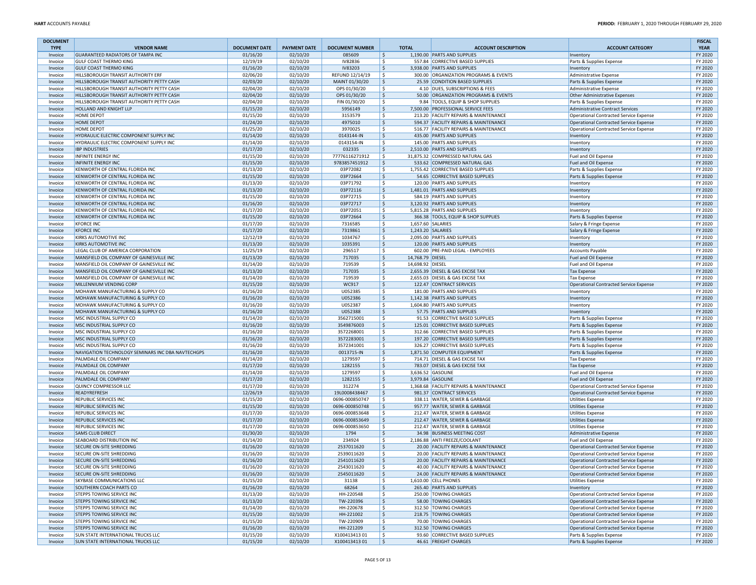| <b>DOCUMENT</b>    |                                                                     |                      |                      |                                   |                    |                  |                                                                 |                                                                                  | <b>FISCAL</b>      |
|--------------------|---------------------------------------------------------------------|----------------------|----------------------|-----------------------------------|--------------------|------------------|-----------------------------------------------------------------|----------------------------------------------------------------------------------|--------------------|
| <b>TYPE</b>        | <b>VENDOR NAME</b>                                                  | <b>DOCUMENT DATE</b> | <b>PAYMENT DATE</b>  | <b>DOCUMENT NUMBER</b>            |                    | <b>TOTAL</b>     | <b>ACCOUNT DESCRIPTION</b>                                      | <b>ACCOUNT CATEGORY</b>                                                          | <b>YEAR</b>        |
| Invoice            | <b>GUARANTEED RADIATORS OF TAMPA INC</b>                            | 01/16/20             | 02/10/20             | 085609                            | $\mathsf{S}$       |                  | 1,190.00 PARTS AND SUPPLIES                                     | Inventory                                                                        | FY 2020            |
| Invoice            | <b>GULF COAST THERMO KING</b>                                       | 12/19/19             | 02/10/20             | IV82836                           | Ŝ.                 |                  | 557.84 CORRECTIVE BASED SUPPLIES<br>3,938.00 PARTS AND SUPPLIES | Parts & Supplies Expense                                                         | FY 2020            |
| Invoice<br>Invoice | <b>GULF COAST THERMO KING</b><br>HILLSBOROUGH TRANSIT AUTHORITY ERF | 01/16/20<br>02/06/20 | 02/10/20<br>02/10/20 | <b>IV83203</b><br>REFUND 12/14/19 | \$<br>\$.          |                  | 300.00 ORGANIZATION PROGRAMS & EVENTS                           | Inventory<br><b>Administrative Expense</b>                                       | FY 2020<br>FY 2020 |
| Invoice            | HILLSBOROUGH TRANSIT AUTHORITY PETTY CASH                           | 02/03/20             | 02/10/20             | MAINT 01/30/20                    | \$                 |                  | 25.59 CONDITION BASED SUPPLIES                                  | Parts & Supplies Expense                                                         | FY 2020            |
| Invoice            | HILLSBOROUGH TRANSIT AUTHORITY PETTY CASH                           | 02/04/20             | 02/10/20             | OPS 01/30/20                      | \$                 |                  | 4.10 DUES, SUBSCRIPTIONS & FEES                                 | Administrative Expense                                                           | FY 2020            |
| Invoice            | HILLSBOROUGH TRANSIT AUTHORITY PETTY CASH                           | 02/04/20             | 02/10/20             | OPS 01/30/20                      | \$                 |                  | 50.00 ORGANIZATION PROGRAMS & EVENTS                            | Other Administrative Expenses                                                    | FY 2020            |
| Invoice            | HILLSBOROUGH TRANSIT AUTHORITY PETTY CASH                           | 02/04/20             | 02/10/20             | FIN 01/30/20                      | \$                 |                  | 9.84 TOOLS. EQUIP & SHOP SUPPLIES                               | Parts & Supplies Expense                                                         | FY 2020            |
| Invoice            | HOLLAND AND KNIGHT LLP                                              | 01/15/20             | 02/10/20             | 5956149                           | $\mathsf{S}$       |                  | 7,500.00 PROFESSIONAL SERVICE FEES                              | Administrative Contract Services                                                 | FY 2020            |
| Invoice            | <b>HOME DEPOT</b>                                                   | 01/15/20             | 02/10/20             | 3153579                           | \$.                |                  | 213.20 FACILITY REPAIRS & MAINTENANCE                           | Operational Contracted Service Expense                                           | FY 2020            |
| Invoice            | <b>HOME DEPOT</b>                                                   | 01/24/20             | 02/10/20             | 4975010                           | \$                 |                  | 594.37 FACILITY REPAIRS & MAINTENANCE                           | Operational Contracted Service Expense                                           | FY 2020            |
| Invoice            | <b>HOME DEPOT</b><br>HYDRAULIC ELECTRIC COMPONENT SUPPLY INC        | 01/25/20             | 02/10/20             | 3970025<br>0143144-IN             | \$.<br>$\sf S$     |                  | 516.77 FACILITY REPAIRS & MAINTENANCE                           | Operational Contracted Service Expense                                           | FY 2020<br>FY 2020 |
| Invoice<br>Invoice | HYDRAULIC ELECTRIC COMPONENT SUPPLY INC                             | 01/14/20<br>01/14/20 | 02/10/20<br>02/10/20 | 0143154-IN                        | \$.                |                  | 435.00 PARTS AND SUPPLIES<br>145.00 PARTS AND SUPPLIES          | Inventory<br>Inventory                                                           | FY 2020            |
| Invoice            | <b>IBP INDUSTRIES</b>                                               | 01/17/20             | 02/10/20             | 032335                            | \$                 |                  | 2,510.00 PARTS AND SUPPLIES                                     | Inventory                                                                        | FY 2020            |
| Invoice            | <b>INFINITE ENERGY INC</b>                                          | 01/15/20             | 02/10/20             | 77776116271912                    | \$                 |                  | 31,875.32 COMPRESSED NATURAL GAS                                | Fuel and Oil Expense                                                             | FY 2020            |
| Invoice            | <b>INFINITE ENERGY INC</b>                                          | 01/15/20             | 02/10/20             | 9783857451912                     | \$                 |                  | 533.62 COMPRESSED NATURAL GAS                                   | Fuel and Oil Expense                                                             | FY 2020            |
| Invoice            | KENWORTH OF CENTRAL FLORIDA INC                                     | 01/13/20             | 02/10/20             | 03P72082                          | \$                 |                  | 1.755.42 CORRECTIVE BASED SUPPLIES                              | Parts & Supplies Expense                                                         | FY 2020            |
| Invoice            | KENWORTH OF CENTRAL FLORIDA INC                                     | 01/15/20             | 02/10/20             | 03P72664                          | \$                 |                  | 54.65 CORRECTIVE BASED SUPPLIES                                 | Parts & Supplies Expense                                                         | FY 2020            |
| Invoice            | KENWORTH OF CENTRAL FLORIDA INC                                     | 01/13/20             | 02/10/20             | 03P71792                          | \$.                |                  | 120.00 PARTS AND SUPPLIES                                       | Inventory                                                                        | FY 2020            |
| Invoice            | KENWORTH OF CENTRAL FLORIDA INC                                     | 01/13/20             | 02/10/20             | 03P72116                          | \$                 |                  | 1,481.01 PARTS AND SUPPLIES                                     | Inventory                                                                        | FY 2020            |
| Invoice            | KENWORTH OF CENTRAL FLORIDA INC                                     | 01/15/20             | 02/10/20             | 03P72715                          | \$.                |                  | 584.19 PARTS AND SUPPLIES                                       | Inventory                                                                        | FY 2020            |
| Invoice            | KENWORTH OF CENTRAL FLORIDA INC<br>KENWORTH OF CENTRAL FLORIDA INC  | 01/16/20<br>01/17/20 | 02/10/20<br>02/10/20 | 03P72717<br>03P72051              | \$.<br>\$          |                  | 3,120.92 PARTS AND SUPPLIES<br>5,815.28 PARTS AND SUPPLIES      | Inventory                                                                        | FY 2020<br>FY 2020 |
| Invoice<br>Invoice | KENWORTH OF CENTRAL FLORIDA INC                                     | 01/15/20             | 02/10/20             | 03P72664                          | \$                 |                  | 366.38 TOOLS, EQUIP & SHOP SUPPLIES                             | Inventory<br>Parts & Supplies Expense                                            | FY 2020            |
| Invoice            | <b>KFORCE INC</b>                                                   | 01/17/20             | 02/10/20             | 7316585                           | \$                 |                  | 1,657.60 SALARIES                                               | Salary & Fringe Expense                                                          | FY 2020            |
| Invoice            | <b>KFORCE INC</b>                                                   | 01/17/20             | 02/10/20             | 7319861                           | $\mathsf{S}$       |                  | 1,243.20 SALARIES                                               | Salary & Fringe Expense                                                          | FY 2020            |
| Invoice            | KIRKS AUTOMOTIVE INC                                                | 12/12/19             | 02/10/20             | 1034767                           | \$.                |                  | 2,095.00 PARTS AND SUPPLIES                                     | Inventory                                                                        | FY 2020            |
| Invoice            | <b>KIRKS AUTOMOTIVE INC</b>                                         | 01/13/20             | 02/10/20             | 1035391                           | S.                 |                  | 120.00 PARTS AND SUPPLIES                                       | Inventory                                                                        | FY 2020            |
| Invoice            | LEGAL CLUB OF AMERICA CORPORATION                                   | 11/25/19             | 02/10/20             | 296517                            | \$                 |                  | 602.00 PRE-PAID LEGAL - EMPLOYEES                               | <b>Accounts Payable</b>                                                          | FY 2020            |
| Invoice            | MANSFIELD OIL COMPANY OF GAINESVILLE INC                            | 01/13/20             | 02/10/20             | 717035                            | \$                 | 14,768.79 DIESEL |                                                                 | Fuel and Oil Expense                                                             | FY 2020            |
| Invoice            | MANSFIELD OIL COMPANY OF GAINESVILLE INC                            | 01/14/20             | 02/10/20             | 719539                            | \$.                | 14,698.92 DIESEL |                                                                 | Fuel and Oil Expense                                                             | FY 2020            |
| Invoice            | MANSFIELD OIL COMPANY OF GAINESVILLE INC                            | 01/13/20             | 02/10/20             | 717035                            | \$                 |                  | 2,655.39 DIESEL & GAS EXCISE TAX                                | <b>Tax Expense</b>                                                               | FY 2020            |
| Invoice            | MANSFIELD OIL COMPANY OF GAINESVILLE INC                            | 01/14/20             | 02/10/20             | 719539                            | \$.                |                  | 2,655.03 DIESEL & GAS EXCISE TAX                                | <b>Tax Expense</b>                                                               | FY 2020            |
| Invoice            | MILLENNIUM VENDING CORP                                             | 01/15/20             | 02/10/20             | WC917                             | \$                 |                  | 122.47 CONTRACT SERVICES                                        | Operational Contracted Service Expense                                           | FY 2020            |
| Invoice            | MOHAWK MANUFACTURING & SUPPLY CO                                    | 01/16/20             | 02/10/20             | U052385                           | \$.                |                  | 181.00 PARTS AND SUPPLIES                                       | Inventory                                                                        | FY 2020            |
| Invoice            | MOHAWK MANUFACTURING & SUPPLY CO                                    | 01/16/20             | 02/10/20             | U052386                           | \$                 |                  | 1,142.38 PARTS AND SUPPLIES                                     | Inventory                                                                        | FY 2020            |
| Invoice            | MOHAWK MANUFACTURING & SUPPLY CO                                    | 01/16/20             | 02/10/20             | U052387                           | \$.                |                  | 1,604.80 PARTS AND SUPPLIES                                     | Inventory                                                                        | FY 2020            |
| Invoice            | MOHAWK MANUFACTURING & SUPPLY CO<br>MSC INDUSTRIAL SUPPLY CO        | 01/16/20<br>01/14/20 | 02/10/20<br>02/10/20 | U052388<br>3562715001             | \$<br>\$           |                  | 57.75 PARTS AND SUPPLIES<br>91.53 CORRECTIVE BASED SUPPLIES     | Inventory                                                                        | FY 2020<br>FY 2020 |
| Invoice<br>Invoice | MSC INDUSTRIAL SUPPLY CO                                            | 01/16/20             | 02/10/20             | 3549876003                        | \$                 |                  | 125.01 CORRECTIVE BASED SUPPLIES                                | Parts & Supplies Expense<br>Parts & Supplies Expense                             | FY 2020            |
| Invoice            | MSC INDUSTRIAL SUPPLY CO                                            | 01/16/20             | 02/10/20             | 3572268001                        | \$                 |                  | 312.66 CORRECTIVE BASED SUPPLIES                                | Parts & Supplies Expense                                                         | FY 2020            |
| Invoice            | MSC INDUSTRIAL SUPPLY CO                                            | 01/16/20             | 02/10/20             | 3572283001                        | \$                 |                  | 197.20 CORRECTIVE BASED SUPPLIES                                | Parts & Supplies Expense                                                         | FY 2020            |
| Invoice            | MSC INDUSTRIAL SUPPLY CO                                            | 01/16/20             | 02/10/20             | 3572341001                        | Ŝ.                 |                  | 326.27 CORRECTIVE BASED SUPPLIES                                | Parts & Supplies Expense                                                         | FY 2020            |
| Invoice            | NAVIGATION TECHNOLOGY SEMINARS INC DBA NAVTECHGPS                   | 01/16/20             | 02/10/20             | 0013715-IN                        | $\mathsf{S}$       |                  | 1,871.50 COMPUTER EQUIPMENT                                     | Parts & Supplies Expense                                                         | FY 2020            |
| Invoice            | PALMDALE OIL COMPANY                                                | 01/14/20             | 02/10/20             | 1279597                           | \$.                |                  | 714.71 DIESEL & GAS EXCISE TAX                                  | <b>Tax Expense</b>                                                               | FY 2020            |
| Invoice            | PALMDALE OIL COMPANY                                                | 01/17/20             | 02/10/20             | 1282155                           | \$                 |                  | 783.07 DIESEL & GAS EXCISE TAX                                  | <b>Tax Expense</b>                                                               | FY 2020            |
| Invoice            | PALMDALE OIL COMPANY                                                | 01/14/20             | 02/10/20             | 1279597                           | \$.                |                  | 3,636.52 GASOLINE                                               | Fuel and Oil Expense                                                             | FY 2020            |
| Invoice            | PALMDALE OIL COMPANY                                                | 01/17/20             | 02/10/20             | 1282155                           | Ŝ.                 |                  | 3,979.84 GASOLINE                                               | Fuel and Oil Expense                                                             | FY 2020            |
| Invoice            | QUINCY COMPRESSOR LLC                                               | 01/17/20             | 02/10/20             | 312274                            | \$.                |                  | 1,368.68 FACILITY REPAIRS & MAINTENANCE                         | Operational Contracted Service Expense                                           | FY 2020            |
| Invoice            | READYREFRESH                                                        | 12/26/19             | 02/10/20             | 19L0008438467                     | S.                 |                  | 981.37 CONTRACT SERVICES                                        | Operational Contracted Service Expense                                           | FY 2020            |
| Invoice            | REPUBLIC SERVICES INC                                               | 01/15/20             | 02/10/20             | 0696-000850747<br>0696-000850748  | Ŝ.                 |                  | 338.11 WATER, SEWER & GARBAGE                                   | <b>Utilities Expense</b>                                                         | FY 2020            |
| Invoice<br>Invoice | <b>REPUBLIC SERVICES INC</b><br><b>REPUBLIC SERVICES INC</b>        | 01/15/20<br>01/17/20 | 02/10/20<br>02/10/20 | 0696-000853648                    | \$<br>\$           |                  | 957.77 WATER, SEWER & GARBAGE<br>212.47 WATER, SEWER & GARBAGE  | <b>Utilities Expense</b><br><b>Utilities Expense</b>                             | FY 2020<br>FY 2020 |
| Invoice            | <b>REPUBLIC SERVICES INC</b>                                        | 01/17/20             | 02/10/20             | 0696-000853649                    | Ŝ.                 |                  | 212.47 WATER, SEWER & GARBAGE                                   | <b>Utilities Expense</b>                                                         | FY 2020            |
| Invoice            | REPUBLIC SERVICES INC                                               | 01/17/20             | 02/10/20             | 0696-000853650                    | \$                 |                  | 212.47 WATER, SEWER & GARBAGE                                   | <b>Utilities Expense</b>                                                         | FY 2020            |
| Invoice            | <b>SAMS CLUB DIRECT</b>                                             | 01/30/20             | 02/10/20             | 1794                              | \$                 |                  | 34.98 BUSINESS MEETING COST                                     | Administrative Expense                                                           | FY 2020            |
| Invoice            | <b>SEABOARD DISTRIBUTION INC</b>                                    | 01/14/20             | 02/10/20             | 234924                            | \$                 |                  | 2,186.88 ANTI FREEZE/COOLANT                                    | Fuel and Oil Expense                                                             | FY 2020            |
| Invoice            | SECURE ON-SITE SHREDDING                                            | 01/16/20             | 02/10/20             | 2537011620                        | \$.                |                  | 20.00 FACILITY REPAIRS & MAINTENANCE                            | Operational Contracted Service Expense                                           | FY 2020            |
| Invoice            | SECURE ON-SITE SHREDDING                                            | 01/16/20             | 02/10/20             | 2539011620                        | Ŝ.                 |                  | 20.00 FACILITY REPAIRS & MAINTENANCE                            | Operational Contracted Service Expense                                           | FY 2020            |
| Invoice            | <b>SECURE ON-SITE SHREDDING</b>                                     | 01/16/20             | 02/10/20             | 2541011620                        | \$                 |                  | 20.00 FACILITY REPAIRS & MAINTENANCE                            | Operational Contracted Service Expense                                           | FY 2020            |
| Invoice            | SECURE ON-SITE SHREDDING                                            | 01/16/20             | 02/10/20             | 2543011620                        | -\$                |                  | 40.00 FACILITY REPAIRS & MAINTENANCE                            | Operational Contracted Service Expense                                           | FY 2020            |
| Invoice            | <b>SECURE ON-SITE SHREDDING</b>                                     | 01/16/20             | 02/10/20             | 2545011620                        | $\ddot{\varsigma}$ |                  | 24.00 FACILITY REPAIRS & MAINTENANCE                            | Operational Contracted Service Expense                                           | FY 2020            |
| Invoice            | SKYBASE COMMUNICATIONS LLC                                          | 01/15/20             | 02/10/20             | 31138                             | \$                 |                  | 1,610.00 CELL PHONES                                            | Utilities Expense                                                                | FY 2020            |
| Invoice            | SOUTHERN COACH PARTS CO                                             | 01/16/20             | 02/10/20             | 68264                             | \$                 |                  | 265.40 PARTS AND SUPPLIES                                       | Inventory                                                                        | FY 2020            |
| Invoice            | STEPPS TOWING SERVICE INC                                           | 01/13/20             | 02/10/20             | HH-220548                         | \$                 |                  | 250.00 TOWING CHARGES                                           | Operational Contracted Service Expense<br>Operational Contracted Service Expense | FY 2020            |
| Invoice            | <b>STEPPS TOWING SERVICE INC</b><br>STEPPS TOWING SERVICE INC       | 01/13/20<br>01/14/20 | 02/10/20<br>02/10/20 | TW-220396<br>HH-220678            | \$<br>\$           |                  | 58.00 TOWING CHARGES<br>312.50 TOWING CHARGES                   | Operational Contracted Service Expense                                           | FY 2020<br>FY 2020 |
| Invoice<br>Invoice | STEPPS TOWING SERVICE INC                                           | 01/15/20             | 02/10/20             | HH-221002                         | \$                 |                  | 218.75 TOWING CHARGES                                           | Operational Contracted Service Expense                                           | FY 2020            |
| Invoice            | STEPPS TOWING SERVICE INC                                           | 01/15/20             | 02/10/20             | TW-220909                         | \$                 |                  | 70.00 TOWING CHARGES                                            | Operational Contracted Service Expense                                           | FY 2020            |
| Invoice            | <b>STEPPS TOWING SERVICE INC</b>                                    | 01/16/20             | 02/10/20             | HH-221209                         | \$                 |                  | 312.50 TOWING CHARGES                                           | Operational Contracted Service Expense                                           | FY 2020            |
| Invoice            | SUN STATE INTERNATIONAL TRUCKS LLC                                  | 01/15/20             | 02/10/20             | X10041341301                      | \$                 |                  | 93.60 CORRECTIVE BASED SUPPLIES                                 | Parts & Supplies Expense                                                         | FY 2020            |
| Invoice            | <b>SUN STATE INTERNATIONAL TRUCKS LLC</b>                           | 01/15/20             | 02/10/20             | X10041341301                      | l\$                |                  | 46.61 FREIGHT CHARGES                                           | Parts & Supplies Expense                                                         | FY 2020            |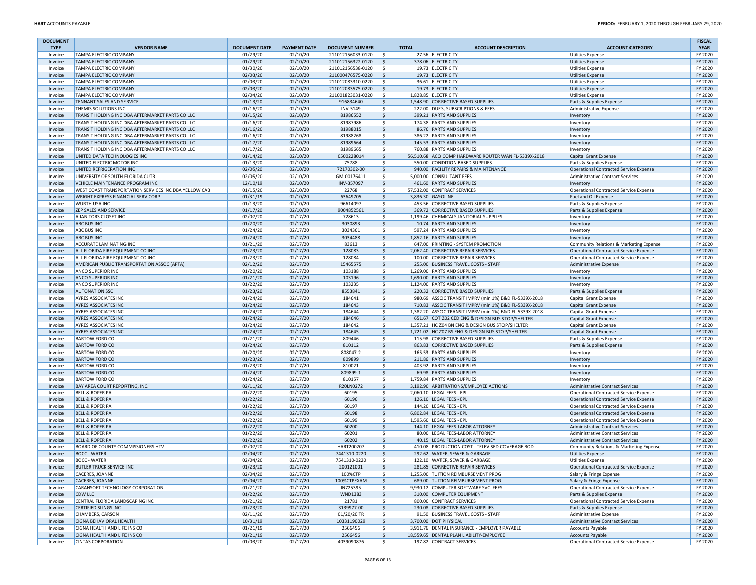| <b>DOCUMENT</b>    |                                                                                                      |                                  |                      |                                        |                    |                                                                      |                                                                             | <b>FISCAL</b>          |
|--------------------|------------------------------------------------------------------------------------------------------|----------------------------------|----------------------|----------------------------------------|--------------------|----------------------------------------------------------------------|-----------------------------------------------------------------------------|------------------------|
| <b>TYPE</b>        | <b>VENDOR NAME</b>                                                                                   | <b>DOCUMENT DATE</b><br>01/29/20 | <b>PAYMENT DATE</b>  | <b>DOCUMENT NUMBER</b>                 | <b>TOTAL</b><br>Ŝ. | <b>ACCOUNT DESCRIPTION</b><br>27.56 ELECTRICITY                      | <b>ACCOUNT CATEGORY</b>                                                     | <b>YEAR</b><br>FY 2020 |
| Invoice<br>Invoice | <b>TAMPA ELECTRIC COMPANY</b><br><b>TAMPA ELECTRIC COMPANY</b>                                       | 01/29/20                         | 02/10/20<br>02/10/20 | 211012156033-0120<br>211012156322-0120 | \$                 | 378.06 ELECTRICITY                                                   | <b>Utilities Expense</b><br><b>Utilities Expense</b>                        | FY 2020                |
| Invoice            | <b>TAMPA ELECTRIC COMPANY</b>                                                                        | 01/30/20                         | 02/10/20             | 211012156538-0120                      | S.                 | 19.73 ELECTRICITY                                                    | <b>Utilities Expense</b>                                                    | FY 2020                |
| Invoice            | <b>TAMPA ELECTRIC COMPANY</b>                                                                        | 02/03/20                         | 02/10/20             | 211000476575-0220                      | \$                 | 19.73 ELECTRICITY                                                    | <b>Utilities Expense</b>                                                    | FY 2020                |
| Invoice            | <b>TAMPA ELECTRIC COMPANY</b>                                                                        | 02/03/20                         | 02/10/20             | 211012083310-0220                      | Ś.                 | 36.61 ELECTRICITY                                                    | <b>Utilities Expense</b>                                                    | FY 2020                |
| Invoice            | <b>TAMPA ELECTRIC COMPANY</b>                                                                        | 02/03/20                         | 02/10/20             | 211012083575-0220                      | \$                 | 19.73 ELECTRICITY                                                    | <b>Utilities Expense</b>                                                    | FY 2020                |
| Invoice            | <b>TAMPA ELECTRIC COMPANY</b>                                                                        | 02/04/20                         | 02/10/20             | 211001823031-0220                      | Ŝ.                 | 1,828.85 ELECTRICITY                                                 | <b>Utilities Expense</b>                                                    | FY 2020                |
| Invoice            | <b>TENNANT SALES AND SERVICE</b>                                                                     | 01/13/20                         | 02/10/20             | 916834640                              | \$                 | 1,548.90 CORRECTIVE BASED SUPPLIES                                   | Parts & Supplies Expense                                                    | FY 2020                |
| Invoice            | THEMIS SOLUTIONS INC                                                                                 | 01/16/20                         | 02/10/20             | INV-5149                               | \$                 | 222.00 DUES, SUBSCRIPTIONS & FEES                                    | Administrative Expense                                                      | FY 2020                |
| Invoice            | TRANSIT HOLDING INC DBA AFTERMARKET PARTS CO LLC                                                     | 01/15/20                         | 02/10/20             | 81986552                               | \$                 | 399.21 PARTS AND SUPPLIES                                            | Inventory                                                                   | FY 2020                |
| Invoice            | TRANSIT HOLDING INC DBA AFTERMARKET PARTS CO LLC<br>TRANSIT HOLDING INC DBA AFTERMARKET PARTS CO LLC | 01/16/20<br>01/16/20             | 02/10/20<br>02/10/20 | 81987986<br>81988015                   | Ŝ.<br>\$           | 174.38 PARTS AND SUPPLIES<br>86.76 PARTS AND SUPPLIES                | Inventory                                                                   | FY 2020<br>FY 2020     |
| Invoice<br>Invoice | TRANSIT HOLDING INC DBA AFTERMARKET PARTS CO LLC                                                     | 01/16/20                         | 02/10/20             | 81988268                               | \$                 | 386.22 PARTS AND SUPPLIES                                            | Inventory<br>Inventory                                                      | FY 2020                |
| Invoice            | TRANSIT HOLDING INC DBA AFTERMARKET PARTS CO LLC                                                     | 01/17/20                         | 02/10/20             | 81989664                               | Ś.                 | 145.53 PARTS AND SUPPLIES                                            | Inventory                                                                   | FY 2020                |
| Invoice            | TRANSIT HOLDING INC DBA AFTERMARKET PARTS CO LLC                                                     | 01/17/20                         | 02/10/20             | 81989665                               | \$                 | 760.88 PARTS AND SUPPLIES                                            | Inventory                                                                   | FY 2020                |
| Invoice            | UNITED DATA TECHNOLOGIES INC                                                                         | 01/14/20                         | 02/10/20             | 0500228014                             | \$                 | 56,510.68 ACQ COMP HARDWARE ROUTER WAN FL-5339X-2018                 | Capital Grant Expense                                                       | FY 2020                |
| Invoice            | UNITED ELECTRIC MOTOR INC                                                                            | 01/13/20                         | 02/10/20             | 75788                                  | \$                 | 550.00 CONDITION BASED SUPPLIES                                      | Parts & Supplies Expense                                                    | FY 2020                |
| Invoice            | UNITED REFRIGERATION INC                                                                             | 02/05/20                         | 02/10/20             | 72170302-00                            | \$                 | 940.00 FACILITY REPAIRS & MAINTENANCE                                | Operational Contracted Service Expense                                      | FY 2020                |
| Invoice            | UNIVERSITY OF SOUTH FLORIDA CUTR                                                                     | 02/05/20                         | 02/10/20             | GM-00176411                            | \$                 | 5,000.00 CONSULTANT FEES                                             | <b>Administrative Contract Services</b>                                     | FY 2020                |
| Invoice            | VEHICLE MAINTENANCE PROGRAM INC                                                                      | 12/10/19                         | 02/10/20             | INV-357097                             | \$                 | 461.60 PARTS AND SUPPLIES                                            | Inventory                                                                   | FY 2020                |
| Invoice            | WEST COAST TRANSPORTATION SERVICES INC DBA YELLOW CAB                                                | 01/15/20                         | 02/10/20             | 22768                                  | \$                 | 57,532.00 CONTRACT SERVICES                                          | Operational Contracted Service Expense                                      | FY 2020                |
| Invoice            | <b>WRIGHT EXPRESS FINANCIAL SERV CORP</b>                                                            | 01/31/19<br>01/13/20             | 02/10/20<br>02/10/20 | 63649705                               | \$<br>\$           | 3,836.30 GASOLINE                                                    | Fuel and Oil Expense                                                        | FY 2020<br>FY 2020     |
| Invoice<br>Invoice | <b>WURTH USA INC</b><br><b>ZEP SALES AND SERVICE</b>                                                 | 01/17/20                         | 02/10/20             | 96614097<br>9004852561                 | \$                 | 453.56 CORRECTIVE BASED SUPPLIES<br>369.72 CORRECTIVE BASED SUPPLIES | Parts & Supplies Expense<br>Parts & Supplies Expense                        | FY 2020                |
| Invoice            | A JANITORS CLOSET INC                                                                                | 02/07/20                         | 02/17/20             | 728613                                 | Ŝ.                 | 1,199.46 CHEMICALS, JANITORIAL SUPPLIES                              | Inventory                                                                   | FY 2020                |
| Invoice            | <b>ABC BUS INC</b>                                                                                   | 01/20/20                         | 02/17/20             | 3030893                                | \$                 | 10.74 PARTS AND SUPPLIES                                             | Inventory                                                                   | FY 2020                |
| Invoice            | <b>ABC BUS INC</b>                                                                                   | 01/24/20                         | 02/17/20             | 3034361                                | \$                 | 597.24 PARTS AND SUPPLIES                                            | Inventory                                                                   | FY 2020                |
| Invoice            | <b>ABC BUS INC</b>                                                                                   | 01/24/20                         | 02/17/20             | 3034488                                | Ś.                 | 1,852.16 PARTS AND SUPPLIES                                          | Inventory                                                                   | FY 2020                |
| Invoice            | <b>ACCURATE LAMINATING INC</b>                                                                       | 01/21/20                         | 02/17/20             | 83613                                  | \$                 | 647.00 PRINTING - SYSTEM PROMOTION                                   | Community Relations & Marketing Expense                                     | FY 2020                |
| Invoice            | ALL FLORIDA FIRE EQUIPMENT CO INC                                                                    | 01/23/20                         | 02/17/20             | 128083                                 | \$                 | 2,062.40 CORRECTIVE REPAIR SERVICES                                  | <b>Operational Contracted Service Expense</b>                               | FY 2020                |
| Invoice            | ALL FLORIDA FIRE EQUIPMENT CO INC                                                                    | 01/23/20                         | 02/17/20             | 128084                                 | \$                 | 100.00 CORRECTIVE REPAIR SERVICES                                    | Operational Contracted Service Expense                                      | FY 2020                |
| Invoice            | AMERICAN PUBLIC TRANSPORTATION ASSOC (APTA)                                                          | 02/12/20                         | 02/17/20             | 15465575                               | \$                 | 255.00 BUSINESS TRAVEL COSTS - STAFF                                 | Administrative Expense                                                      | FY 2020                |
| Invoice            | <b>ANCO SUPERIOR INC</b><br><b>ANCO SUPERIOR INC</b>                                                 | 01/20/20<br>01/21/20             | 02/17/20<br>02/17/20 | 103188<br>103196                       | \$<br>\$           | 1,269.00 PARTS AND SUPPLIES<br>1,690.00 PARTS AND SUPPLIES           | Inventory                                                                   | FY 2020<br>FY 2020     |
| Invoice<br>Invoice | ANCO SUPERIOR INC                                                                                    | 01/22/20                         | 02/17/20             | 103235                                 | \$                 | 1.124.00 PARTS AND SUPPLIES                                          | Inventory<br>Inventory                                                      | FY 2020                |
| Invoice            | <b>AUTONATION SSC</b>                                                                                | 01/23/20                         | 02/17/20             | 8553841                                | Ś.                 | 220.32 CORRECTIVE BASED SUPPLIES                                     | Parts & Supplies Expense                                                    | FY 2020                |
| Invoice            | <b>AYRES ASSOCIATES INC</b>                                                                          | 01/24/20                         | 02/17/20             | 184641                                 | \$                 | 980.69 ASSOC TRANSIT IMPRV (min 1%) E&D FL-5339X-2018                | Capital Grant Expense                                                       | FY 2020                |
| Invoice            | AYRES ASSOCIATES INC                                                                                 | 01/24/20                         | 02/17/20             | 184643                                 | \$                 | 710.83 ASSOC TRANSIT IMPRV (min 1%) E&D FL-5339X-2018                | Capital Grant Expense                                                       | FY 2020                |
| Invoice            | <b>AYRES ASSOCIATES INC</b>                                                                          | 01/24/20                         | 02/17/20             | 184644                                 | \$                 | 1,382.20 ASSOC TRANSIT IMPRV (min 1%) E&D FL-5339X-2018              | Capital Grant Expense                                                       | FY 2020                |
| Invoice            | <b>AYRES ASSOCIATES INC</b>                                                                          | 01/24/20                         | 02/17/20             | 184646                                 | \$                 | 651.67 COT Z02 CED ENG & DESIGN BUS STOP/SHELTER                     | <b>Capital Grant Expense</b>                                                | FY 2020                |
| Invoice            | <b>AYRES ASSOCIATES INC</b>                                                                          | 01/24/20                         | 02/17/20             | 184642                                 | \$                 | 1,357.21 HC Z04 BN ENG & DESIGN BUS STOP/SHELTER                     | Capital Grant Expense                                                       | FY 2020                |
| Invoice            | <b>AYRES ASSOCIATES INC</b>                                                                          | 01/24/20                         | 02/17/20             | 184645                                 | \$                 | 1,721.02 HC Z07 BS ENG & DESIGN BUS STOP/SHELTER                     | Capital Grant Expense                                                       | FY 2020                |
| Invoice            | <b>BARTOW FORD CO</b>                                                                                | 01/21/20                         | 02/17/20             | 809446                                 | Ś.                 | 115.98 CORRECTIVE BASED SUPPLIES                                     | Parts & Supplies Expense                                                    | FY 2020                |
| Invoice            | <b>BARTOW FORD CO</b><br><b>BARTOW FORD CO</b>                                                       | 01/24/20<br>01/20/20             | 02/17/20<br>02/17/20 | 810112<br>808047-2                     | \$<br>\$           | 863.83 CORRECTIVE BASED SUPPLIES<br>165.53 PARTS AND SUPPLIES        | Parts & Supplies Expense                                                    | FY 2020<br>FY 2020     |
| Invoice<br>Invoice | <b>BARTOW FORD CO</b>                                                                                | 01/23/20                         | 02/17/20             | 809899                                 | \$                 | 211.86 PARTS AND SUPPLIES                                            | Inventory<br>Inventory                                                      | FY 2020                |
| Invoice            | <b>BARTOW FORD CO</b>                                                                                | 01/23/20                         | 02/17/20             | 810021                                 | \$                 | 403.92 PARTS AND SUPPLIES                                            | Inventory                                                                   | FY 2020                |
| Invoice            | <b>BARTOW FORD CO</b>                                                                                | 01/24/20                         | 02/17/20             | 809899-1                               | \$                 | 69.98 PARTS AND SUPPLIES                                             | Inventory                                                                   | FY 2020                |
| Invoice            | <b>BARTOW FORD CO</b>                                                                                | 01/24/20                         | 02/17/20             | 810157                                 | \$                 | 1,759.84 PARTS AND SUPPLIES                                          | Inventory                                                                   | FY 2020                |
| Invoice            | BAY AREA COURT REPORTING, INC.                                                                       | 02/11/20                         | 02/17/20             | R20LN0272                              | Ś.                 | 3,192.90 ARBITRATIONS/EMPLOYEE ACTIONS                               | Administrative Contract Services                                            | FY 2020                |
| Invoice            | <b>BELL &amp; ROPER PA</b>                                                                           | 01/22/20                         | 02/17/20             | 60195                                  | \$                 | 2,060.10 LEGAL FEES - EPLI                                           | <b>Operational Contracted Service Expense</b>                               | FY 2020                |
| Invoice            | <b>BELL &amp; ROPER PA</b>                                                                           | 01/22/20                         | 02/17/20             | 60196                                  | \$                 | 126.10 LEGAL FEES - EPLI                                             | Operational Contracted Service Expense                                      | FY 2020                |
| Invoice            | <b>BELL &amp; ROPER PA</b>                                                                           | 01/22/20                         | 02/17/20             | 60197                                  | Ś.                 | 144.20 LEGAL FEES - EPLI                                             | <b>Operational Contracted Service Expense</b>                               | FY 2020                |
| Invoice            | <b>BELL &amp; ROPER PA</b>                                                                           | 01/22/20                         | 02/17/20             | 60198                                  | \$                 | 6,802.84 LEGAL FEES - EPLI                                           | <b>Operational Contracted Service Expense</b>                               | FY 2020                |
| Invoice            | <b>BELL &amp; ROPER PA</b>                                                                           | 01/22/20                         | 02/17/20             | 60199<br>60200                         | \$<br>\$           | 1,595.60 LEGAL FEES - EPLI<br>144.10 LEGAL FEES-LABOR ATTORNEY       | Operational Contracted Service Expense                                      | FY 2020<br>FY 2020     |
| Invoice<br>Invoice | <b>BELL &amp; ROPER PA</b><br><b>BELL &amp; ROPER PA</b>                                             | 01/22/20<br>01/22/20             | 02/17/20<br>02/17/20 | 60201                                  | Ŝ.                 | 80.00 LEGAL FEES-LABOR ATTORNEY                                      | Administrative Contract Services<br><b>Administrative Contract Services</b> | FY 2020                |
| Invoice            | <b>BELL &amp; ROPER PA</b>                                                                           | 01/22/20                         | 02/17/20             | 60202                                  | \$                 | 40.15 LEGAL FEES-LABOR ATTORNEY                                      | Administrative Contract Services                                            | FY 2020                |
| Invoice            | BOARD OF COUNTY COMMISSIONERS HTV                                                                    | 02/07/20                         | 02/17/20             | HART200207                             | \$                 | 410.08 PRODUCTION COST - TELEVISED COVERAGE BOD                      | Community Relations & Marketing Expense                                     | FY 2020                |
| Invoice            | <b>BOCC - WATER</b>                                                                                  | 02/04/20                         | 02/17/20             | 7441310-0220                           | Ś.                 | 292.62 WATER, SEWER & GARBAGE                                        | <b>Utilities Expense</b>                                                    | FY 2020                |
| Invoice            | <b>BOCC - WATER</b>                                                                                  | 02/04/20                         | 02/17/20             | 7541310-0220                           | Ŝ.                 | 122.10 WATER, SEWER & GARBAGE                                        | <b>Utilities Expense</b>                                                    | FY 2020                |
| nvoice             | <b>BUTLER TRUCK SERVICE INC</b>                                                                      | 01/23/20                         | 02/17/20             | 200121001                              |                    | 281.85 CORRECTIVE REPAIR SERVICES                                    | Operational Contracted Service Expense                                      | FY 2020                |
| Invoice            | CACERES, JOANNE                                                                                      | 02/04/20                         | 02/17/20             | 100%CTP                                | \$                 | 1,255.00 TUITION REIMBURSEMENT PROG                                  | Salary & Fringe Expense                                                     | FY 2020                |
| Invoice            | CACERES, JOANNE                                                                                      | 02/04/20                         | 02/17/20             | 100%CTPEXAM                            | \$                 | 689.00 TUITION REIMBURSEMENT PROG                                    | Salary & Fringe Expense                                                     | FY 2020                |
| Invoice            | CARAHSOFT TECHNOLOGY CORPORATION                                                                     | 01/21/20                         | 02/17/20             | IN725395                               | \$                 | 9,930.12 COMPUTER SOFTWARE SVC. FEES                                 | Operational Contracted Service Expense                                      | FY 2020                |
| Invoice            | <b>CDW LLC</b>                                                                                       | 01/22/20                         | 02/17/20             | WND1383                                | \$                 | 310.00 COMPUTER EQUIPMENT                                            | Parts & Supplies Expense                                                    | FY 2020                |
| Invoice            | CENTRAL FLORIDA LANDSCAPING INC<br><b>CERTIFIED SLINGS INC</b>                                       | 01/21/20                         | 02/17/20             | 21781                                  | \$                 | 800.00 CONTRACT SERVICES<br>230.08 CORRECTIVE BASED SUPPLIES         | Operational Contracted Service Expense                                      | FY 2020<br>FY 2020     |
| Invoice<br>Invoice | CHAMBERS, CARSON                                                                                     | 01/23/20<br>02/11/20             | 02/17/20<br>02/17/20 | 3139977-00<br>01/20/20 TR              | \$<br>\$           | 91.50 BUSINESS TRAVEL COSTS - STAFF                                  | Parts & Supplies Expense<br>Administrative Expense                          | FY 2020                |
| Invoice            | <b>CIGNA BEHAVIORAL HEALTH</b>                                                                       | 10/31/19                         | 02/17/20             | 10331190029                            | \$                 | 3,700.00 DOT PHYSICAL                                                | <b>Administrative Contract Services</b>                                     | FY 2020                |
| Invoice            | CIGNA HEALTH AND LIFE INS CO                                                                         | 01/21/19                         | 02/17/20             | 2566456                                | \$                 | 3,911.76 DENTAL INSURANCE - EMPLOYER PAYABLE                         | <b>Accounts Payable</b>                                                     | FY 2020                |
| Invoice            | CIGNA HEALTH AND LIFE INS CO                                                                         | 01/21/19                         | 02/17/20             | 2566456                                | \$                 | 18,559.65 DENTAL PLAN LIABILITY-EMPLOYEE                             | <b>Accounts Payable</b>                                                     | FY 2020                |
| Invoice            | <b>CINTAS CORPORATION</b>                                                                            | 01/03/20                         | 02/17/20             | 4039090876                             | \$                 | 197.82 CONTRACT SERVICES                                             | Operational Contracted Service Expense                                      | FY 2020                |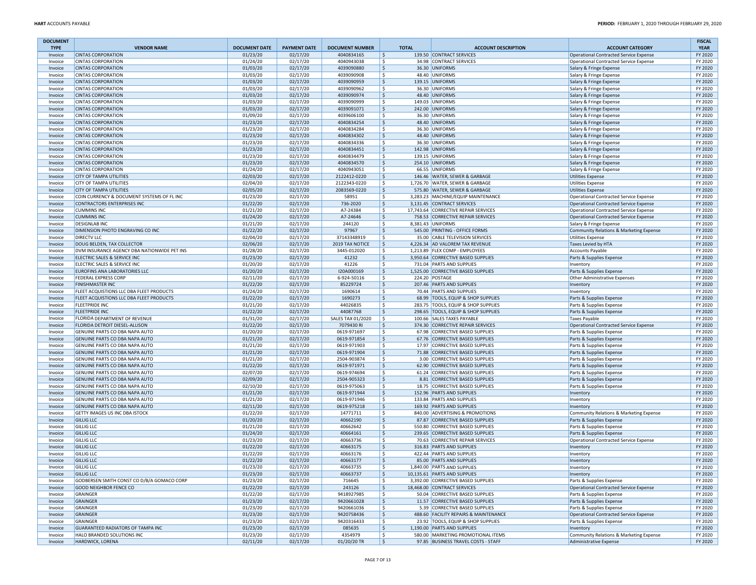| <b>DOCUMENT</b><br><b>TYPE</b> | <b>VENDOR NAME</b>                                               | <b>DOCUMENT DATE</b> | <b>PAYMENT DATE</b>  | <b>DOCUMENT NUMBER</b>     | <b>TOTAL</b>       | <b>ACCOUNT DESCRIPTION</b>                                        | <b>ACCOUNT CATEGORY</b>                                            | <b>FISCAL</b><br><b>YEAR</b> |
|--------------------------------|------------------------------------------------------------------|----------------------|----------------------|----------------------------|--------------------|-------------------------------------------------------------------|--------------------------------------------------------------------|------------------------------|
| Invoice                        | <b>CINTAS CORPORATION</b>                                        | 01/23/20             | 02/17/20             | 4040834165                 | ۱\$                | 139.50 CONTRACT SERVICES                                          | Operational Contracted Service Expense                             | FY 2020                      |
| Invoice                        | <b>CINTAS CORPORATION</b>                                        | 01/24/20             | 02/17/20             | 4040943038                 | l\$                | 34.98 CONTRACT SERVICES                                           | Operational Contracted Service Expense                             | FY 2020                      |
| Invoice                        | <b>CINTAS CORPORATION</b>                                        | 01/03/20             | 02/17/20             | 4039090880                 | l\$                | 36.30 UNIFORMS                                                    | Salary & Fringe Expense                                            | FY 2020                      |
| Invoice                        | <b>CINTAS CORPORATION</b>                                        | 01/03/20             | 02/17/20             | 4039090908                 | l\$                | 48.40 UNIFORMS                                                    | Salary & Fringe Expense                                            | FY 2020                      |
| Invoice                        | <b>CINTAS CORPORATION</b>                                        | 01/03/20             | 02/17/20             | 4039090959                 | l\$                | 139.15 UNIFORMS                                                   | Salary & Fringe Expense                                            | FY 2020                      |
| Invoice                        | <b>CINTAS CORPORATION</b>                                        | 01/03/20             | 02/17/20             | 4039090962                 | l\$                | 36.30 UNIFORMS                                                    | Salary & Fringe Expense                                            | FY 2020                      |
| Invoice                        | <b>CINTAS CORPORATION</b>                                        | 01/03/20             | 02/17/20             | 4039090974                 | l\$                | 48.40 UNIFORMS                                                    | Salary & Fringe Expense                                            | FY 2020                      |
| Invoice                        | <b>CINTAS CORPORATION</b>                                        | 01/03/20             | 02/17/20             | 4039090999                 | ١\$                | 149.03 UNIFORMS                                                   | Salary & Fringe Expense                                            | FY 2020                      |
| Invoice                        | <b>CINTAS CORPORATION</b>                                        | 01/03/20             | 02/17/20             | 4039091071                 | $\ddot{\varsigma}$ | 242.00 UNIFORMS                                                   | Salary & Fringe Expense                                            | FY 2020                      |
| Invoice                        | <b>CINTAS CORPORATION</b>                                        | 01/09/20             | 02/17/20             | 4039606100                 | -\$                | 36.30 UNIFORMS                                                    | Salary & Fringe Expense                                            | FY 2020                      |
| Invoice                        | <b>CINTAS CORPORATION</b>                                        | 01/23/20             | 02/17/20             | 4040834254                 | l\$                | 48.40 UNIFORMS                                                    | Salary & Fringe Expense                                            | FY 2020                      |
| Invoice                        | <b>CINTAS CORPORATION</b>                                        | 01/23/20             | 02/17/20             | 4040834284                 | \$                 | 36.30 UNIFORMS                                                    | Salary & Fringe Expense                                            | FY 2020                      |
| Invoice                        | <b>CINTAS CORPORATION</b>                                        | 01/23/20             | 02/17/20             | 4040834302                 | l\$                | 48.40 UNIFORMS                                                    | Salary & Fringe Expense                                            | FY 2020                      |
| Invoice                        | <b>CINTAS CORPORATION</b>                                        | 01/23/20             | 02/17/20             | 4040834336                 | l \$               | 36.30 UNIFORMS                                                    | Salary & Fringe Expense                                            | FY 2020                      |
| Invoice                        | <b>CINTAS CORPORATION</b><br><b>CINTAS CORPORATION</b>           | 01/23/20<br>01/23/20 | 02/17/20<br>02/17/20 | 4040834451<br>4040834479   | l\$<br>\$          | 142.98 UNIFORMS<br>139.15 UNIFORMS                                | Salary & Fringe Expense<br>Salary & Fringe Expense                 | FY 2020<br>FY 2020           |
| Invoice<br>Invoice             | <b>CINTAS CORPORATION</b>                                        | 01/23/20             | 02/17/20             | 4040834570                 | l\$                | 254.10 UNIFORMS                                                   | Salary & Fringe Expense                                            | FY 2020                      |
| Invoice                        | <b>CINTAS CORPORATION</b>                                        | 01/24/20             | 02/17/20             | 4040943051                 | \$                 | 66.55 UNIFORMS                                                    | Salary & Fringe Expense                                            | FY 2020                      |
| Invoice                        | <b>CITY OF TAMPA UTILITIES</b>                                   | 02/03/20             | 02/17/20             | 2122412-0220               | l\$                | 146.46 WATER, SEWER & GARBAGE                                     | <b>Utilities Expense</b>                                           | FY 2020                      |
| Invoice                        | CITY OF TAMPA UTILITIES                                          | 02/04/20             | 02/17/20             | 2122343-0220               | l\$                | 1,726.70 WATER, SEWER & GARBAGE                                   | <b>Utilities Expense</b>                                           | FY 2020                      |
| Invoice                        | <b>CITY OF TAMPA UTILITIES</b>                                   | 02/05/20             | 02/17/20             | 2083569-0220               | l\$                | 575.80 WATER, SEWER & GARBAGE                                     | <b>Utilities Expense</b>                                           | FY 2020                      |
| Invoice                        | COIN CURRENCY & DOCUMENT SYSTEMS OF FL INC                       | 01/23/20             | 02/17/20             | 58951                      | ١\$                | 3,283.23 MACHINE/EQUIP MAINTENANCE                                | Operational Contracted Service Expense                             | FY 2020                      |
| Invoice                        | <b>CONTRACTORS ENTERPRISES INC</b>                               | 01/22/20             | 02/17/20             | 736-2020                   | l\$                | 3,131.45 CONTRACT SERVICES                                        | Operational Contracted Service Expense                             | FY 2020                      |
| Invoice                        | <b>CUMMINS INC</b>                                               | 01/21/20             | 02/17/20             | A7-24384                   | ١\$                | 17,743.64 CORRECTIVE REPAIR SERVICES                              | Operational Contracted Service Expense                             | FY 2020                      |
| Invoice                        | <b>CUMMINS INC</b>                                               | 01/24/20             | 02/17/20             | A7-24646                   | l\$                | 758.53 CORRECTIVE REPAIR SERVICES                                 | Operational Contracted Service Expense                             | FY 2020                      |
| Invoice                        | <b>DESIGNLAB INC</b>                                             | 01/21/20             | 02/17/20             | 244120                     | l \$               | 8,381.43 UNIFORMS                                                 | Salary & Fringe Expense                                            | FY 2020                      |
| Invoice                        | DIMENSION PHOTO ENGRAVING CO INC                                 | 01/22/20             | 02/17/20             | 97967                      | l\$                | 545.00 PRINTING - OFFICE FORMS                                    | Community Relations & Marketing Expense                            | FY 2020                      |
| Invoice                        | <b>DIRECTV LLC</b>                                               | 02/04/20             | 02/17/20             | 37143348919                | l\$                | 35.00 CABLE TELEVISION SERVICES                                   | <b>Utilities Expense</b>                                           | FY 2020                      |
| Invoice                        | DOUG BELDEN, TAX COLLECTOR                                       | 02/06/20             | 02/17/20             | 2019 TAX NOTICE            | l\$                | 4,226.34 AD VALOREM TAX REVENUE                                   | Taxes Levied by HTA                                                | FY 2020                      |
| Invoice                        | DVM INSURANCE AGENCY DBA NATIONWIDE PET INS                      | 01/28/20             | 02/17/20             | 3445-012020                | \$                 | 1,213.89 FLEX COMP - EMPLOYEES                                    | <b>Accounts Payable</b>                                            | FY 2020                      |
| Invoice                        | ELECTRIC SALES & SERVICE INC<br>ELECTRIC SALES & SERVICE INC     | 01/23/20             | 02/17/20             | 41232                      | l\$                | 3,950.64 CORRECTIVE BASED SUPPLIES                                | Parts & Supplies Expense                                           | FY 2020                      |
| Invoice                        | EUROFINS ANA LABORATORIES LLC                                    | 01/20/20<br>01/20/20 | 02/17/20<br>02/17/20 | 41226                      | l \$<br>l\$        | 731.04 PARTS AND SUPPLIES<br>1,525.00 CORRECTIVE BASED SUPPLIES   | Inventory<br>Parts & Supplies Expense                              | FY 2020<br>FY 2020           |
| Invoice<br>Invoice             | <b>FEDERAL EXPRESS CORP</b>                                      | 02/11/20             | 02/17/20             | I20A000169<br>6-924-50116  | \$                 | 224.20 POSTAGE                                                    | Other Administrative Expenses                                      | FY 2020                      |
| Invoice                        | <b>FINISHMASTER INC</b>                                          | 01/22/20             | 02/17/20             | 85229724                   | l\$                | 207.46 PARTS AND SUPPLIES                                         | Inventory                                                          | FY 2020                      |
| Invoice                        | FLEET ACQUISTIONS LLC DBA FLEET PRODUCTS                         | 01/24/20             | 02/17/20             | 1690614                    | l\$                | 70.44 PARTS AND SUPPLIES                                          | Inventory                                                          | FY 2020                      |
| Invoice                        | FLEET ACQUISTIONS LLC DBA FLEET PRODUCTS                         | 01/22/20             | 02/17/20             | 1690273                    | ۱\$                | 68.99 TOOLS, EQUIP & SHOP SUPPLIES                                | Parts & Supplies Expense                                           | FY 2020                      |
| Invoice                        | <b>FLEETPRIDE INC</b>                                            | 01/21/20             | 02/17/20             | 44026835                   | -\$                | 283.75 TOOLS, EQUIP & SHOP SUPPLIES                               | Parts & Supplies Expense                                           | FY 2020                      |
| Invoice                        | <b>FLEETPRIDE INC</b>                                            | 01/22/20             | 02/17/20             | 44087768                   | l \$               | 298.65 TOOLS, EQUIP & SHOP SUPPLIES                               | Parts & Supplies Expense                                           | FY 2020                      |
| Invoice                        | FLORIDA DEPARTMENT OF REVENUE                                    | 01/31/20             | 02/17/20             | <b>SALES TAX 01/2020</b>   | l\$                | 100.66 SALES TAXES PAYABLE                                        | <b>Taxes Payable</b>                                               | FY 2020                      |
| Invoice                        | FLORIDA DETROIT DIESEL-ALLISON                                   | 01/22/20             | 02/17/20             | 7079430 RI                 | \$                 | 374.30 CORRECTIVE REPAIR SERVICES                                 | Operational Contracted Service Expense                             | FY 2020                      |
| Invoice                        | GENUINE PARTS CO DBA NAPA AUTO                                   | 01/20/20             | 02/17/20             | 0619-971697                | l\$                | 67.98 CORRECTIVE BASED SUPPLIES                                   | Parts & Supplies Expense                                           | FY 2020                      |
| Invoice                        | GENUINE PARTS CO DBA NAPA AUTO                                   | 01/21/20             | 02/17/20             | 0619-971854                | l\$                | 67.76 CORRECTIVE BASED SUPPLIES                                   | Parts & Supplies Expense                                           | FY 2020                      |
| Invoice                        | GENUINE PARTS CO DBA NAPA AUTO                                   | 01/21/20             | 02/17/20             | 0619-971903                | l \$               | 17.97 CORRECTIVE BASED SUPPLIES                                   | Parts & Supplies Expense                                           | FY 2020                      |
| Invoice                        | GENUINE PARTS CO DBA NAPA AUTO                                   | 01/21/20             | 02/17/20             | 0619-971904                | ∣\$                | 71.88 CORRECTIVE BASED SUPPLIES                                   | Parts & Supplies Expense                                           | FY 2020                      |
| Invoice                        | GENUINE PARTS CO DBA NAPA AUTO                                   | 01/21/20             | 02/17/20             | 2504-903874                | S.                 | 3.00 CORRECTIVE BASED SUPPLIES                                    | Parts & Supplies Expense                                           | FY 2020                      |
| Invoice                        | GENUINE PARTS CO DBA NAPA AUTO                                   | 01/22/20             | 02/17/20             | 0619-971971                | l\$                | 62.90 CORRECTIVE BASED SUPPLIES                                   | Parts & Supplies Expense                                           | FY 2020                      |
| Invoice                        | GENUINE PARTS CO DBA NAPA AUTO<br>GENUINE PARTS CO DBA NAPA AUTO | 02/07/20<br>02/09/20 | 02/17/20<br>02/17/20 | 0619-974694<br>2504-905323 | \$<br>l\$          | 61.24 CORRECTIVE BASED SUPPLIES<br>8.81 CORRECTIVE BASED SUPPLIES | Parts & Supplies Expense                                           | FY 2020<br>FY 2020           |
| Invoice<br>Invoice             | GENUINE PARTS CO DBA NAPA AUTO                                   | 02/10/20             | 02/17/20             | 0619-975063                | l \$               | 18.75 CORRECTIVE BASED SUPPLIES                                   | Parts & Supplies Expense<br>Parts & Supplies Expense               | FY 2020                      |
| Invoice                        | GENUINE PARTS CO DBA NAPA AUTO                                   | 01/21/20             | 02/17/20             | 0619-971944                | l\$                | 152.96 PARTS AND SUPPLIES                                         | Inventory                                                          | FY 2020                      |
| Invoice                        | GENUINE PARTS CO DBA NAPA AUTO                                   | 01/21/20             | 02/17/20             | 0619-971946                | \$                 | 133.84 PARTS AND SUPPLIES                                         | Inventory                                                          | FY 2020                      |
| Invoice                        | GENUINE PARTS CO DBA NAPA AUTO                                   | 02/11/20             | 02/17/20             | 0619-975218                | l\$                | 169.92 PARTS AND SUPPLIES                                         | Inventory                                                          | FY 2020                      |
| Invoice                        | GETTY IMAGES US INC DBA ISTOCK                                   | 01/22/20             | 02/17/20             | 14771711                   | l\$                | 840.00 ADVERTISING & PROMOTIONS                                   | Community Relations & Marketing Expense                            | FY 2020                      |
| Invoice                        | <b>GILLIG LLC</b>                                                | 01/20/20             | 02/17/20             | 40662190                   | l\$                | 87.87 CORRECTIVE BASED SUPPLIES                                   | Parts & Supplies Expense                                           | FY 2020                      |
| Invoice                        | <b>GILLIG LLC</b>                                                | 01/21/20             | 02/17/20             | 40662642                   | l\$                | 550.80 CORRECTIVE BASED SUPPLIES                                  | Parts & Supplies Expense                                           | FY 2020                      |
| Invoice                        | <b>GILLIG LLC</b>                                                | 01/24/20             | 02/17/20             | 40664161                   | l\$                | 239.65 CORRECTIVE BASED SUPPLIES                                  | Parts & Supplies Expense                                           | FY 2020                      |
| Invoice                        | <b>GILLIG LLC</b>                                                | 01/23/20             | 02/17/20             | 40663736                   | ١\$                | 70.63 CORRECTIVE REPAIR SERVICES                                  | Operational Contracted Service Expense                             | FY 2020                      |
| Invoice                        | <b>GILLIG LLC</b>                                                | 01/22/20             | 02/17/20             | 40663175                   | $\ddot{\varsigma}$ | 316.83 PARTS AND SUPPLIES                                         | Inventory                                                          | FY 2020                      |
| Invoice                        | <b>GILLIG LLC</b>                                                | 01/22/20             | 02/17/20             | 40663176                   | -\$                | 422.44 PARTS AND SUPPLIES                                         | Inventory                                                          | FY 2020                      |
| Invoice                        | <b>GILLIG LLC</b>                                                | 01/22/20             | 02/17/20             | 40663177                   | l \$               | 85.00 PARTS AND SUPPLIES                                          | Inventory                                                          | FY 2020                      |
| Invoice                        | <b>GILLIG LLC</b>                                                | 01/23/20             | 02/17/20             | 40663735                   | -Ś                 | 1,840.00 PARTS AND SUPPLIES                                       | minemun y                                                          | FY 2020                      |
| Invoice                        | <b>GILLIG LLC</b>                                                | 01/23/20             | 02/17/20             | 40663737                   | ∣\$                | 10,135.61 PARTS AND SUPPLIES                                      | Inventory                                                          | FY 2020                      |
| Invoice                        | GODBERSEN SMITH CONST CO D/B/A GOMACO CORP                       | 01/23/20             | 02/17/20             | 716645                     | l \$               | 3,392.00 CORRECTIVE BASED SUPPLIES                                | Parts & Supplies Expense                                           | FY 2020                      |
| Invoice                        | <b>GOOD NEIGHBOR FENCE CO</b><br><b>GRAINGER</b>                 | 01/22/20<br>01/22/20 | 02/17/20<br>02/17/20 | 243126<br>9418927985       | l\$<br>l \$        | 18,468.00 CONTRACT SERVICES<br>50.04 CORRECTIVE BASED SUPPLIES    | Operational Contracted Service Expense<br>Parts & Supplies Expense | FY 2020<br>FY 2020           |
| Invoice<br>Invoice             | <b>GRAINGER</b>                                                  | 01/23/20             | 02/17/20             | 9420661028                 | l\$                | 11.57 CORRECTIVE BASED SUPPLIES                                   | Parts & Supplies Expense                                           | FY 2020                      |
| Invoice                        | <b>GRAINGER</b>                                                  | 01/23/20             | 02/17/20             | 9420661036                 | l \$               | 5.39 CORRECTIVE BASED SUPPLIES                                    | Parts & Supplies Expense                                           | FY 2020                      |
| Invoice                        | <b>GRAINGER</b>                                                  | 01/23/20             | 02/17/20             | 9420758436                 | l\$                | 488.60 FACILITY REPAIRS & MAINTENANCE                             | Operational Contracted Service Expense                             | FY 2020                      |
| Invoice                        | <b>GRAINGER</b>                                                  | 01/23/20             | 02/17/20             | 9420316433                 | l\$                | 23.92 TOOLS, EQUIP & SHOP SUPPLIES                                | Parts & Supplies Expense                                           | FY 2020                      |
| Invoice                        | <b>GUARANTEED RADIATORS OF TAMPA INC</b>                         | 01/23/20             | 02/17/20             | 085635                     | ∣\$                | 1.190.00 PARTS AND SUPPLIES                                       | Inventory                                                          | FY 2020                      |
| Invoice                        | HALO BRANDED SOLUTIONS INC                                       | 01/23/20             | 02/17/20             | 4354979                    | l \$               | 580.00 MARKETING PROMOTIONAL ITEMS                                | Community Relations & Marketing Expense                            | FY 2020                      |
| Invoice                        | HARDWICK, LORENA                                                 | 02/11/20             | 02/17/20             | 01/20/20 TR                | ۱\$                | 97.85 BUSINESS TRAVEL COSTS - STAFF                               | Administrative Expense                                             | FY 2020                      |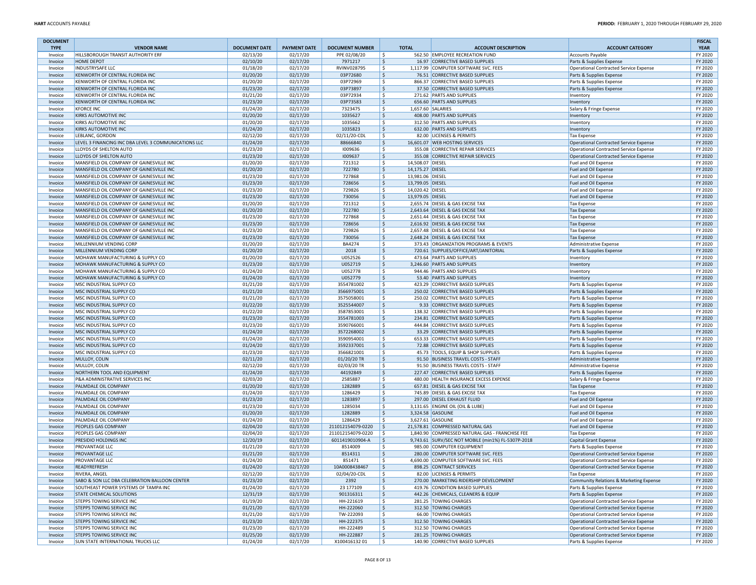| <b>DOCUMENT</b><br><b>TYPE</b> | <b>VENDOR NAME</b>                                                                   | <b>DOCUMENT DATE</b> | <b>PAYMENT DATE</b>  | <b>DOCUMENT NUMBER</b>                 |           | <b>TOTAL</b>                         | <b>ACCOUNT DESCRIPTION</b>                                                          | <b>ACCOUNT CATEGORY</b>                       | <b>FISCAL</b><br><b>YEAR</b> |
|--------------------------------|--------------------------------------------------------------------------------------|----------------------|----------------------|----------------------------------------|-----------|--------------------------------------|-------------------------------------------------------------------------------------|-----------------------------------------------|------------------------------|
| Invoice                        | HILLSBOROUGH TRANSIT AUTHORITY ERF                                                   | 02/13/20             | 02/17/20             | PPE 02/08/20                           | Ŝ.        |                                      | 562.50 EMPLOYEE RECREATION FUND                                                     | <b>Accounts Payable</b>                       | FY 2020                      |
| Invoice                        | <b>HOME DEPOT</b>                                                                    | 02/10/20             | 02/17/20             | 7971217                                | \$        |                                      | 16.97 CORRECTIVE BASED SUPPLIES                                                     | Parts & Supplies Expense                      | FY 2020                      |
| Invoice                        | INDUSTRYSAFE LLC                                                                     | 01/18/20             | 02/17/20             | RVINV028795                            | \$        |                                      | 1,117.99 COMPUTER SOFTWARE SVC. FEES                                                | Operational Contracted Service Expense        | FY 2020                      |
| Invoice                        | KENWORTH OF CENTRAL FLORIDA INC                                                      | 01/20/20             | 02/17/20             | 03P72680                               | \$        |                                      | 76.51 CORRECTIVE BASED SUPPLIES                                                     | Parts & Supplies Expense                      | FY 2020                      |
| Invoice                        | KENWORTH OF CENTRAL FLORIDA INC                                                      | 01/20/20             | 02/17/20             | 03P72969                               | \$.       |                                      | 866.37 CORRECTIVE BASED SUPPLIES                                                    | Parts & Supplies Expense                      | FY 2020                      |
| Invoice                        | KENWORTH OF CENTRAL FLORIDA INC                                                      | 01/23/20             | 02/17/20             | 03P73897                               | \$        |                                      | 37.50 CORRECTIVE BASED SUPPLIES                                                     | Parts & Supplies Expense                      | FY 2020                      |
| Invoice                        | KENWORTH OF CENTRAL FLORIDA INC                                                      | 01/21/20             | 02/17/20             | 03P72934                               | Ŝ.        |                                      | 271.62 PARTS AND SUPPLIES                                                           | Inventory                                     | FY 2020                      |
| Invoice                        | KENWORTH OF CENTRAL FLORIDA INC                                                      | 01/23/20             | 02/17/20             | 03P73583                               | \$.       |                                      | 656.60 PARTS AND SUPPLIES                                                           | Inventory                                     | FY 2020                      |
| Invoice                        | <b>KFORCE INC</b>                                                                    | 01/24/20             | 02/17/20             | 7323475                                | \$        |                                      | 1,657.60 SALARIES                                                                   | Salary & Fringe Expense                       | FY 2020                      |
| Invoice                        | KIRKS AUTOMOTIVE INC                                                                 | 01/20/20             | 02/17/20             | 1035627                                | \$        |                                      | 408.00 PARTS AND SUPPLIES                                                           | Inventory                                     | FY 2020                      |
| Invoice                        | KIRKS AUTOMOTIVE INC                                                                 | 01/20/20             | 02/17/20             | 1035662                                | Ŝ.        |                                      | 312.50 PARTS AND SUPPLIES                                                           | <b>Inventory</b>                              | FY 2020                      |
| Invoice                        | <b>KIRKS AUTOMOTIVE INC</b>                                                          | 01/24/20             | 02/17/20             | 1035823                                | \$        |                                      | 632.00 PARTS AND SUPPLIES                                                           | Inventory                                     | FY 2020                      |
| Invoice                        | LEBLANC, GORDON                                                                      | 02/12/20             | 02/17/20             | 02/11/20-CDL                           | \$.       |                                      | 82.00 LICENSES & PERMITS                                                            | <b>Tax Expense</b>                            | FY 2020                      |
| Invoice                        | LEVEL 3 FINANCING INC DBA LEVEL 3 COMMUNICATIONS LLC                                 | 01/24/20             | 02/17/20             | 88666840                               | \$        |                                      | 16,601.07 WEB HOSTING SERVICES                                                      | Operational Contracted Service Expense        | FY 2020                      |
| Invoice                        | LLOYDS OF SHELTON AUTO                                                               | 01/23/20             | 02/17/20             | 1009636                                | \$.       |                                      | 355.08 CORRECTIVE REPAIR SERVICES<br>355.08 CORRECTIVE REPAIR SERVICES              | <b>Operational Contracted Service Expense</b> | FY 2020                      |
| Invoice                        | LLOYDS OF SHELTON AUTO                                                               | 01/23/20             | 02/17/20             | 1009637                                | \$        |                                      |                                                                                     | Operational Contracted Service Expense        | FY 2020                      |
| Invoice<br>Invoice             | MANSFIELD OIL COMPANY OF GAINESVILLE INC<br>MANSFIELD OIL COMPANY OF GAINESVILLE INC | 01/20/20<br>01/20/20 | 02/17/20<br>02/17/20 | 721312<br>722780                       | \$<br>\$  | 14,508.07 DIESEL<br>14,175.27 DIESEL |                                                                                     | Fuel and Oil Expense                          | FY 2020<br>FY 2020           |
|                                | MANSFIELD OIL COMPANY OF GAINESVILLE INC                                             | 01/23/20             | 02/17/20             | 727868                                 | \$.       | 13,981.06 DIESEL                     |                                                                                     | Fuel and Oil Expense                          | FY 2020                      |
| Invoice<br>Invoice             | MANSFIELD OIL COMPANY OF GAINESVILLE INC                                             | 01/23/20             | 02/17/20             | 728656                                 | \$        | 13,799.05 DIESEL                     |                                                                                     | Fuel and Oil Expense<br>Fuel and Oil Expense  | FY 2020                      |
| Invoice                        | MANSFIELD OIL COMPANY OF GAINESVILLE INC                                             | 01/23/20             | 02/17/20             | 729826                                 | \$.       | 14,020.42 DIESEL                     |                                                                                     | Fuel and Oil Expense                          | FY 2020                      |
| Invoice                        | MANSFIELD OIL COMPANY OF GAINESVILLE INC                                             | 01/23/20             | 02/17/20             | 730056                                 | \$        | 13,979.05 DIESEL                     |                                                                                     | Fuel and Oil Expense                          | FY 2020                      |
| Invoice                        | MANSFIELD OIL COMPANY OF GAINESVILLE INC                                             | 01/20/20             | 02/17/20             | 721312                                 | Ŝ.        |                                      | 2,655.74 DIESEL & GAS EXCISE TAX                                                    | <b>Tax Expense</b>                            | FY 2020                      |
| Invoice                        | MANSFIELD OIL COMPANY OF GAINESVILLE INC                                             | 01/20/20             | 02/17/20             | 722780                                 | \$        |                                      | 2,643.64 DIESEL & GAS EXCISE TAX                                                    | <b>Tax Expense</b>                            | FY 2020                      |
| Invoice                        | MANSFIELD OIL COMPANY OF GAINESVILLE INC                                             | 01/23/20             | 02/17/20             | 727868                                 | \$        |                                      | 2,651.44 DIESEL & GAS EXCISE TAX                                                    | <b>Tax Expense</b>                            | FY 2020                      |
| Invoice                        | MANSFIELD OIL COMPANY OF GAINESVILLE INC                                             | 01/23/20             | 02/17/20             | 728656                                 | \$        |                                      | 2,616.92 DIESEL & GAS EXCISE TAX                                                    | <b>Tax Expense</b>                            | FY 2020                      |
| Invoice                        | MANSFIELD OIL COMPANY OF GAINESVILLE INC                                             | 01/23/20             | 02/17/20             | 729826                                 | \$.       |                                      | 2,657.48 DIESEL & GAS EXCISE TAX                                                    | <b>Tax Expense</b>                            | FY 2020                      |
| Invoice                        | MANSFIELD OIL COMPANY OF GAINESVILLE INC                                             | 01/23/20             | 02/17/20             | 730056                                 | Ŝ.        |                                      | 2,648.24 DIESEL & GAS EXCISE TAX                                                    | <b>Tax Expense</b>                            | FY 2020                      |
| Invoice                        | MILLENNIUM VENDING CORP                                                              | 01/20/20             | 02/17/20             | BA4274                                 | \$.       |                                      | 373.43 ORGANIZATION PROGRAMS & EVENTS                                               | <b>Administrative Expense</b>                 | FY 2020                      |
| Invoice                        | MILLENNIUM VENDING CORP                                                              | 01/20/20             | 02/17/20             | 2018                                   | \$        |                                      | 720.61 SUPPLIES/OFFICE/ART/JANITORIAL                                               | Parts & Supplies Expense                      | FY 2020                      |
| Invoice                        | MOHAWK MANUFACTURING & SUPPLY CO                                                     | 01/20/20             | 02/17/20             | U052526                                | \$.       |                                      | 473.64 PARTS AND SUPPLIES                                                           | <b>Inventory</b>                              | FY 2020                      |
| Invoice                        | MOHAWK MANUFACTURING & SUPPLY CO                                                     | 01/23/20             | 02/17/20             | U052719                                | \$        |                                      | 3.246.60 PARTS AND SUPPLIES                                                         | Inventory                                     | FY 2020                      |
| Invoice                        | MOHAWK MANUFACTURING & SUPPLY CO                                                     | 01/24/20             | 02/17/20             | U052778                                | \$.       |                                      | 944.46 PARTS AND SUPPLIES                                                           | Inventory                                     | FY 2020                      |
| Invoice                        | MOHAWK MANUFACTURING & SUPPLY CO                                                     | 01/24/20             | 02/17/20             | U052779                                | Ŝ.        |                                      | 53.40 PARTS AND SUPPLIES                                                            | Inventory                                     | FY 2020                      |
| Invoice                        | MSC INDUSTRIAL SUPPLY CO                                                             | 01/21/20             | 02/17/20             | 3554781002                             | Ŝ.        |                                      | 423.29 CORRECTIVE BASED SUPPLIES                                                    | Parts & Supplies Expense                      | FY 2020                      |
| Invoice                        | MSC INDUSTRIAL SUPPLY CO                                                             | 01/21/20             | 02/17/20             | 3566975001                             | Ŝ.        |                                      | 250.02 CORRECTIVE BASED SUPPLIES                                                    | Parts & Supplies Expense                      | FY 2020                      |
| Invoice                        | MSC INDUSTRIAL SUPPLY CO                                                             | 01/21/20             | 02/17/20             | 3575058001                             | \$.       |                                      | 250.02 CORRECTIVE BASED SUPPLIES                                                    | Parts & Supplies Expense                      | FY 2020                      |
| Invoice                        | MSC INDUSTRIAL SUPPLY CO                                                             | 01/22/20             | 02/17/20             | 3525544007                             | \$        |                                      | 9.33 CORRECTIVE BASED SUPPLIES                                                      | Parts & Supplies Expense                      | FY 2020                      |
| Invoice                        | MSC INDUSTRIAL SUPPLY CO                                                             | 01/22/20             | 02/17/20             | 3587853001                             | Ŝ.        |                                      | 138.32 CORRECTIVE BASED SUPPLIES                                                    | Parts & Supplies Expense                      | FY 2020                      |
| Invoice                        | MSC INDUSTRIAL SUPPLY CO                                                             | 01/23/20             | 02/17/20             | 3554781003                             | \$        |                                      | 234.81 CORRECTIVE BASED SUPPLIES                                                    | Parts & Supplies Expense                      | FY 2020                      |
| Invoice                        | MSC INDUSTRIAL SUPPLY CO                                                             | 01/23/20             | 02/17/20             | 3590766001                             | \$.       |                                      | 444.84 CORRECTIVE BASED SUPPLIES                                                    | Parts & Supplies Expense                      | FY 2020                      |
| Invoice                        | MSC INDUSTRIAL SUPPLY CO                                                             | 01/24/20             | 02/17/20             | 3572268002                             | \$        |                                      | 33.29 CORRECTIVE BASED SUPPLIES                                                     | Parts & Supplies Expense                      | FY 2020                      |
| Invoice                        | MSC INDUSTRIAL SUPPLY CO                                                             | 01/24/20             | 02/17/20             | 3590954001                             | Ŝ.        |                                      | 653.33 CORRECTIVE BASED SUPPLIES                                                    | Parts & Supplies Expense                      | FY 2020                      |
| Invoice                        | MSC INDUSTRIAL SUPPLY CO                                                             | 01/24/20             | 02/17/20             | 3592337001                             | \$.       |                                      | 72.88 CORRECTIVE BASED SUPPLIES                                                     | Parts & Supplies Expense                      | FY 2020                      |
| Invoice                        | MSC INDUSTRIAL SUPPLY CO                                                             | 01/23/20             | 02/17/20             | 3566821001                             | \$.       |                                      | 45.73 TOOLS, EQUIP & SHOP SUPPLIES                                                  | Parts & Supplies Expense                      | FY 2020                      |
| Invoice                        | MULLOY, COLIN                                                                        | 02/11/20             | 02/17/20             | 01/20/20 TR                            | \$        |                                      | 91.50 BUSINESS TRAVEL COSTS - STAFF                                                 | Administrative Expense                        | FY 2020                      |
| Invoice                        | MULLOY, COLIN                                                                        | 02/12/20             | 02/17/20             | 02/03/20 TR                            | \$.       |                                      | 91.50 BUSINESS TRAVEL COSTS - STAFF                                                 | <b>Administrative Expense</b>                 | FY 2020                      |
| Invoice                        | NORTHERN TOOL AND EQUIPMENT                                                          | 01/24/20             | 02/17/20             | 44192849                               | $\sf S$   |                                      | 227.47 CORRECTIVE BASED SUPPLIES                                                    | Parts & Supplies Expense                      | FY 2020                      |
| Invoice                        | P&A ADMINISTRATIVE SERVICES INC                                                      | 02/03/20             | 02/17/20             | 2585887                                | \$.       |                                      | 480.00 HEALTH INSURANCE EXCESS EXPENSE                                              | Salary & Fringe Expense                       | FY 2020                      |
| Invoice                        | PALMDALE OIL COMPANY                                                                 | 01/20/20             | 02/17/20             | 1282889                                | \$        |                                      | 657.81 DIESEL & GAS EXCISE TAX                                                      | <b>Tax Expense</b>                            | FY 2020                      |
| Invoice                        | PALMDALE OIL COMPANY                                                                 | 01/24/20             | 02/17/20             | 1286429                                | \$.       |                                      | 745.89 DIESEL & GAS EXCISE TAX                                                      | <b>Tax Expense</b>                            | FY 2020                      |
| Invoice                        | PALMDALE OIL COMPANY                                                                 | 01/23/20             | 02/17/20             | 1283897                                | \$        |                                      | 297.00 DIESEL EXHAUST FLUID                                                         | Fuel and Oil Expense                          | FY 2020                      |
| Invoice                        | PALMDALE OIL COMPANY                                                                 | 01/23/20             | 02/17/20             | 1285034                                | \$        |                                      | 3,131.65 ENGINE OIL (OIL & LUBE)                                                    | Fuel and Oil Expense                          | FY 2020                      |
| Invoice                        | PALMDALE OIL COMPANY                                                                 | 01/20/20             | 02/17/20             | 1282889<br>1286429                     | \$<br>\$. |                                      | 3,324.58 GASOLINE<br>3,627.61 GASOLINE                                              | Fuel and Oil Expense                          | FY 2020                      |
| Invoice                        | PALMDALE OIL COMPANY                                                                 | 01/24/20             | 02/17/20             |                                        | \$        |                                      |                                                                                     | Fuel and Oil Expense                          | FY 2020                      |
| Invoice<br>Invoice             | PEOPLES GAS COMPANY<br>PEOPLES GAS COMPANY                                           | 02/04/20<br>02/04/20 | 02/17/20<br>02/17/20 | 211012154079-0220<br>211012154079-0220 | Ŝ.        |                                      | 21,578.81 COMPRESSED NATURAL GAS<br>1,840.90 COMPRESSED NATURAL GAS - FRANCHISE FEE | Fuel and Oil Expense                          | FY 2020<br>FY 2020           |
| Invoice                        | PRESIDIO HOLDINGS INC                                                                | 12/20/19             | 02/17/20             | 6011419010904-A                        | \$.       |                                      | 9,743.61 SURV/SEC NOT MOBILE (min1%) FL-5307P-2018                                  | <b>Tax Expense</b><br>Capital Grant Expense   | FY 2020                      |
| Invoice                        | PROVANTAGE LLC                                                                       | 01/21/20             | 02/17/20             | 8514009                                | Ŝ.        |                                      | 985.00 COMPUTER EQUIPMENT                                                           | Parts & Supplies Expense                      | FY 2020                      |
| Invoice                        | PROVANTAGE LLC                                                                       | 01/21/20             | 02/17/20             | 8514311                                | Ŝ.        |                                      | 280.00 COMPUTER SOFTWARE SVC. FEES                                                  | Operational Contracted Service Expense        | FY 2020                      |
| Invoice                        | PROVANTAGE LLC                                                                       | 01/24/20             | 02/17/20             | 851471                                 | Ŝ.        |                                      | 4.690.00 COMPUTER SOFTWARE SVC. FEES                                                | Operational Contracted Service Expense        | FY 2020                      |
| Invoice                        | READYREFRESH                                                                         | 01/24/20             | 02/17/20             | 10A0008438467                          | \$        |                                      | 898.25 CONTRACT SERVICES                                                            | Operational Contracted Service Expense        | FY 2020                      |
| Invoice                        | RIVERA, ANGEL                                                                        | 02/12/20             | 02/17/20             | 02/04/20-CDL                           | \$        |                                      | 82.00 LICENSES & PERMITS                                                            | <b>Tax Expense</b>                            | FY 2020                      |
| Invoice                        | SABO & SON LLC DBA CELEBRATION BALLOON CENTER                                        | 01/23/20             | 02/17/20             | 2392                                   | \$        |                                      | 270.00 MARKETING RIDERSHIP DEVELOPMENT                                              | Community Relations & Marketing Expense       | FY 2020                      |
| Invoice                        | SOUTHEAST POWER SYSTEMS OF TAMPA INC                                                 | 01/24/20             | 02/17/20             | 23 177109                              | \$        |                                      | 419.76 CONDITION BASED SUPPLIES                                                     | Parts & Supplies Expense                      | FY 2020                      |
| Invoice                        | <b>STATE CHEMICAL SOLUTIONS</b>                                                      | 12/31/19             | 02/17/20             | 901316311                              | \$        |                                      | 442.26 CHEMICALS, CLEANERS & EQUIP                                                  | Parts & Supplies Expense                      | FY 2020                      |
| Invoice                        | STEPPS TOWING SERVICE INC                                                            | 01/19/20             | 02/17/20             | HH-221619                              | \$        |                                      | 281.25 TOWING CHARGES                                                               | Operational Contracted Service Expense        | FY 2020                      |
| Invoice                        | STEPPS TOWING SERVICE INC                                                            | 01/21/20             | 02/17/20             | HH-222060                              | \$        |                                      | 312.50 TOWING CHARGES                                                               | Operational Contracted Service Expense        | FY 2020                      |
| Invoice                        | STEPPS TOWING SERVICE INC                                                            | 01/21/20             | 02/17/20             | TW-222093                              | \$.       |                                      | 66.00 TOWING CHARGES                                                                | Operational Contracted Service Expense        | FY 2020                      |
| Invoice                        | STEPPS TOWING SERVICE INC                                                            | 01/23/20             | 02/17/20             | HH-222375                              | \$        |                                      | 312.50 TOWING CHARGES                                                               | Operational Contracted Service Expense        | FY 2020                      |
| Invoice                        | STEPPS TOWING SERVICE INC                                                            | 01/23/20             | 02/17/20             | HH-222489                              | \$        |                                      | 312.50 TOWING CHARGES                                                               | Operational Contracted Service Expense        | FY 2020                      |
| Invoice                        | STEPPS TOWING SERVICE INC                                                            | 01/25/20             | 02/17/20             | HH-222887                              | \$        |                                      | 281.25 TOWING CHARGES                                                               | Operational Contracted Service Expense        | FY 2020                      |
| Invoice                        | <b>SUN STATE INTERNATIONAL TRUCKS LLC</b>                                            | 01/24/20             | 02/17/20             | X10041613201                           | \$        |                                      | 140.90 CORRECTIVE BASED SUPPLIES                                                    | Parts & Supplies Expense                      | FY 2020                      |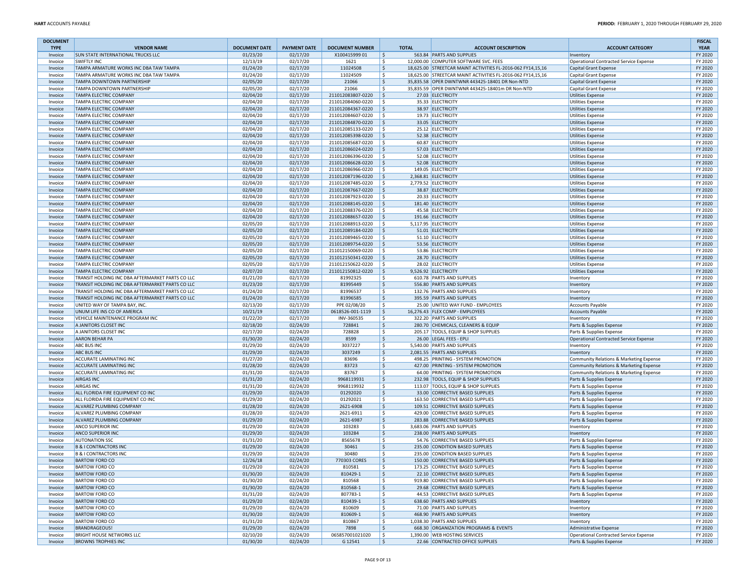| <b>DOCUMENT</b><br><b>TYPE</b> | <b>VENDOR NAME</b>                                             | <b>DOCUMENT DATE</b> | <b>PAYMENT DATE</b>  | <b>DOCUMENT NUMBER</b>                 | <b>TOTAL</b> | <b>ACCOUNT DESCRIPTION</b>                                             | <b>ACCOUNT CATEGORY</b>                                          | <b>FISCAL</b><br><b>YEAR</b> |
|--------------------------------|----------------------------------------------------------------|----------------------|----------------------|----------------------------------------|--------------|------------------------------------------------------------------------|------------------------------------------------------------------|------------------------------|
| Invoice                        | <b>SUN STATE INTERNATIONAL TRUCKS LLC</b>                      | 01/23/20             | 02/17/20             | X100415999 01                          | \$ ا         | 563.84 PARTS AND SUPPLIES                                              | Inventory                                                        | FY 2020                      |
| Invoice                        | <b>SWIFTLY INC</b>                                             | 12/13/19             | 02/17/20             | 1621                                   | l \$         | 12,000.00 COMPUTER SOFTWARE SVC. FEES                                  | Operational Contracted Service Expense                           | FY 2020                      |
| Invoice                        | TAMPA ARMATURE WORKS INC DBA TAW TAMPA                         | 01/24/20             | 02/17/20             | 11024508                               | S,           | 18,625.00 STREETCAR MAINT ACTIVITIES FL-2016-062 FY14,15,16            | Capital Grant Expense                                            | FY 2020                      |
| Invoice                        | TAMPA ARMATURE WORKS INC DBA TAW TAMPA                         | 01/24/20             | 02/17/20             | 11024509                               | l \$         | 18,625.00 STREETCAR MAINT ACTIVITIES FL-2016-062 FY14,15,16            | Capital Grant Expense                                            | FY 2020                      |
| Invoice                        | <b>TAMPA DOWNTOWN PARTNERSHIP</b>                              | 02/05/20             | 02/17/20             | 21066                                  | l\$          | 35,835.58 OPER DWNTWNR 443425-18401 DR Non-NTD                         | Capital Grant Expense                                            | FY 2020                      |
| Invoice                        | TAMPA DOWNTOWN PARTNERSHIP                                     | 02/05/20             | 02/17/20             | 21066                                  | ١\$          | 35,835.59 OPER DWNTWNR 443425-18401m DR Non-NTD                        | Capital Grant Expense                                            | FY 2020                      |
| Invoice                        | <b>TAMPA ELECTRIC COMPANY</b>                                  | 02/04/20             | 02/17/20             | 211012083807-0220                      | l\$          | 27.03 ELECTRICITY                                                      | Utilities Expense                                                | FY 2020                      |
| Invoice                        | <b>TAMPA ELECTRIC COMPANY</b>                                  | 02/04/20             | 02/17/20             | 211012084060-0220                      | l \$         | 35.33 ELECTRICITY                                                      | Utilities Expense                                                | FY 2020                      |
| Invoice                        | <b>TAMPA ELECTRIC COMPANY</b>                                  | 02/04/20             | 02/17/20             | 211012084367-0220                      | ۱\$          | 38.97 ELECTRICITY                                                      | Utilities Expense                                                | FY 2020                      |
| Invoice                        | <b>TAMPA ELECTRIC COMPANY</b>                                  | 02/04/20             | 02/17/20             | 211012084607-0220                      | ١\$          | 19.73 ELECTRICITY                                                      | <b>Utilities Expense</b>                                         | FY 2020                      |
| Invoice                        | <b>TAMPA ELECTRIC COMPANY</b>                                  | 02/04/20             | 02/17/20             | 211012084870-0220                      | ۱\$          | 33.05 ELECTRICITY                                                      | Utilities Expense                                                | FY 2020                      |
| Invoice                        | TAMPA ELECTRIC COMPANY<br><b>TAMPA ELECTRIC COMPANY</b>        | 02/04/20<br>02/04/20 | 02/17/20<br>02/17/20 | 211012085133-0220<br>211012085398-0220 | ١\$<br>۱\$   | 25.12 ELECTRICITY<br>52.38 ELECTRICITY                                 | <b>Utilities Expense</b><br>Utilities Expense                    | FY 2020<br>FY 2020           |
| Invoice<br>Invoice             | <b>TAMPA ELECTRIC COMPANY</b>                                  | 02/04/20             | 02/17/20             | 211012085687-0220                      | ١\$          | 60.87 ELECTRICITY                                                      | Utilities Expense                                                | FY 2020                      |
| Invoice                        | <b>TAMPA ELECTRIC COMPANY</b>                                  | 02/04/20             | 02/17/20             | 211012086024-0220                      | l \$         | 57.03 ELECTRICITY                                                      | Utilities Expense                                                | FY 2020                      |
| Invoice                        | <b>TAMPA ELECTRIC COMPANY</b>                                  | 02/04/20             | 02/17/20             | 211012086396-0220                      | ١\$          | 52.08 ELECTRICITY                                                      | <b>Utilities Expense</b>                                         | FY 2020                      |
| Invoice                        | <b>TAMPA ELECTRIC COMPANY</b>                                  | 02/04/20             | 02/17/20             | 211012086628-0220                      | S,           | 52.08 ELECTRICITY                                                      | Utilities Expense                                                | FY 2020                      |
| Invoice                        | <b>TAMPA ELECTRIC COMPANY</b>                                  | 02/04/20             | 02/17/20             | 211012086966-0220                      | ١\$          | 149.05 ELECTRICITY                                                     | Utilities Expense                                                | FY 2020                      |
| Invoice                        | <b>TAMPA ELECTRIC COMPANY</b>                                  | 02/04/20             | 02/17/20             | 211012087196-0220                      | l \$         | 2,368.81 ELECTRICITY                                                   | Utilities Expense                                                | FY 2020                      |
| Invoice                        | TAMPA ELECTRIC COMPANY                                         | 02/04/20             | 02/17/20             | 211012087485-0220                      | ١\$          | 2,779.52 ELECTRICITY                                                   | Utilities Expense                                                | FY 2020                      |
| Invoice                        | <b>TAMPA ELECTRIC COMPANY</b>                                  | 02/04/20             | 02/17/20             | 211012087667-0220                      | ۱\$          | 38.87 ELECTRICITY                                                      | Utilities Expense                                                | FY 2020                      |
| Invoice                        | <b>TAMPA ELECTRIC COMPANY</b>                                  | 02/04/20             | 02/17/20             | 211012087923-0220                      | ١\$          | 20.33 ELECTRICITY                                                      | Utilities Expense                                                | FY 2020                      |
| Invoice                        | <b>TAMPA ELECTRIC COMPANY</b>                                  | 02/04/20             | 02/17/20             | 211012088145-0220                      | ۱\$          | 181.40 ELECTRICITY                                                     | Utilities Expense                                                | FY 2020                      |
| Invoice                        | <b>TAMPA ELECTRIC COMPANY</b>                                  | 02/04/20             | 02/17/20             | 211012088376-0220                      | ١\$          | 45.58 ELECTRICITY                                                      | <b>Utilities Expense</b>                                         | FY 2020                      |
| Invoice                        | <b>TAMPA ELECTRIC COMPANY</b>                                  | 02/04/20             | 02/17/20             | 211012088657-0220                      | ۱\$          | 191.66 ELECTRICITY                                                     | Utilities Expense                                                | FY 2020                      |
| Invoice                        | <b>TAMPA ELECTRIC COMPANY</b>                                  | 02/05/20             | 02/17/20             | 211012088913-0220                      | ١s           | 5,117.95 ELECTRICITY                                                   | <b>Utilities Expense</b>                                         | FY 2020                      |
| Invoice                        | <b>TAMPA ELECTRIC COMPANY</b>                                  | 02/05/20             | 02/17/20             | 211012089184-0220                      | ۱\$          | 51.01 ELECTRICITY                                                      | Utilities Expense                                                | FY 2020                      |
| Invoice<br>Invoice             | <b>TAMPA ELECTRIC COMPANY</b><br><b>TAMPA ELECTRIC COMPANY</b> | 02/05/20<br>02/05/20 | 02/17/20<br>02/17/20 | 211012089465-0220<br>211012089754-0220 | ۱s<br>۱\$    | 51.10 ELECTRICITY<br>53.56 ELECTRICITY                                 | <b>Utilities Expense</b><br>Utilities Expense                    | FY 2020<br>FY 2020           |
| Invoice                        | <b>TAMPA ELECTRIC COMPANY</b>                                  | 02/05/20             | 02/17/20             | 211012150069-0220                      | ١\$          | 53.86 ELECTRICITY                                                      | <b>Utilities Expense</b>                                         | FY 2020                      |
| Invoice                        | <b>TAMPA ELECTRIC COMPANY</b>                                  | 02/05/20             | 02/17/20             | 211012150341-0220                      | ۱s           | 28.70 ELECTRICITY                                                      | Utilities Expense                                                | FY 2020                      |
| Invoice                        | TAMPA ELECTRIC COMPANY                                         | 02/05/20             | 02/17/20             | 211012150622-0220                      | l \$         | 28.02 ELECTRICITY                                                      | <b>Utilities Expense</b>                                         | FY 2020                      |
| Invoice                        | <b>TAMPA ELECTRIC COMPANY</b>                                  | 02/07/20             | 02/17/20             | 211012150812-0220                      | ا \$         | 9.526.92 ELECTRICITY                                                   | Utilities Expense                                                | FY 2020                      |
| Invoice                        | TRANSIT HOLDING INC DBA AFTERMARKET PARTS CO LLC               | 01/21/20             | 02/17/20             | 81992325                               | -\$          | 610.78 PARTS AND SUPPLIES                                              | Inventory                                                        | FY 2020                      |
| Invoice                        | TRANSIT HOLDING INC DBA AFTERMARKET PARTS CO LLC               | 01/23/20             | 02/17/20             | 81995449                               | l \$         | 556.80 PARTS AND SUPPLIES                                              | Inventory                                                        | FY 2020                      |
| Invoice                        | TRANSIT HOLDING INC DBA AFTERMARKET PARTS CO LLC               | 01/24/20             | 02/17/20             | 81996537                               | l \$         | 132.76 PARTS AND SUPPLIES                                              | Inventory                                                        | FY 2020                      |
| Invoice                        | TRANSIT HOLDING INC DBA AFTERMARKET PARTS CO LLC               | 01/24/20             | 02/17/20             | 81996585                               | S,           | 395.59 PARTS AND SUPPLIES                                              | Inventory                                                        | FY 2020                      |
| Invoice                        | UNITED WAY OF TAMPA BAY, INC.                                  | 02/13/20             | 02/17/20             | PPE 02/08/20                           | l \$         | 25.00 UNITED WAY FUND - EMPLOYEES                                      | <b>Accounts Payable</b>                                          | FY 2020                      |
| Invoice                        | UNUM LIFE INS CO OF AMERICA                                    | 10/21/19             | 02/17/20             | 0618526-001-1119                       | l \$         | 16,276.43 FLEX COMP - EMPLOYEES                                        | Accounts Payable                                                 | FY 2020                      |
| Invoice                        | VEHICLE MAINTENANCE PROGRAM INC                                | 01/22/20             | 02/17/20             | INV-360535                             | l \$         | 322.20 PARTS AND SUPPLIES                                              | Inventory                                                        | FY 2020                      |
| Invoice                        | A JANITORS CLOSET INC                                          | 02/18/20             | 02/24/20             | 728841                                 | S,           | 280.70 CHEMICALS, CLEANERS & EQUIP                                     | Parts & Supplies Expense                                         | FY 2020                      |
| Invoice                        | A JANITORS CLOSET INC<br><b>AARON BEHAR PA</b>                 | 02/17/20<br>01/30/20 | 02/24/20             | 728828<br>8599                         | ١\$          | 205.17 TOOLS, EQUIP & SHOP SUPPLIES<br>26.00 LEGAL FEES - EPLI         | Parts & Supplies Expense                                         | FY 2020<br>FY 2020           |
| Invoice<br>Invoice             | <b>ABC BUS INC</b>                                             | 01/29/20             | 02/24/20<br>02/24/20 | 3037227                                | \$<br>۱\$.   | 5,540.00 PARTS AND SUPPLIES                                            | Operational Contracted Service Expense<br>Inventory              | FY 2020                      |
| Invoice                        | <b>ABC BUS INC</b>                                             | 01/29/20             | 02/24/20             | 3037249                                | \$ ا         | 2,081.55 PARTS AND SUPPLIES                                            | Inventory                                                        | FY 2020                      |
| Invoice                        | <b>ACCURATE LAMINATING INC</b>                                 | 01/27/20             | 02/24/20             | 83696                                  | l\$          | 498.25 PRINTING - SYSTEM PROMOTION                                     | Community Relations & Marketing Expense                          | FY 2020                      |
| Invoice                        | <b>ACCURATE LAMINATING INC</b>                                 | 01/28/20             | 02/24/20             | 83723                                  | l \$         | 427.00 PRINTING - SYSTEM PROMOTION                                     | Community Relations & Marketing Expense                          | FY 2020                      |
| Invoice                        | <b>ACCURATE LAMINATING INC</b>                                 | 01/31/20             | 02/24/20             | 83767                                  | l\$          | 64.00 PRINTING - SYSTEM PROMOTION                                      | Community Relations & Marketing Expense                          | FY 2020                      |
| Invoice                        | <b>AIRGAS INC</b>                                              | 01/31/20             | 02/24/20             | 9968119931                             | l \$         | 232.98 TOOLS, EQUIP & SHOP SUPPLIES                                    | Parts & Supplies Expense                                         | FY 2020                      |
| Invoice                        | <b>AIRGAS INC</b>                                              | 01/31/20             | 02/24/20             | 9968119932                             | \$           | 113.07 TOOLS, EQUIP & SHOP SUPPLIES                                    | Parts & Supplies Expense                                         | FY 2020                      |
| Invoice                        | ALL FLORIDA FIRE EQUIPMENT CO INC                              | 01/29/20             | 02/24/20             | 01292020                               | l\$          | 33.00 CORRECTIVE BASED SUPPLIES                                        | Parts & Supplies Expense                                         | FY 2020                      |
| Invoice                        | ALL FLORIDA FIRE EQUIPMENT CO INC                              | 01/29/20             | 02/24/20             | 01292021                               | l\$          | 163.50 CORRECTIVE BASED SUPPLIES                                       | Parts & Supplies Expense                                         | FY 2020                      |
| Invoice                        | ALVAREZ PLUMBING COMPANY                                       | 01/28/20             | 02/24/20             | 2621-6908                              | S,           | 109.51 CORRECTIVE BASED SUPPLIES                                       | Parts & Supplies Expense                                         | FY 2020                      |
| Invoice                        | ALVAREZ PLUMBING COMPANY                                       | 01/28/20             | 02/24/20             | 2621-6911                              | l \$         | 429.00 CORRECTIVE BASED SUPPLIES                                       | Parts & Supplies Expense                                         | FY 2020                      |
| Invoice                        | ALVAREZ PLUMBING COMPANY                                       | 01/29/20             | 02/24/20             | 2621-6987                              | S,<br>s.     | 283.88 CORRECTIVE BASED SUPPLIES<br>3,683.06 PARTS AND SUPPLIES        | Parts & Supplies Expense                                         | FY 2020                      |
| Invoice                        | ANCO SUPERIOR INC<br><b>ANCO SUPERIOR INC</b>                  | 01/29/20<br>01/29/20 | 02/24/20<br>02/24/20 | 103283<br>103284                       | S,           | 238.00 PARTS AND SUPPLIES                                              | Inventory                                                        | FY 2020<br>FY 2020           |
| Invoice<br>Invoice             | <b>AUTONATION SSC</b>                                          | 01/31/20             | 02/24/20             | 8565678                                | l \$         | 54.76 CORRECTIVE BASED SUPPLIES                                        | Inventory<br>Parts & Supplies Expense                            | FY 2020                      |
| Invoice                        | <b>B &amp; I CONTRACTORS INC</b>                               | 01/29/20             | 02/24/20             | 30461                                  | ١\$          | 235.00 CONDITION BASED SUPPLIES                                        | Parts & Supplies Expense                                         | FY 2020                      |
| Invoice                        | <b>B &amp; I CONTRACTORS INC</b>                               | 01/29/20             | 02/24/20             | 30480                                  | l\$          | 235.00 CONDITION BASED SUPPLIES                                        | Parts & Supplies Expense                                         | FY 2020                      |
| Invoice                        | <b>BARTOW FORD CO</b>                                          | 12/26/18             | 02/24/20             | 770303 CORES                           | l \$         | 150.00 CORRECTIVE BASED SUPPLIES                                       | Parts & Supplies Expense                                         | FY 2020                      |
| invoice                        | <b>BARTOW FORD CO</b>                                          | 01/29/20             | 02/24/20             | 810581                                 | -\$          | 173.25 CORRECTIVE BASED SUPPLIES                                       | Parts & Supplies Expense                                         | FY 2020                      |
| Invoice                        | <b>BARTOW FORD CO</b>                                          | 01/30/20             | 02/24/20             | 810429-1                               | l \$         | 22.10 CORRECTIVE BASED SUPPLIES                                        | Parts & Supplies Expense                                         | FY 2020                      |
| Invoice                        | <b>BARTOW FORD CO</b>                                          | 01/30/20             | 02/24/20             | 810568                                 | ١\$          | 919.80 CORRECTIVE BASED SUPPLIES                                       | Parts & Supplies Expense                                         | FY 2020                      |
| Invoice                        | <b>BARTOW FORD CO</b>                                          | 01/30/20             | 02/24/20             | 810568-1                               | l \$         | 29.68 CORRECTIVE BASED SUPPLIES                                        | Parts & Supplies Expense                                         | FY 2020                      |
| Invoice                        | <b>BARTOW FORD CO</b>                                          | 01/31/20             | 02/24/20             | 807783-1                               | ۱\$.         | 44.53 CORRECTIVE BASED SUPPLIES                                        | Parts & Supplies Expense                                         | FY 2020                      |
| Invoice                        | <b>BARTOW FORD CO</b>                                          | 01/29/20             | 02/24/20             | 810439-1                               | \$ ا         | 638.60 PARTS AND SUPPLIES                                              | Inventory                                                        | FY 2020                      |
| Invoice                        | <b>BARTOW FORD CO</b>                                          | 01/29/20             | 02/24/20             | 810609                                 | ۱\$.         | 71.00 PARTS AND SUPPLIES                                               | Inventory                                                        | FY 2020                      |
| Invoice                        | <b>BARTOW FORD CO</b>                                          | 01/30/20             | 02/24/20             | 810609-1                               | l \$         | 468.90 PARTS AND SUPPLIES                                              | Inventory                                                        | FY 2020                      |
| Invoice                        | <b>BARTOW FORD CO</b>                                          | 01/31/20             | 02/24/20             | 810867                                 | ۱\$.         | 1,038.30 PARTS AND SUPPLIES                                            | Inventory                                                        | FY 2020                      |
| Invoice<br>Invoice             | BRANDRAGEOUS!<br><b>BRIGHT HOUSE NETWORKS LLC</b>              | 01/29/20<br>02/10/20 | 02/24/20             | 7898<br>065857001021020                | \$<br>l \$   | 668.30 ORGANIZATION PROGRAMS & EVENTS<br>1,390.00 WEB HOSTING SERVICES | Administrative Expense<br>Operational Contracted Service Expense | FY 2020<br>FY 2020           |
| Invoice                        | <b>BROWNS TROPHIES INC</b>                                     | 01/30/20             | 02/24/20<br>02/24/20 | G 12541                                | \$           | 22.66 CONTRACTED OFFICE SUPPLIES                                       | Parts & Supplies Expense                                         | FY 2020                      |
|                                |                                                                |                      |                      |                                        |              |                                                                        |                                                                  |                              |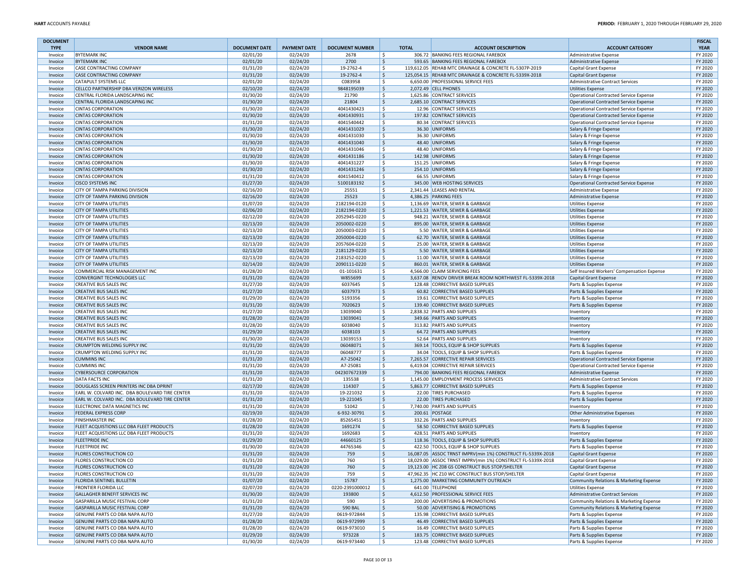| <b>DOCUMENT</b> |                                                |                      |                     |                        |              |                                                             |                                               | <b>FISCAL</b> |
|-----------------|------------------------------------------------|----------------------|---------------------|------------------------|--------------|-------------------------------------------------------------|-----------------------------------------------|---------------|
| <b>TYPE</b>     | <b>VENDOR NAME</b>                             | <b>DOCUMENT DATE</b> | <b>PAYMENT DATE</b> | <b>DOCUMENT NUMBER</b> | <b>TOTAL</b> | <b>ACCOUNT DESCRIPTION</b>                                  | <b>ACCOUNT CATEGORY</b>                       | <b>YEAR</b>   |
| Invoice         | <b>BYTEMARK INC</b>                            | 02/01/20             | 02/24/20            | 2678                   | \$           | 306.72 BANKING FEES REGIONAL FAREBOX                        | Administrative Expense                        | FY 2020       |
| Invoice         | <b>BYTEMARK INC</b>                            | 02/01/20             | 02/24/20            | 2700                   | \$           | 593.65 BANKING FEES REGIONAL FAREBOX                        | <b>Administrative Expense</b>                 | FY 2020       |
| Invoice         | <b>CASE CONTRACTING COMPANY</b>                | 01/31/20             | 02/24/20            | 19-2762-4              | -Ś           | 119,612.05 REHAB MTC DRAINAGE & CONCRETE FL-5307P-2019      | Capital Grant Expense                         | FY 2020       |
| Invoice         | CASE CONTRACTING COMPANY                       | 01/31/20             | 02/24/20            | 19-2762-4              | S.           | 125,054.15 REHAB MTC DRAINAGE & CONCRETE FL-5339X-2018      | Capital Grant Expense                         | FY 2020       |
| Invoice         | CATAPULT SYSTEMS LLC                           | 02/01/20             | 02/24/20            | C083958                | Ŝ.           | 6,650.00 PROFESSIONAL SERVICE FEES                          | Administrative Contract Services              | FY 2020       |
| Invoice         | CELLCO PARTNERSHIP DBA VERIZON WIRELESS        | 02/10/20             | 02/24/20            | 9848195039             | \$           | 2,072.49 CELL PHONES                                        | <b>Utilities Expense</b>                      | FY 2020       |
| Invoice         | CENTRAL FLORIDA LANDSCAPING INC                | 01/30/20             | 02/24/20            | 21790                  | \$           | 1,625.86 CONTRACT SERVICES                                  | <b>Operational Contracted Service Expense</b> | FY 2020       |
| Invoice         | CENTRAL FLORIDA LANDSCAPING INC                | 01/30/20             | 02/24/20            | 21804                  | \$           | 2.685.10 CONTRACT SERVICES                                  | <b>Operational Contracted Service Expense</b> | FY 2020       |
| Invoice         | <b>CINTAS CORPORATION</b>                      | 01/30/20             | 02/24/20            | 4041430423             | \$           | 12.96 CONTRACT SERVICES                                     | <b>Operational Contracted Service Expense</b> | FY 2020       |
| Invoice         | <b>CINTAS CORPORATION</b>                      | 01/30/20             | 02/24/20            | 4041430931             | <sub>S</sub> | 197.82 CONTRACT SERVICES                                    | <b>Operational Contracted Service Expense</b> | FY 2020       |
| Invoice         | <b>CINTAS CORPORATION</b>                      | 01/31/20             | 02/24/20            | 4041540442             | \$           | 80.34 CONTRACT SERVICES                                     | Operational Contracted Service Expense        | FY 2020       |
| Invoice         | <b>CINTAS CORPORATION</b>                      | 01/30/20             | 02/24/20            | 4041431029             | \$           | 36.30 UNIFORMS                                              | Salary & Fringe Expense                       | FY 2020       |
| Invoice         | <b>CINTAS CORPORATION</b>                      | 01/30/20             | 02/24/20            | 4041431030             | \$           | 36.30 UNIFORMS                                              | Salary & Fringe Expense                       | FY 2020       |
| Invoice         | <b>CINTAS CORPORATION</b>                      | 01/30/20             | 02/24/20            | 4041431040             | \$           | 48.40 UNIFORMS                                              | Salary & Fringe Expense                       | FY 2020       |
| Invoice         | <b>CINTAS CORPORATION</b>                      | 01/30/20             | 02/24/20            | 4041431046             | \$           | 48.40 UNIFORMS                                              | Salary & Fringe Expense                       | FY 2020       |
| Invoice         | <b>CINTAS CORPORATION</b>                      | 01/30/20             | 02/24/20            | 4041431186             | S.           | 142.98 UNIFORMS                                             | Salary & Fringe Expense                       | FY 2020       |
| Invoice         | <b>CINTAS CORPORATION</b>                      | 01/30/20             | 02/24/20            | 4041431227             | -\$          | 151.25 UNIFORMS                                             | Salary & Fringe Expense                       | FY 2020       |
| Invoice         | <b>CINTAS CORPORATION</b>                      | 01/30/20             | 02/24/20            | 4041431246             | \$           | 254.10 UNIFORMS                                             | Salary & Fringe Expense                       | FY 2020       |
| Invoice         | <b>CINTAS CORPORATION</b>                      | 01/31/20             | 02/24/20            | 4041540412             | Ŝ.           | 66.55 UNIFORMS                                              | Salary & Fringe Expense                       | FY 2020       |
| Invoice         | <b>CISCO SYSTEMS INC</b>                       | 01/27/20             | 02/24/20            | 5100183192             | -\$          | 345.00 WEB HOSTING SERVICES                                 | <b>Operational Contracted Service Expense</b> | FY 2020       |
| Invoice         | CITY OF TAMPA PARKING DIVISION                 | 02/16/20             | 02/24/20            | 25551                  | \$           | 2,341.44 LEASES AND RENTAL                                  | <b>Administrative Expense</b>                 | FY 2020       |
| Invoice         | CITY OF TAMPA PARKING DIVISION                 | 02/16/20             | 02/24/20            | 25523                  | \$           | 4,386.25 PARKING FEES                                       | Administrative Expense                        | FY 2020       |
| Invoice         | <b>CITY OF TAMPA UTILITIES</b>                 | 01/07/20             | 02/24/20            | 2182194-0120           | \$           | 1,136.69 WATER, SEWER & GARBAGE                             | <b>Utilities Expense</b>                      | FY 2020       |
| Invoice         | <b>CITY OF TAMPA UTILITIES</b>                 | 02/06/20             | 02/24/20            | 2182194-0220           | \$           | 1,221.53 WATER, SEWER & GARBAGE                             | <b>Utilities Expense</b>                      | FY 2020       |
| Invoice         | <b>CITY OF TAMPA UTILITIES</b>                 | 02/12/20             | 02/24/20            | 2052945-0220           | \$           | 948.21 WATER, SEWER & GARBAGE                               | <b>Utilities Expense</b>                      | FY 2020       |
| Invoice         | <b>CITY OF TAMPA UTILITIES</b>                 | 02/13/20             | 02/24/20            | 2050002-0220           | \$           | 895.00 WATER, SEWER & GARBAGE                               | <b>Utilities Expense</b>                      | FY 2020       |
| Invoice         | <b>CITY OF TAMPA UTILITIES</b>                 | 02/13/20             | 02/24/20            | 2050003-0220           | \$           | 5.50 WATER, SEWER & GARBAGE                                 | <b>Utilities Expense</b>                      | FY 2020       |
| Invoice         | <b>CITY OF TAMPA UTILITIES</b>                 | 02/13/20             | 02/24/20            | 2050004-0220           | Ŝ.           | 62.70 WATER, SEWER & GARBAGE                                | <b>Utilities Expense</b>                      | FY 2020       |
| Invoice         | <b>CITY OF TAMPA UTILITIES</b>                 | 02/13/20             | 02/24/20            | 2057604-0220           | -\$          | 25.00 WATER, SEWER & GARBAGE                                | <b>Utilities Expense</b>                      | FY 2020       |
| Invoice         | <b>CITY OF TAMPA UTILITIES</b>                 | 02/13/20             | 02/24/20            | 2181129-0220           | \$           | 5.50 WATER, SEWER & GARBAGE                                 | <b>Utilities Expense</b>                      | FY 2020       |
| Invoice         | <b>CITY OF TAMPA UTILITIES</b>                 | 02/13/20             | 02/24/20            | 2183252-0220           | -\$          | 11.00 WATER, SEWER & GARBAGE                                | <b>Utilities Expense</b>                      | FY 2020       |
| Invoice         | <b>CITY OF TAMPA UTILITIES</b>                 | 02/14/20             | 02/24/20            | 2090111-0220           | \$           | 860.01 WATER, SEWER & GARBAGE                               | <b>Utilities Expense</b>                      | FY 2020       |
| Invoice         | COMMERCIAL RISK MANAGEMENT INC                 | 01/28/20             | 02/24/20            | 01-101631              | \$           | 4.566.00 CLAIM SERVICING FEES                               | Self Insured Workers' Compensation Expense    | FY 2020       |
| Invoice         | <b>CONVERGINT TECHNOLOGIES LLC</b>             | 01/31/20             | 02/24/20            | W855699                | \$           | 3,637.08 RENOV DRIVER BREAK ROOM NORTHWEST FL-5339X-2018    | Capital Grant Expense                         | FY 2020       |
| Invoice         | <b>CREATIVE BUS SALES INC</b>                  | 01/27/20             | 02/24/20            | 6037645                | Ŝ.           | 128.48 CORRECTIVE BASED SUPPLIES                            | Parts & Supplies Expense                      | FY 2020       |
| Invoice         | <b>CREATIVE BUS SALES INC</b>                  | 01/27/20             | 02/24/20            | 6037973                | \$           | 60.82 CORRECTIVE BASED SUPPLIES                             | Parts & Supplies Expense                      | FY 2020       |
| Invoice         | <b>CREATIVE BUS SALES INC</b>                  | 01/29/20             | 02/24/20            | 5193356                | \$           | 19.61 CORRECTIVE BASED SUPPLIES                             | Parts & Supplies Expense                      | FY 2020       |
| Invoice         | <b>CREATIVE BUS SALES INC</b>                  | 01/31/20             | 02/24/20            | 7020623                | \$           | 139.40 CORRECTIVE BASED SUPPLIES                            | Parts & Supplies Expense                      | FY 2020       |
| Invoice         | <b>CREATIVE BUS SALES INC</b>                  | 01/27/20             | 02/24/20            | 13039040               | \$           | 2,838.32 PARTS AND SUPPLIES                                 | Inventory                                     | FY 2020       |
| Invoice         | <b>CREATIVE BUS SALES INC</b>                  | 01/28/20             | 02/24/20            | 13039041               | S.           | 349.66 PARTS AND SUPPLIES                                   | Inventory                                     | FY 2020       |
| Invoice         | <b>CREATIVE BUS SALES INC</b>                  | 01/28/20             | 02/24/20            | 6038040                | .s           | 313.82 PARTS AND SUPPLIES                                   | Inventory                                     | FY 2020       |
| Invoice         | <b>CREATIVE BUS SALES INC</b>                  | 01/29/20             | 02/24/20            | 6038103                | -\$          | 64.72 PARTS AND SUPPLIES                                    | Inventory                                     | FY 2020       |
| Invoice         | <b>CREATIVE BUS SALES INC</b>                  | 01/30/20             | 02/24/20            | 13039153               | \$           | 52.64 PARTS AND SUPPLIES                                    | Inventory                                     | FY 2020       |
| Invoice         | <b>CRUMPTON WELDING SUPPLY INC</b>             | 01/31/20             | 02/24/20            | 06048071               | S.           | 369.14 TOOLS, EQUIP & SHOP SUPPLIES                         | Parts & Supplies Expense                      | FY 2020       |
| Invoice         | CRUMPTON WELDING SUPPLY INC                    | 01/31/20             | 02/24/20            | 06048777               | -\$          | 34.04 TOOLS, EQUIP & SHOP SUPPLIES                          | Parts & Supplies Expense                      | FY 2020       |
| Invoice         | <b>CUMMINS INC</b>                             | 01/31/20             | 02/24/20            | A7-25042               | \$           | 7,265.57 CORRECTIVE REPAIR SERVICES                         | <b>Operational Contracted Service Expense</b> | FY 2020       |
| Invoice         | <b>CUMMINS INC</b>                             | 01/31/20             | 02/24/20            | A7-25081               | \$           | 6,419.04 CORRECTIVE REPAIR SERVICES                         | <b>Operational Contracted Service Expense</b> | FY 2020       |
| Invoice         | <b>CYBERSOURCE CORPORATION</b>                 | 01/31/20             | 02/24/20            | 042307672339           | l \$         | 794.00 BANKING FEES REGIONAL FAREBOX                        | Administrative Expense                        | FY 2020       |
| Invoice         | <b>DATA FACTS INC</b>                          | 01/31/20             | 02/24/20            | 135538                 | \$           | 1,145.00 EMPLOYMENT PROCESS SERVICES                        | <b>Administrative Contract Services</b>       | FY 2020       |
| Invoice         | DOUGLASS SCREEN PRINTERS INC DBA DPRINT        | 02/17/20             | 02/24/20            | 114307                 | \$           | 5,863.77 CORRECTIVE BASED SUPPLIES                          | Parts & Supplies Expense                      | FY 2020       |
| Invoice         | EARL W. COLVARD INC. DBA BOULEVARD TIRE CENTER | 01/31/20             | 02/24/20            | 19-221032              | -\$          | 22.00 TIRES PURCHASED                                       | Parts & Supplies Expense                      | FY 2020       |
| Invoice         | EARL W. COLVARD INC. DBA BOULEVARD TIRE CENTER | 01/31/20             | 02/24/20            | 19-221045              | \$           | 22.00 TIRES PURCHASED                                       | Parts & Supplies Expense                      | FY 2020       |
| Invoice         | ELECTRONIC DATA MAGNETICS INC                  | 01/31/20             | 02/24/20            | 51042                  | -Ś           | 7,740.00 PARTS AND SUPPLIES                                 | Inventory                                     | FY 2020       |
| Invoice         | <b>FEDERAL EXPRESS CORP</b>                    | 02/19/20             | 02/24/20            | 6-932-30791            | S.           | 200.61 POSTAGE                                              | <b>Other Administrative Expenses</b>          | FY 2020       |
| Invoice         | <b>FINISHMASTER INC</b>                        | 01/28/20             | 02/24/20            | 85265451               | Ŝ.           | 332.26 PARTS AND SUPPLIES                                   | Inventory                                     | FY 2020       |
| Invoice         | FLEET ACQUISTIONS LLC DBA FLEET PRODUCTS       | 01/28/20             | 02/24/20            | 1691274                | S.           | 58.50 CORRECTIVE BASED SUPPLIES                             | Parts & Supplies Expense                      | FY 2020       |
| Invoice         | FLEET ACQUISTIONS LLC DBA FLEET PRODUCTS       | 01/31/20             | 02/24/20            | 1692683                | \$           | 428.51 PARTS AND SUPPLIES                                   | Inventory                                     | FY 2020       |
| Invoice         | <b>FLEETPRIDE INC</b>                          | 01/29/20             | 02/24/20            | 44660125               | \$           | 118.36 TOOLS, EQUIP & SHOP SUPPLIES                         | Parts & Supplies Expense                      | FY 2020       |
| Invoice         | <b>FLEETPRIDE INC</b>                          | 01/30/20             | 02/24/20            | 44765346               | S.           | 422.50 TOOLS, EQUIP & SHOP SUPPLIES                         | Parts & Supplies Expense                      | FY 2020       |
| Invoice         | <b>FLORES CONSTRUCTION CO</b>                  | 01/31/20             | 02/24/20            | 759                    | <sub>S</sub> | 16,087.05 ASSOC TRNST IMPRV(min 1%) CONSTRUCT FL-5339X-2018 | <b>Capital Grant Expense</b>                  | FY 2020       |
| Invoice         | <b>FLORES CONSTRUCTION CO</b>                  | 01/31/20             | 02/24/20            | 760                    | \$           | 18,029.00 ASSOC TRNST IMPRV(min 1%) CONSTRUCT FL-5339X-2018 | Capital Grant Expense                         | FY 2020       |
| Invoice         | <b>FLORES CONSTRUCTION CO</b>                  | 01/31/20             | 02/24/20            | 760                    | S.           | 19.123.00 HC Z08 GS CONSTRUCT BUS STOP/SHELTER              | <b>Capital Grant Expense</b>                  | FY 2020       |
| Invoice         | <b>FLORES CONSTRUCTION CO</b>                  | 01/31/20             | 02/24/20            | 759                    | \$           | 47,962.35 HC Z10 WC CONSTRUCT BUS STOP/SHELTER              | Capital Grant Expense                         | FY 2020       |
| Invoice         | <b>FLORIDA SENTINEL BULLETIN</b>               | 01/07/20             | 02/24/20            | 15787                  | \$           | 1,275.00 MARKETING COMMUNITY OUTREACH                       | Community Relations & Marketing Expense       | FY 2020       |
| Invoice         | FRONTIER FLORIDA LLC                           | 02/07/20             | 02/24/20            | 0220-2391000012        | l\$          | 641.00 TELEPHONE                                            | <b>Utilities Expense</b>                      | FY 2020       |
| Invoice         | <b>GALLAGHER BENEFIT SERVICES INC</b>          | 01/30/20             | 02/24/20            | 193800                 | \$           | 4,612.50 PROFESSIONAL SERVICE FEES                          | <b>Administrative Contract Services</b>       | FY 2020       |
| Invoice         | GASPARILLA MUSIC FESTIVAL CORP                 | 01/31/20             | 02/24/20            | 590                    | \$           | 200.00 ADVERTISING & PROMOTIONS                             | Community Relations & Marketing Expense       | FY 2020       |
| Invoice         | GASPARILLA MUSIC FESTIVAL CORP                 | 01/31/20             | 02/24/20            | <b>590 BAL</b>         | \$           | 50.00 ADVERTISING & PROMOTIONS                              | Community Relations & Marketing Expense       | FY 2020       |
| Invoice         | GENUINE PARTS CO DBA NAPA AUTO                 | 01/27/20             | 02/24/20            | 0619-972844            | \$           | 135.98 CORRECTIVE BASED SUPPLIES                            | Parts & Supplies Expense                      | FY 2020       |
| Invoice         | GENUINE PARTS CO DBA NAPA AUTO                 | 01/28/20             | 02/24/20            | 0619-972999            | \$           | 46.49 CORRECTIVE BASED SUPPLIES                             | Parts & Supplies Expense                      | FY 2020       |
| Invoice         | GENUINE PARTS CO DBA NAPA AUTO                 | 01/28/20             | 02/24/20            | 0619-973010            | \$           | 16.49 CORRECTIVE BASED SUPPLIES                             | Parts & Supplies Expense                      | FY 2020       |
| Invoice         | GENUINE PARTS CO DBA NAPA AUTO                 | 01/29/20             | 02/24/20            | 973228                 | \$           | 183.75 CORRECTIVE BASED SUPPLIES                            | Parts & Supplies Expense                      | FY 2020       |
| Invoice         | GENUINE PARTS CO DBA NAPA AUTO                 | 01/30/20             | 02/24/20            | 0619-973440            | l \$         | 123.48 CORRECTIVE BASED SUPPLIES                            | Parts & Supplies Expense                      | FY 2020       |
|                 |                                                |                      |                     |                        |              |                                                             |                                               |               |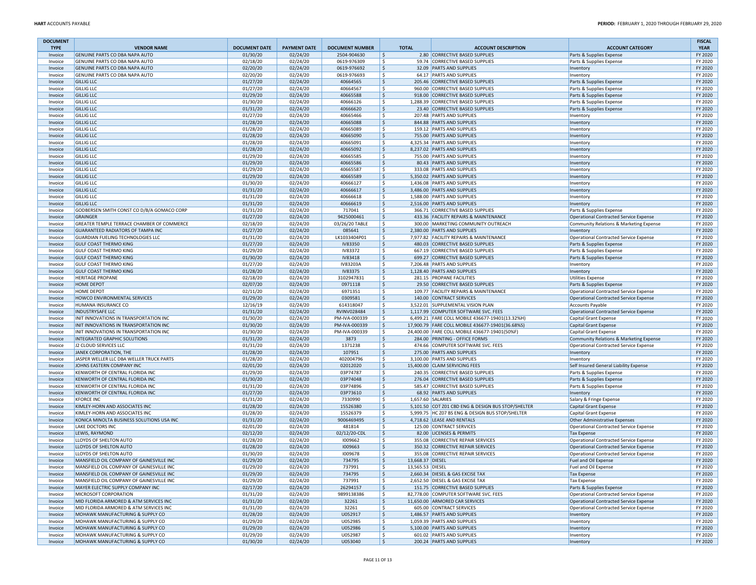| <b>DOCUMENT</b><br><b>TYPE</b> | <b>VENDOR NAME</b>                                               | <b>DOCUMENT DATE</b> | <b>PAYMENT DATE</b>  | <b>DOCUMENT NUMBER</b> | <b>TOTAL</b>           | <b>ACCOUNT DESCRIPTION</b>                                                     | <b>ACCOUNT CATEGORY</b>                                                          | <b>FISCAL</b><br><b>YEAR</b> |
|--------------------------------|------------------------------------------------------------------|----------------------|----------------------|------------------------|------------------------|--------------------------------------------------------------------------------|----------------------------------------------------------------------------------|------------------------------|
| Invoice                        | GENUINE PARTS CO DBA NAPA AUTO                                   | 01/30/20             | 02/24/20             | 2504-904630            | \$                     | 2.80 CORRECTIVE BASED SUPPLIES                                                 | Parts & Supplies Expense                                                         | FY 2020                      |
| Invoice                        | GENUINE PARTS CO DBA NAPA AUTO                                   | 02/18/20             | 02/24/20             | 0619-976309            | -Ś                     | 59.74 CORRECTIVE BASED SUPPLIES                                                | Parts & Supplies Expense                                                         | FY 2020                      |
| Invoice                        | GENUINE PARTS CO DBA NAPA AUTO                                   | 02/20/20             | 02/24/20             | 0619-976692            | \$                     | 32.09 PARTS AND SUPPLIES                                                       | Inventory                                                                        | FY 2020                      |
| Invoice                        | GENUINE PARTS CO DBA NAPA AUTO                                   | 02/20/20             | 02/24/20             | 0619-976693            | S.                     | 64.17 PARTS AND SUPPLIES                                                       | Inventory                                                                        | FY 2020                      |
| Invoice                        | <b>GILLIG LLC</b>                                                | 01/27/20             | 02/24/20             | 40664565               | \$                     | 205.46 CORRECTIVE BASED SUPPLIES                                               | Parts & Supplies Expense                                                         | FY 2020                      |
| Invoice                        | <b>GILLIG LLC</b>                                                | 01/27/20             | 02/24/20             | 40664567               | -\$                    | 960.00 CORRECTIVE BASED SUPPLIES                                               | Parts & Supplies Expense                                                         | FY 2020                      |
| Invoice                        | <b>GILLIG LLC</b>                                                | 01/29/20             | 02/24/20             | 40665588               | \$                     | 918.00 CORRECTIVE BASED SUPPLIES                                               | Parts & Supplies Expense                                                         | FY 2020                      |
| Invoice                        | <b>GILLIG LLC</b>                                                | 01/30/20             | 02/24/20             | 40666126               | S.                     | 1,288.39 CORRECTIVE BASED SUPPLIES                                             | Parts & Supplies Expense                                                         | FY 2020                      |
| Invoice                        | <b>GILLIG LLC</b>                                                | 01/31/20             | 02/24/20             | 40666620               | -\$                    | 23.40 CORRECTIVE BASED SUPPLIES                                                | Parts & Supplies Expense                                                         | FY 2020                      |
| Invoice                        | <b>GILLIG LLC</b>                                                | 01/27/20             | 02/24/20             | 40665466               | -\$                    | 207.48 PARTS AND SUPPLIES                                                      | Inventory                                                                        | FY 2020                      |
| Invoice                        | <b>GILLIG LLC</b>                                                | 01/28/20             | 02/24/20             | 40665088               | \$                     | 844.88 PARTS AND SUPPLIES                                                      | Inventory                                                                        | FY 2020                      |
| Invoice                        | <b>GILLIG LLC</b>                                                | 01/28/20             | 02/24/20             | 40665089               | -Ś                     | 159.12 PARTS AND SUPPLIES                                                      | Inventory                                                                        | FY 2020                      |
| Invoice                        | <b>GILLIG LLC</b>                                                | 01/28/20             | 02/24/20             | 40665090               | \$                     | 755.00 PARTS AND SUPPLIES                                                      | Inventory                                                                        | FY 2020                      |
| Invoice                        | <b>GILLIG LLC</b>                                                | 01/28/20             | 02/24/20             | 40665091               | \$                     | 4,325.34 PARTS AND SUPPLIES                                                    | Inventon                                                                         | FY 2020                      |
| Invoice                        | <b>GILLIG LLC</b>                                                | 01/28/20             | 02/24/20             | 40665092               | \$                     | 8,237.02 PARTS AND SUPPLIES                                                    | Inventory                                                                        | FY 2020                      |
| Invoice                        | <b>GILLIG LLC</b>                                                | 01/29/20             | 02/24/20             | 40665585               | -\$                    | 755.00 PARTS AND SUPPLIES                                                      | Inventory                                                                        | FY 2020                      |
| Invoice                        | <b>GILLIG LLC</b>                                                | 01/29/20             | 02/24/20             | 40665586               | \$                     | 80.43 PARTS AND SUPPLIES                                                       | Inventory                                                                        | FY 2020                      |
| Invoice                        | <b>GILLIG LLC</b>                                                | 01/29/20             | 02/24/20             | 40665587               | -\$                    | 333.08 PARTS AND SUPPLIES                                                      | Inventory                                                                        | FY 2020                      |
| Invoice                        | <b>GILLIG LLC</b>                                                | 01/29/20             | 02/24/20             | 40665589               | S.                     | 5,350.02 PARTS AND SUPPLIES                                                    | Inventory                                                                        | FY 2020                      |
| Invoice                        | <b>GILLIG LLC</b>                                                | 01/30/20             | 02/24/20             | 40666127               | -\$                    | 1,436.08 PARTS AND SUPPLIES                                                    | Inventory                                                                        | FY 2020                      |
| Invoice                        | <b>GILLIG LLC</b>                                                | 01/31/20             | 02/24/20             | 40666617               | \$                     | 3,486.00 PARTS AND SUPPLIES                                                    | Inventory                                                                        | FY 2020                      |
| Invoice                        | <b>GILLIG LLC</b>                                                | 01/31/20             | 02/24/20             | 40666618               | S.                     | 1,588.00 PARTS AND SUPPLIES                                                    | Inventory                                                                        | FY 2020                      |
| Invoice                        | <b>GILLIG LLC</b>                                                | 01/31/20             | 02/24/20             | 40666619               | \$                     | 2,516.00 PARTS AND SUPPLIES                                                    | Inventory                                                                        | FY 2020                      |
| Invoice                        | GODBERSEN SMITH CONST CO D/B/A GOMACO CORP                       | 01/31/20             | 02/24/20             | 717041                 | \$                     | 366.71 CORRECTIVE BASED SUPPLIES                                               | Parts & Supplies Expense                                                         | FY 2020                      |
| Invoice                        | <b>GRAINGER</b>                                                  | 01/27/20             | 02/24/20             | 9425000461             | \$                     | 433.36 FACILITY REPAIRS & MAINTENANCE                                          | Operational Contracted Service Expense                                           | FY 2020                      |
| Invoice                        | GREATER TEMPLE TERRACE CHAMBER OF COMMERCE                       | 02/18/20             | 02/24/20             | 03/26/20 TABLE         | S.                     | 300.00 MARKETING COMMUNITY OUTREACH                                            | Community Relations & Marketing Expense                                          | FY 2020                      |
| Invoice                        | <b>GUARANTEED RADIATORS OF TAMPA INC</b>                         | 01/27/20             | 02/24/20             | 085641                 | \$                     | 2,380.00 PARTS AND SUPPLIES                                                    | Inventory                                                                        | FY 2020                      |
| Invoice                        | GUARDIAN FUELING TECHNOLOGIES LLC                                | 01/31/20             | 02/24/20             | LK1033404P01           | \$                     | 7,977.82 FACILITY REPAIRS & MAINTENANCE                                        | Operational Contracted Service Expense                                           | FY 2020                      |
| Invoice                        | <b>GULF COAST THERMO KING</b>                                    | 01/27/20             | 02/24/20             | <b>IV83350</b>         | \$                     | 480.03 CORRECTIVE BASED SUPPLIES                                               | Parts & Supplies Expense                                                         | FY 2020                      |
| Invoice                        | <b>GULF COAST THERMO KING</b>                                    | 01/29/20             | 02/24/20             | <b>IV83372</b>         | -\$                    | 667.19 CORRECTIVE BASED SUPPLIES                                               | Parts & Supplies Expense                                                         | FY 2020                      |
| Invoice                        | <b>GULF COAST THERMO KING</b>                                    | 01/30/20             | 02/24/20             | IV83418                | S.                     | 699.27 CORRECTIVE BASED SUPPLIES                                               | Parts & Supplies Expense                                                         | FY 2020                      |
| Invoice                        | <b>GULF COAST THERMO KING</b>                                    | 01/27/20             | 02/24/20             | IV83203A               | -\$                    | 7,206.48 PARTS AND SUPPLIES                                                    | Inventory                                                                        | FY 2020                      |
| Invoice                        | <b>GULF COAST THERMO KING</b>                                    | 01/28/20             | 02/24/20             | IV83375                | \$                     | 1,128.40 PARTS AND SUPPLIES                                                    | Inventory                                                                        | FY 2020                      |
| Invoice                        | <b>HERITAGE PROPANE</b>                                          | 02/18/20             | 02/24/20             | 3102947831             | Ŝ.                     | 281.15 PROPANE FACILITIES                                                      | <b>Utilities Expense</b>                                                         | FY 2020                      |
| Invoice                        | <b>HOME DEPOT</b>                                                | 02/07/20             | 02/24/20             | 0971118                | \$                     | 29.50 CORRECTIVE BASED SUPPLIES                                                | Parts & Supplies Expense                                                         | FY 2020                      |
|                                | <b>HOME DEPOT</b>                                                | 02/11/20             | 02/24/20             | 6971351                | S.                     | 109.77 FACILITY REPAIRS & MAINTENANCE                                          |                                                                                  | FY 2020                      |
| Invoice<br>Invoice             | HOWCO ENVIRONMENTAL SERVICES                                     | 01/29/20             | 02/24/20             | 0309581                | \$                     | 140.00 CONTRACT SERVICES                                                       | Operational Contracted Service Expense<br>Operational Contracted Service Expense | FY 2020                      |
| Invoice                        | HUMANA INSURANCE CO                                              | 12/16/19             | 02/24/20             | 614318047              | \$                     | 3,522.01 SUPPLEMENTAL VISION PLAN                                              | <b>Accounts Payable</b>                                                          | FY 2020                      |
|                                | <b>INDUSTRYSAFE LLC</b>                                          | 01/31/20             | 02/24/20             | RVINV028484            | \$                     | 1,117.99 COMPUTER SOFTWARE SVC. FEES                                           | Operational Contracted Service Expense                                           | FY 2020                      |
| Invoice<br>Invoice             | INIT INNOVATIONS IN TRANSPORTATION INC                           | 01/30/20             | 02/24/20             | PM-IVA-000339          | S.                     | 6,499.21 FARE COLL MOBILE 436677-19401(13.32%H)                                | Capital Grant Expense                                                            | FY 2020                      |
|                                | INIT INNOVATIONS IN TRANSPORTATION INC                           | 01/30/20             | 02/24/20             | PM-IVA-000339          |                        | 17,900.79 FARE COLL MOBILE 436677-19401(36.68%S)                               |                                                                                  | FY 2020                      |
| Invoice                        | INIT INNOVATIONS IN TRANSPORTATION INC                           | 01/30/20             | 02/24/20             | PM-IVA-000339          | \$<br>\$               | 24,400.00 FARE COLL MOBILE 436677-19401(50%F)                                  | <b>Capital Grant Expense</b>                                                     | FY 2020                      |
| Invoice                        | INTEGRATED GRAPHIC SOLUTIONS                                     | 01/31/20             | 02/24/20             | 3873                   | S.                     | 284.00 PRINTING - OFFICE FORMS                                                 | Capital Grant Expense                                                            | FY 2020                      |
| Invoice                        | J2 CLOUD SERVICES LLC                                            |                      |                      | 1371238                |                        | 474.66 COMPUTER SOFTWARE SVC. FEES                                             | Community Relations & Marketing Expense                                          |                              |
| Invoice                        | JANEK CORPORATION, THE                                           | 01/31/20<br>01/28/20 | 02/24/20<br>02/24/20 | 107951                 | S.<br>\$               | 275.00 PARTS AND SUPPLIES                                                      | Operational Contracted Service Expense                                           | FY 2020<br>FY 2020           |
| Invoice<br>Invoice             | JASPER WELLER LLC DBA WELLER TRUCK PARTS                         | 01/28/20             | 02/24/20             | 402004796              | -\$                    | 3,100.00 PARTS AND SUPPLIES                                                    | Inventory<br>Inventory                                                           | FY 2020                      |
| Invoice                        | JOHNS EASTERN COMPANY INC                                        | 02/01/20             | 02/24/20             | 02012020               | \$                     | 15,400.00 CLAIM SERVICING FEES                                                 | Self Insured General Liability Expense                                           | FY 2020                      |
| Invoice                        | KENWORTH OF CENTRAL FLORIDA INC                                  | 01/29/20             | 02/24/20             | 03P74787               | \$                     | 240.35 CORRECTIVE BASED SUPPLIES                                               | Parts & Supplies Expense                                                         | FY 2020                      |
|                                | KENWORTH OF CENTRAL FLORIDA INC                                  | 01/30/20             | 02/24/20             | 03P74048               | \$                     | 276.04 CORRECTIVE BASED SUPPLIES                                               |                                                                                  | FY 2020                      |
| Invoice                        | KENWORTH OF CENTRAL FLORIDA INC                                  | 01/31/20             |                      | 03P74896               | \$                     | 585.47 CORRECTIVE BASED SUPPLIES                                               | Parts & Supplies Expense                                                         | FY 2020                      |
| Invoice<br>Invoice             | KENWORTH OF CENTRAL FLORIDA INC                                  | 01/27/20             | 02/24/20<br>02/24/20 | 03P73610               | \$                     | 68.92 PARTS AND SUPPLIES                                                       | Parts & Supplies Expense<br>Inventory                                            | FY 2020                      |
|                                |                                                                  |                      |                      |                        |                        | 1,657.60 SALARIES                                                              |                                                                                  |                              |
| Invoice                        | <b>KFORCE INC</b>                                                | 01/31/20<br>01/28/20 | 02/24/20             | 7330990                | S.<br>$\zeta$          |                                                                                | Salary & Fringe Expense                                                          | FY 2020<br>FY 2020           |
| Invoice<br>Invoice             | KIMLEY-HORN AND ASSOCIATES INC<br>KIMLEY-HORN AND ASSOCIATES INC | 01/28/20             | 02/24/20<br>02/24/20 | 15526380               | \$                     | 5,101.50 COT Z01 CBD ENG & DESIGN BUS STOP/SHELTER                             | <b>Capital Grant Expense</b>                                                     | FY 2020                      |
| Invoice                        | KONICA MINOLTA BUSINESS SOLUTIONS USA INC                        | 01/31/20             | 02/24/20             | 15526379<br>9006469495 | \$                     | 5,999.75 HC Z07 BS ENG & DESIGN BUS STOP/SHELTER<br>4,718.62 LEASE AND RENTALS | Capital Grant Expense<br>Other Administrative Expenses                           | FY 2020                      |
|                                |                                                                  |                      |                      |                        | -\$                    |                                                                                | Operational Contracted Service Expense                                           |                              |
| Invoice                        | <b>LAKE DOCTORS INC</b>                                          | 02/01/20             | 02/24/20             | 481814                 |                        | 125.00 CONTRACT SERVICES                                                       |                                                                                  | FY 2020                      |
| Invoice                        | LEWIS, RAYMOND<br>LLOYDS OF SHELTON AUTO                         | 02/12/20             | 02/24/20             | 02/12/20-CDL           | \$                     | 82.00 LICENSES & PERMITS<br>355.08 CORRECTIVE REPAIR SERVICES                  | <b>Tax Expense</b><br>Operational Contracted Service Expense                     | FY 2020                      |
| Invoice                        |                                                                  | 01/28/20             | 02/24/20             | 1009662                | S.                     |                                                                                |                                                                                  | FY 2020                      |
| Invoice                        | LLOYDS OF SHELTON AUTO                                           | 01/28/20             | 02/24/20             | 1009663                | \$                     | 350.32 CORRECTIVE REPAIR SERVICES                                              | Operational Contracted Service Expense                                           | FY 2020                      |
| Invoice                        | LLOYDS OF SHELTON AUTO                                           | 01/30/20             | 02/24/20             | 1009678                | -\$                    | 355.08 CORRECTIVE REPAIR SERVICES                                              | Operational Contracted Service Expense                                           | FY 2020                      |
| Invoice                        | MANSFIELD OIL COMPANY OF GAINESVILLE INC                         | 01/29/20             | 02/24/20             | 734795                 | \$<br>13,668.37 DIESEL |                                                                                | Fuel and Oil Expense                                                             | FY 2020                      |
| mvoice                         | MANSFIELD OIL COMPANY OF GAINESVILLE INC                         | 01/29/20             | 02/24/20             | 737991                 | 13,565.53 DIESEL       | 2,660.34 DIESEL & GAS EXCISE TAX                                               | Fuel and Oil Expense                                                             | FY 2020                      |
| Invoice                        | MANSFIELD OIL COMPANY OF GAINESVILLE INC                         | 01/29/20             | 02/24/20             | 734795                 | \$                     |                                                                                | <b>Tax Expense</b>                                                               | FY 2020                      |
| Invoice                        | MANSFIELD OIL COMPANY OF GAINESVILLE INC                         | 01/29/20             | 02/24/20             | 737991                 | \$                     | 2,652.50 DIESEL & GAS EXCISE TAX                                               | <b>Tax Expense</b>                                                               | FY 2020                      |
| Invoice                        | MAYER ELECTRIC SUPPLY COMPANY INC                                | 02/17/20             | 02/24/20             | 26294157               | \$                     | 151.75 CORRECTIVE BASED SUPPLIES                                               | Parts & Supplies Expense                                                         | FY 2020                      |
| Invoice                        | MICROSOFT CORPORATION                                            | 01/31/20             | 02/24/20             | 9899138386             | \$                     | 82,778.00 COMPUTER SOFTWARE SVC. FEES                                          | Operational Contracted Service Expense                                           | FY 2020                      |
| Invoice                        | MID FLORIDA ARMORED & ATM SERVICES INC                           | 01/31/20             | 02/24/20             | 32261                  | \$                     | 11,650.00 ARMORED CAR SERVICES                                                 | Operational Contracted Service Expense                                           | FY 2020                      |
| Invoice                        | MID FLORIDA ARMORED & ATM SERVICES INC                           | 01/31/20             | 02/24/20             | 32261                  | \$                     | 605.00 CONTRACT SERVICES                                                       | Operational Contracted Service Expense                                           | FY 2020                      |
| Invoice                        | MOHAWK MANUFACTURING & SUPPLY CO                                 | 01/28/20             | 02/24/20             | U052917                | \$                     | 1,486.57 PARTS AND SUPPLIES                                                    | Inventory                                                                        | FY 2020                      |
| Invoice                        | MOHAWK MANUFACTURING & SUPPLY CO                                 | 01/29/20             | 02/24/20             | U052985                | \$                     | 1,059.39 PARTS AND SUPPLIES                                                    | Inventory                                                                        | FY 2020                      |
| Invoice                        | MOHAWK MANUFACTURING & SUPPLY CO                                 | 01/29/20             | 02/24/20             | U052986                | \$                     | 5,100.00 PARTS AND SUPPLIES                                                    | Inventory                                                                        | FY 2020                      |
| Invoice                        | MOHAWK MANUFACTURING & SUPPLY CO                                 | 01/29/20             | 02/24/20             | U052987                | \$                     | 601.02 PARTS AND SUPPLIES                                                      | Inventory                                                                        | FY 2020                      |
| Invoice                        | MOHAWK MANUFACTURING & SUPPLY CO                                 | 01/30/20             | 02/24/20             | U053040                | \$                     | 200.24 PARTS AND SUPPLIES                                                      | Inventory                                                                        | FY 2020                      |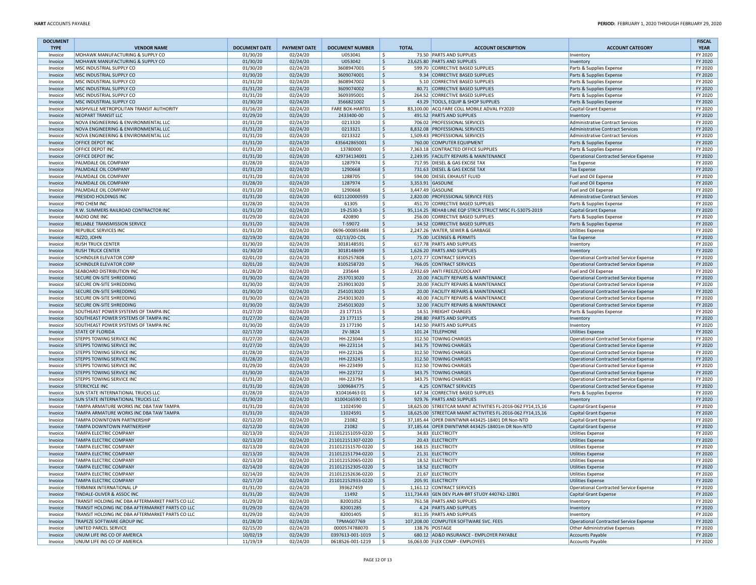| <b>DOCUMENT</b>    |                                                                                                      | <b>DOCUMENT DATE</b> |                                 |                                   |                             |                                                                              |                                                                                  | <b>FISCAL</b><br><b>YEAR</b> |
|--------------------|------------------------------------------------------------------------------------------------------|----------------------|---------------------------------|-----------------------------------|-----------------------------|------------------------------------------------------------------------------|----------------------------------------------------------------------------------|------------------------------|
| <b>TYPE</b>        | <b>VENDOR NAME</b><br>MOHAWK MANUFACTURING & SUPPLY CO                                               | 01/30/20             | <b>PAYMENT DATE</b><br>02/24/20 | <b>DOCUMENT NUMBER</b><br>U053041 | <b>TOTAL</b><br>\$.         | <b>ACCOUNT DESCRIPTION</b><br>73.50 PARTS AND SUPPLIES                       | <b>ACCOUNT CATEGORY</b>                                                          | FY 2020                      |
| Invoice<br>Invoice | MOHAWK MANUFACTURING & SUPPLY CO                                                                     | 01/30/20             | 02/24/20                        | U053042                           | $\ddot{\mathsf{S}}$         | 23,625.80 PARTS AND SUPPLIES                                                 | Inventory<br>Inventory                                                           | FY 2020                      |
| Invoice            | MSC INDUSTRIAL SUPPLY CO                                                                             | 01/30/20             | 02/24/20                        | 3608947001                        | S.                          | 599.70 CORRECTIVE BASED SUPPLIES                                             | Parts & Supplies Expense                                                         | FY 2020                      |
| Invoice            | MSC INDUSTRIAL SUPPLY CO                                                                             | 01/30/20             | 02/24/20                        | 3609074001                        | \$                          | 9.34 CORRECTIVE BASED SUPPLIES                                               | Parts & Supplies Expense                                                         | FY 2020                      |
| Invoice            | MSC INDUSTRIAL SUPPLY CO                                                                             | 01/31/20             | 02/24/20                        | 3608947002                        | \$                          | 5.10 CORRECTIVE BASED SUPPLIES                                               | Parts & Supplies Expense                                                         | FY 2020                      |
| Invoice            | MSC INDUSTRIAL SUPPLY CO                                                                             | 01/31/20             | 02/24/20                        | 3609074002                        | $\ddot{\mathsf{S}}$         | 80.71 CORRECTIVE BASED SUPPLIES                                              | Parts & Supplies Expense                                                         | FY 2020                      |
| Invoice            | MSC INDUSTRIAL SUPPLY CO                                                                             | 01/31/20             | 02/24/20                        | 3609395001                        | \$                          | 264.52 CORRECTIVE BASED SUPPLIES                                             | Parts & Supplies Expense                                                         | FY 2020                      |
| Invoice            | MSC INDUSTRIAL SUPPLY CO                                                                             | 01/30/20             | 02/24/20                        | 3566821002                        | \$                          | 43.29 TOOLS, EQUIP & SHOP SUPPLIES                                           | Parts & Supplies Expense                                                         | FY 2020                      |
| Invoice            | NASHVILLE METROPOLITAN TRANSIT AUTHORITY                                                             | 01/16/20             | 02/24/20                        | FARE BOX-HART01                   | l \$                        | 83.100.00 ACQ FARE COLL MOBILE ADVAL FY2020                                  | Capital Grant Expense                                                            | FY 2020                      |
| Invoice            | NEOPART TRANSIT LLC                                                                                  | 01/29/20             | 02/24/20                        | 2433400-00                        | \$                          | 491.52 PARTS AND SUPPLIES                                                    | Inventory                                                                        | FY 2020                      |
| Invoice            | NOVA ENGINEERING & ENVIRONMENTAL LLC                                                                 | 01/31/20             | 02/24/20                        | 0213320                           | \$                          | 706.02 PROFESSIONAL SERVICES                                                 | Administrative Contract Services                                                 | FY 2020                      |
| Invoice            | NOVA ENGINEERING & ENVIRONMENTAL LLC                                                                 | 01/31/20             | 02/24/20                        | 0213321                           | $\ddot{\mathsf{S}}$         | 8,832.08 PROFESSIONAL SERVICES                                               | Administrative Contract Services                                                 | FY 2020                      |
| Invoice            | NOVA ENGINEERING & ENVIRONMENTAL LLC                                                                 | 01/31/20             | 02/24/20                        | 0213322                           | \$                          | 1,509.43 PROFESSIONAL SERVICES                                               | Administrative Contract Services                                                 | FY 2020                      |
| Invoice            | <b>OFFICE DEPOT INC</b>                                                                              | 01/31/20             | 02/24/20                        | 435642865001                      | $\ddot{\mathsf{S}}$         | 760.00 COMPUTER EQUIPMENT                                                    | Parts & Supplies Expense                                                         | FY 2020                      |
| Invoice            | OFFICE DEPOT INC                                                                                     | 01/31/20             | 02/24/20                        | 13780000                          | \$                          | 7,363.18 CONTRACTED OFFICE SUPPLIES                                          | Parts & Supplies Expense                                                         | FY 2020                      |
| Invoice            | <b>OFFICE DEPOT INC</b>                                                                              | 01/31/20             | 02/24/20                        | 429734134001                      | $\ddot{\mathsf{S}}$         | 2,249.95 FACILITY REPAIRS & MAINTENANCE                                      | Operational Contracted Service Expense                                           | FY 2020                      |
| Invoice            | PALMDALE OIL COMPANY                                                                                 | 01/28/20             | 02/24/20                        | 1287974                           | S.                          | 717.95 DIESEL & GAS EXCISE TAX                                               | <b>Tax Expense</b>                                                               | FY 2020                      |
| Invoice            | PALMDALE OIL COMPANY                                                                                 | 01/31/20             | 02/24/20                        | 1290668                           | \$                          | 731.63 DIESEL & GAS EXCISE TAX                                               | <b>Tax Expense</b>                                                               | FY 2020                      |
| Invoice            | PALMDALE OIL COMPANY                                                                                 | 01/31/20             | 02/24/20                        | 1288705                           | \$                          | 594.00 DIESEL EXHAUST FLUID                                                  | Fuel and Oil Expense                                                             | FY 2020                      |
| Invoice            | <b>PALMDALE OIL COMPANY</b>                                                                          | 01/28/20             | 02/24/20                        | 1287974                           | $\ddot{\mathsf{S}}$         | 3,353.91 GASOLINE                                                            | Fuel and Oil Expense                                                             | FY 2020                      |
| Invoice            | PALMDALE OIL COMPANY                                                                                 | 01/31/20             | 02/24/20                        | 1290668                           | \$                          | 3,447.49 GASOLINE                                                            | Fuel and Oil Expense                                                             | FY 2020                      |
| Invoice            | <b>PRESIDIO HOLDINGS INC</b>                                                                         | 01/31/20             | 02/24/20                        | 6021120000593                     | $\ddot{\mathsf{S}}$         | 2,820.00 PROFESSIONAL SERVICE FEES                                           | Administrative Contract Services                                                 | FY 2020                      |
| Invoice            | <b>PRO CHEM INC</b>                                                                                  | 01/28/20             | 02/24/20                        | 61305                             | \$                          | 451.70 CORRECTIVE BASED SUPPLIES                                             | Parts & Supplies Expense                                                         | FY 2020                      |
| Invoice            | R.W. SUMMERS RAILROAD CONTRACTOR INC                                                                 | 01/31/20             | 02/24/20                        | 19-2530-3                         | $\ddot{\mathsf{S}}$         | 95,114.25 REHAB LINE EQP STRCR STRUCT MISC FL-5307S-2019                     | Capital Grant Expense                                                            | FY 2020                      |
| Invoice            | RADIO ONE INC                                                                                        | 01/29/20             | 02/24/20                        | 420890                            | \$                          | 256.00 CORRECTIVE BASED SUPPLIES                                             | Parts & Supplies Expense                                                         | FY 2020                      |
| Invoice            | RELIABLE TRANSMISSION SERVICE                                                                        | 01/31/20             | 02/24/20                        | T-59072                           | \$                          | 34.52 CORRECTIVE BASED SUPPLIES                                              | Parts & Supplies Expense                                                         | FY 2020                      |
| Invoice            | REPUBLIC SERVICES INC                                                                                | 01/31/20             | 02/24/20                        | 0696-000855488                    | \$                          | 2,247.26 WATER, SEWER & GARBAGE                                              | <b>Utilities Expense</b>                                                         | FY 2020                      |
| Invoice            | RIZZO, JOHN                                                                                          | 02/19/20             | 02/24/20                        | 02/13/20-CDL                      | \$                          | 75.00 LICENSES & PERMITS                                                     | <b>Tax Expense</b>                                                               | FY 2020                      |
| Invoice            | <b>RUSH TRUCK CENTER</b>                                                                             | 01/30/20             | 02/24/20                        | 3018148591                        | \$                          | 617.78 PARTS AND SUPPLIES                                                    | Inventory                                                                        | FY 2020                      |
| Invoice            | <b>RUSH TRUCK CENTER</b>                                                                             | 01/30/20             | 02/24/20                        | 3018148699                        | \$                          | 1.626.20 PARTS AND SUPPLIES                                                  | Inventory                                                                        | FY 2020                      |
| Invoice            | <b>SCHINDLER ELEVATOR CORP</b>                                                                       | 02/01/20             | 02/24/20                        | 8105257808                        | S.                          | 1.072.77 CONTRACT SERVICES                                                   | Operational Contracted Service Expense                                           | FY 2020                      |
| Invoice            | <b>SCHINDLER ELEVATOR CORP</b>                                                                       | 02/01/20             | 02/24/20                        | 8105258720                        | \$                          | 766.05 CONTRACT SERVICES                                                     | Operational Contracted Service Expense                                           | FY 2020                      |
| Invoice            | <b>SEABOARD DISTRIBUTION INC</b>                                                                     | 01/28/20             | 02/24/20                        | 235644                            | \$                          | 2,932.69 ANTI FREEZE/COOLANT                                                 | Fuel and Oil Expense                                                             | FY 2020                      |
| Invoice            | SECURE ON-SITE SHREDDING                                                                             | 01/30/20             | 02/24/20                        | 2537013020<br>2539013020          | \$                          | 20.00 FACILITY REPAIRS & MAINTENANCE<br>20.00 FACILITY REPAIRS & MAINTENANCE | Operational Contracted Service Expense                                           | FY 2020                      |
| Invoice            | <b>SECURE ON-SITE SHREDDING</b>                                                                      | 01/30/20             | 02/24/20                        | 2541013020                        | \$                          | 20.00 FACILITY REPAIRS & MAINTENANCE                                         | Operational Contracted Service Expense                                           | FY 2020<br>FY 2020           |
| Invoice<br>Invoice | <b>SECURE ON-SITE SHREDDING</b><br><b>SECURE ON-SITE SHREDDING</b>                                   | 01/30/20<br>01/30/20 | 02/24/20<br>02/24/20            | 2543013020                        | \$<br>\$                    | 40.00 FACILITY REPAIRS & MAINTENANCE                                         | Operational Contracted Service Expense<br>Operational Contracted Service Expense | FY 2020                      |
| Invoice            | <b>SECURE ON-SITE SHREDDING</b>                                                                      | 01/30/20             | 02/24/20                        | 2545013020                        | \$                          | 32.00 FACILITY REPAIRS & MAINTENANCE                                         | Operational Contracted Service Expense                                           | FY 2020                      |
| Invoice            | SOUTHEAST POWER SYSTEMS OF TAMPA INC                                                                 | 01/27/20             | 02/24/20                        | 23 177115                         | \$                          | 14.51 FREIGHT CHARGES                                                        | Parts & Supplies Expense                                                         | FY 2020                      |
| Invoice            | SOUTHEAST POWER SYSTEMS OF TAMPA INC                                                                 | 01/27/20             | 02/24/20                        | 23 177115                         | \$                          | 298.80 PARTS AND SUPPLIES                                                    | Inventory                                                                        | FY 2020                      |
| Invoice            | SOUTHEAST POWER SYSTEMS OF TAMPA INC                                                                 | 01/30/20             | 02/24/20                        | 23 177190                         | \$                          | 142.50 PARTS AND SUPPLIES                                                    | Inventory                                                                        | FY 2020                      |
| Invoice            | <b>STATE OF FLORIDA</b>                                                                              | 02/17/20             | 02/24/20                        | 2V-3824                           | $\ddot{\mathsf{S}}$         | 101.24 TELEPHONE                                                             | <b>Utilities Expense</b>                                                         | FY 2020                      |
| Invoice            | <b>STEPPS TOWING SERVICE INC</b>                                                                     | 01/27/20             | 02/24/20                        | HH-223044                         | \$                          | 312.50 TOWING CHARGES                                                        | Operational Contracted Service Expense                                           | FY 2020                      |
| Invoice            | <b>STEPPS TOWING SERVICE INC</b>                                                                     | 01/27/20             | 02/24/20                        | HH-223114                         | \$                          | 343.75 TOWING CHARGES                                                        | Operational Contracted Service Expense                                           | FY 2020                      |
| Invoice            | <b>STEPPS TOWING SERVICE INC</b>                                                                     | 01/28/20             | 02/24/20                        | HH-223126                         | S.                          | 312.50 TOWING CHARGES                                                        | Operational Contracted Service Expense                                           | FY 2020                      |
| Invoice            | <b>STEPPS TOWING SERVICE INC</b>                                                                     | 01/28/20             | 02/24/20                        | HH-223243                         | \$                          | 312.50 TOWING CHARGES                                                        | Operational Contracted Service Expense                                           | FY 2020                      |
| Invoice            | <b>STEPPS TOWING SERVICE INC</b>                                                                     | 01/29/20             | 02/24/20                        | HH-223499                         | \$                          | 312.50 TOWING CHARGES                                                        | Operational Contracted Service Expense                                           | FY 2020                      |
| Invoice            | <b>STEPPS TOWING SERVICE INC</b>                                                                     | 01/30/20             | 02/24/20                        | HH-223722                         | \$                          | 343.75 TOWING CHARGES                                                        | Operational Contracted Service Expense                                           | FY 2020                      |
| Invoice            | STEPPS TOWING SERVICE INC                                                                            | 01/31/20             | 02/24/20                        | HH-223794                         | \$                          | 343.75 TOWING CHARGES                                                        | Operational Contracted Service Expense                                           | FY 2020                      |
| Invoice            | <b>STERICYCLE INC</b>                                                                                | 01/31/20             | 02/24/20                        | 1009684775                        | \$                          | 4.25 CONTRACT SERVICES                                                       | Operational Contracted Service Expense                                           | FY 2020                      |
| Invoice            | <b>SUN STATE INTERNATIONAL TRUCKS LLC</b>                                                            | 01/28/20             | 02/24/20                        | X1041646301                       | \$                          | 147.34 CORRECTIVE BASED SUPPLIES                                             | Parts & Supplies Expense                                                         | FY 2020                      |
| Invoice            | <b>SUN STATE INTERNATIONAL TRUCKS LLC</b>                                                            | 01/30/20             | 02/24/20                        | X10041659001                      | S,                          | 929.76 PARTS AND SUPPLIES                                                    | Inventory                                                                        | FY 2020                      |
| Invoice            | TAMPA ARMATURE WORKS INC DBA TAW TAMPA                                                               | 01/31/20             | 02/24/20                        | 11024590                          | l\$                         | 18,625.00 STREETCAR MAINT ACTIVITIES FL-2016-062 FY14,15,16                  | Capital Grant Expense                                                            | FY 2020                      |
| Invoice            | TAMPA ARMATURE WORKS INC DBA TAW TAMPA                                                               | 01/31/20             | 02/24/20                        | 11024591                          | \$                          | 18,625.00 STREETCAR MAINT ACTIVITIES FL-2016-062 FY14,15,16                  | Capital Grant Expense                                                            | FY 2020                      |
| Invoice            | TAMPA DOWNTOWN PARTNERSHIP                                                                           | 02/12/20             | 02/24/20                        | 21082                             | \$                          | 37,185.44 OPER DWNTWNR 443425-18401 DR Non-NTD                               | Capital Grant Expense                                                            | FY 2020                      |
| Invoice            | <b>TAMPA DOWNTOWN PARTNERSHIP</b>                                                                    | 02/12/20             | 02/24/20                        | 21082                             | l\$                         | 37,185.44 OPER DWNTWNR 443425-18401m DR Non-NTD                              | Capital Grant Expense                                                            | FY 2020                      |
| Invoice            | <b>TAMPA ELECTRIC COMPANY</b>                                                                        | 02/13/20             | 02/24/20                        | 211012151059-0220                 | l\$                         | 34.83 ELECTRICITY                                                            | <b>Utilities Expense</b>                                                         | FY 2020                      |
| Invoice            | <b>TAMPA ELECTRIC COMPANY</b>                                                                        | 02/13/20             | 02/24/20                        | 211012151307-0220                 | \$                          | 20.43 ELECTRICITY                                                            | <b>Utilities Expense</b>                                                         | FY 2020                      |
| Invoice            | <b>TAMPA ELECTRIC COMPANY</b>                                                                        | 02/13/20             | 02/24/20                        | 211012151570-0220                 | Ŝ.                          | 168.15 ELECTRICITY                                                           | <b>Utilities Expense</b>                                                         | FY 2020                      |
| Invoice            | TAMPA ELECTRIC COMPANY                                                                               | 02/13/20             | 02/24/20                        | 211012151794-0220                 | S.                          | 21.31 ELECTRICITY                                                            | <b>Utilities Expense</b>                                                         | FY 2020                      |
| Invoice            | TAMPA ELECTRIC COMPANY                                                                               | 02/13/20             | 02/24/20                        | 211012152065-0220                 | -\$                         | 18.52 ELECTRICITY                                                            | <b>Utilities Expense</b>                                                         | FY 2020                      |
| Invoice            | <b>TAMPA ELECTRIC COMPANY</b>                                                                        | 02/14/20             | 02/24/20                        | 211012152305-0220                 | $\vert$ \$                  | 18.52 ELECTRICITY                                                            | <b>Utilities Expense</b>                                                         | FY 2020                      |
| Invoice            | <b>TAMPA ELECTRIC COMPANY</b>                                                                        | 02/14/20             | 02/24/20                        | 211012152636-0220                 | $\vert$ \$                  | 21.67 ELECTRICITY                                                            | <b>Utilities Expense</b>                                                         | FY 2020                      |
| Invoice            | <b>TAMPA ELECTRIC COMPANY</b>                                                                        | 02/17/20             | 02/24/20                        | 211012152933-0220                 | I\$                         | 205.91 ELECTRICITY                                                           | <b>Utilities Expense</b>                                                         | FY 2020                      |
| Invoice            | TERMINIX INTERNATIONAL LP                                                                            | 01/31/20             | 02/24/20                        | 393627459                         | \$                          | 1,161.12 CONTRACT SERVICES                                                   | Operational Contracted Service Expense                                           | FY 2020                      |
| Invoice            | TINDALE-OLIVER & ASSOC INC                                                                           | 01/31/20             | 02/24/20                        | 11492                             | \$                          | 111,734.43 GEN DEV PLAN-BRT STUDY 440742-12801<br>761.58 PARTS AND SUPPLIES  | Capital Grant Expense                                                            | FY 2020                      |
| Invoice<br>Invoice | TRANSIT HOLDING INC DBA AFTERMARKET PARTS CO LLC<br>TRANSIT HOLDING INC DBA AFTERMARKET PARTS CO LLC | 01/29/20<br>01/29/20 | 02/24/20<br>02/24/20            | 82001052                          | l \$<br>$\ddot{\mathsf{S}}$ | 4.24 PARTS AND SUPPLIES                                                      | Inventory                                                                        | FY 2020<br>FY 2020           |
| Invoice            | TRANSIT HOLDING INC DBA AFTERMARKET PARTS CO LLC                                                     | 01/29/20             | 02/24/20                        | 82001285<br>82001405              | \$                          | 811.35 PARTS AND SUPPLIES                                                    | Inventory<br>Inventory                                                           | FY 2020                      |
| Invoice            | TRAPEZE SOFTWARE GROUP INC                                                                           | 01/28/20             | 02/24/20                        | <b>TPMAG07769</b>                 | \$                          | 107,208.00 COMPUTER SOFTWARE SVC. FEES                                       | Operational Contracted Service Expense                                           | FY 2020                      |
| Invoice            | UNITED PARCEL SERVICE                                                                                | 02/15/20             | 02/24/20                        | 0000574788070                     | l \$                        | 138.76 POSTAGE                                                               | Other Administrative Expenses                                                    | FY 2020                      |
| Invoice            | UNUM LIFE INS CO OF AMERICA                                                                          | 10/02/19             | 02/24/20                        | 0397613-001-1019                  | $\ddot{\mathsf{S}}$         | 680.12 AD&D INSURANCE - EMPLOYER PAYABLE                                     | <b>Accounts Payable</b>                                                          | FY 2020                      |
| Invoice            | UNUM LIFE INS CO OF AMERICA                                                                          | 11/19/19             | 02/24/20                        | 0618526-001-1219                  | l \$                        | 16,063.00 FLEX COMP - EMPLOYEES                                              | <b>Accounts Payable</b>                                                          | FY 2020                      |
|                    |                                                                                                      |                      |                                 |                                   |                             |                                                                              |                                                                                  |                              |